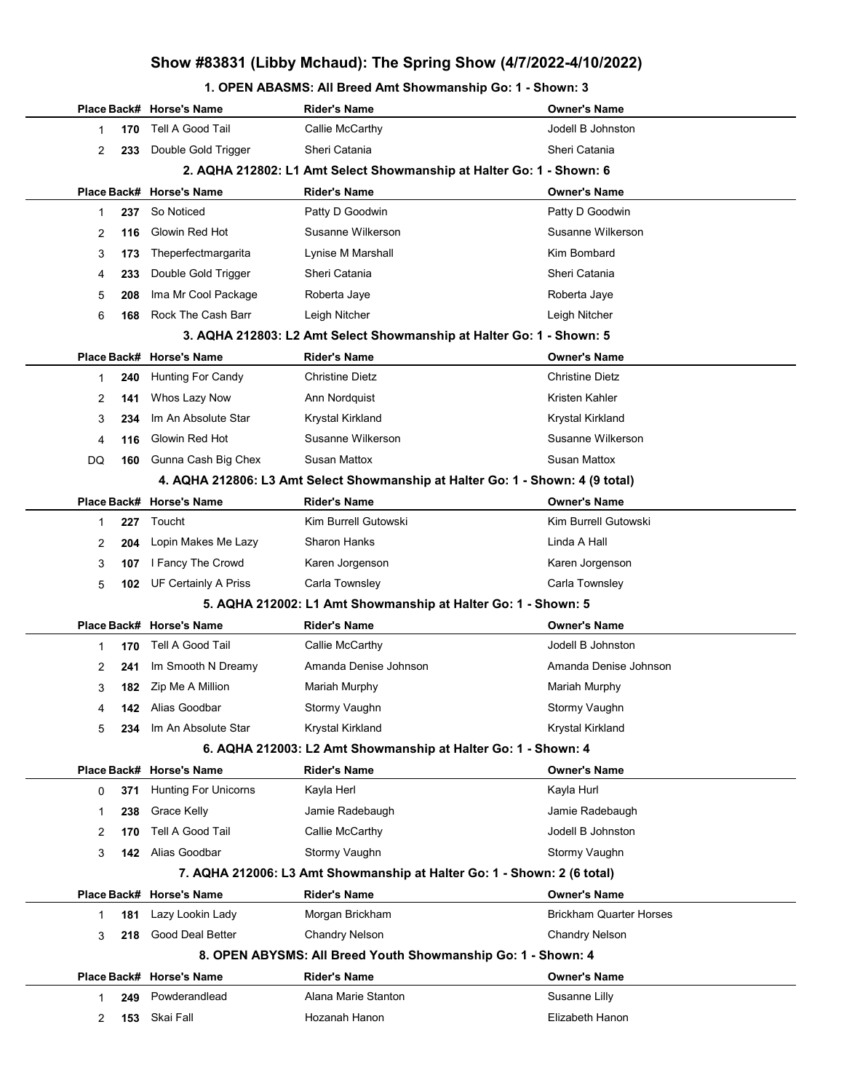## Show #83831 (Libby Mchaud): The Spring Show (4/7/2022-4/10/2022)

#### 1. OPEN ABASMS: All Breed Amt Showmanship Go: 1 - Shown: 3

|    |                                                               | Place Back# Horse's Name    | Rider's Name                                                                   | <b>Owner's Name</b>            |
|----|---------------------------------------------------------------|-----------------------------|--------------------------------------------------------------------------------|--------------------------------|
| 1  | 170                                                           | Tell A Good Tail            | Callie McCarthy                                                                | Jodell B Johnston              |
| 2  | 233                                                           | Double Gold Trigger         | Sheri Catania                                                                  | Sheri Catania                  |
|    |                                                               |                             | 2. AQHA 212802: L1 Amt Select Showmanship at Halter Go: 1 - Shown: 6           |                                |
|    |                                                               | Place Back# Horse's Name    | <b>Rider's Name</b>                                                            | <b>Owner's Name</b>            |
| 1  | 237                                                           | So Noticed                  | Patty D Goodwin                                                                | Patty D Goodwin                |
| 2  | 116                                                           | Glowin Red Hot              | Susanne Wilkerson                                                              | Susanne Wilkerson              |
| 3  | 173                                                           | Theperfectmargarita         | Lynise M Marshall                                                              | Kim Bombard                    |
| 4  | 233                                                           | Double Gold Trigger         | Sheri Catania                                                                  | Sheri Catania                  |
| 5  | 208                                                           | Ima Mr Cool Package         | Roberta Jaye                                                                   | Roberta Jaye                   |
| 6  | 168                                                           | Rock The Cash Barr          | Leigh Nitcher                                                                  | Leigh Nitcher                  |
|    |                                                               |                             | 3. AQHA 212803: L2 Amt Select Showmanship at Halter Go: 1 - Shown: 5           |                                |
|    |                                                               | Place Back# Horse's Name    | <b>Rider's Name</b>                                                            | <b>Owner's Name</b>            |
| 1  | 240                                                           | <b>Hunting For Candy</b>    | <b>Christine Dietz</b>                                                         | <b>Christine Dietz</b>         |
| 2  | 141                                                           | Whos Lazy Now               | Ann Nordquist                                                                  | Kristen Kahler                 |
| 3  | 234                                                           | Im An Absolute Star         | Krystal Kirkland                                                               | Krystal Kirkland               |
| 4  | 116                                                           | Glowin Red Hot              | Susanne Wilkerson                                                              | Susanne Wilkerson              |
| DQ | 160                                                           | Gunna Cash Big Chex         | <b>Susan Mattox</b>                                                            | <b>Susan Mattox</b>            |
|    |                                                               |                             | 4. AQHA 212806: L3 Amt Select Showmanship at Halter Go: 1 - Shown: 4 (9 total) |                                |
|    |                                                               | Place Back# Horse's Name    | <b>Rider's Name</b>                                                            | <b>Owner's Name</b>            |
| 1  | 227                                                           | Toucht                      | Kim Burrell Gutowski                                                           | Kim Burrell Gutowski           |
| 2  | 204                                                           | Lopin Makes Me Lazy         | Sharon Hanks                                                                   | Linda A Hall                   |
| 3  | 107                                                           | I Fancy The Crowd           | Karen Jorgenson                                                                | Karen Jorgenson                |
| 5  | 102                                                           | <b>UF Certainly A Priss</b> | Carla Townsley                                                                 | Carla Townsley                 |
|    |                                                               |                             | 5. AQHA 212002: L1 Amt Showmanship at Halter Go: 1 - Shown: 5                  |                                |
|    |                                                               | Place Back# Horse's Name    | <b>Rider's Name</b>                                                            | <b>Owner's Name</b>            |
| 1  | 170                                                           | Tell A Good Tail            | Callie McCarthy                                                                | Jodell B Johnston              |
| 2  | 241                                                           | Im Smooth N Dreamy          | Amanda Denise Johnson                                                          | Amanda Denise Johnson          |
| 3  | 182                                                           | Zip Me A Million            | Mariah Murphy                                                                  | Mariah Murphy                  |
| 4  |                                                               | <b>142</b> Alias Goodbar    | Stormy Vaughn                                                                  | Stormy Vaughn                  |
| 5  |                                                               | 234 Im An Absolute Star     | Krystal Kirkland                                                               | Krystal Kirkland               |
|    | 6. AQHA 212003: L2 Amt Showmanship at Halter Go: 1 - Shown: 4 |                             |                                                                                |                                |
|    |                                                               | Place Back# Horse's Name    | <b>Rider's Name</b>                                                            | <b>Owner's Name</b>            |
| 0  | 371                                                           | <b>Hunting For Unicorns</b> | Kayla Herl                                                                     | Kayla Hurl                     |
| 1  | 238                                                           | Grace Kelly                 | Jamie Radebaugh                                                                | Jamie Radebaugh                |
| 2  | 170                                                           | Tell A Good Tail            | Callie McCarthy                                                                | Jodell B Johnston              |
| 3  | 142                                                           | Alias Goodbar               | Stormy Vaughn                                                                  | Stormy Vaughn                  |
|    |                                                               |                             | 7. AQHA 212006: L3 Amt Showmanship at Halter Go: 1 - Shown: 2 (6 total)        |                                |
|    |                                                               | Place Back# Horse's Name    | <b>Rider's Name</b>                                                            | <b>Owner's Name</b>            |
| 1  | 181                                                           | Lazy Lookin Lady            | Morgan Brickham                                                                | <b>Brickham Quarter Horses</b> |
| 3  | 218                                                           | Good Deal Better            | <b>Chandry Nelson</b>                                                          | <b>Chandry Nelson</b>          |
|    |                                                               |                             | 8. OPEN ABYSMS: All Breed Youth Showmanship Go: 1 - Shown: 4                   |                                |
|    |                                                               | Place Back# Horse's Name    | <b>Rider's Name</b>                                                            | <b>Owner's Name</b>            |
| 1  | 249                                                           | Powderandlead               | Alana Marie Stanton                                                            | Susanne Lilly                  |
| 2  | 153                                                           | Skai Fall                   | Hozanah Hanon                                                                  | Elizabeth Hanon                |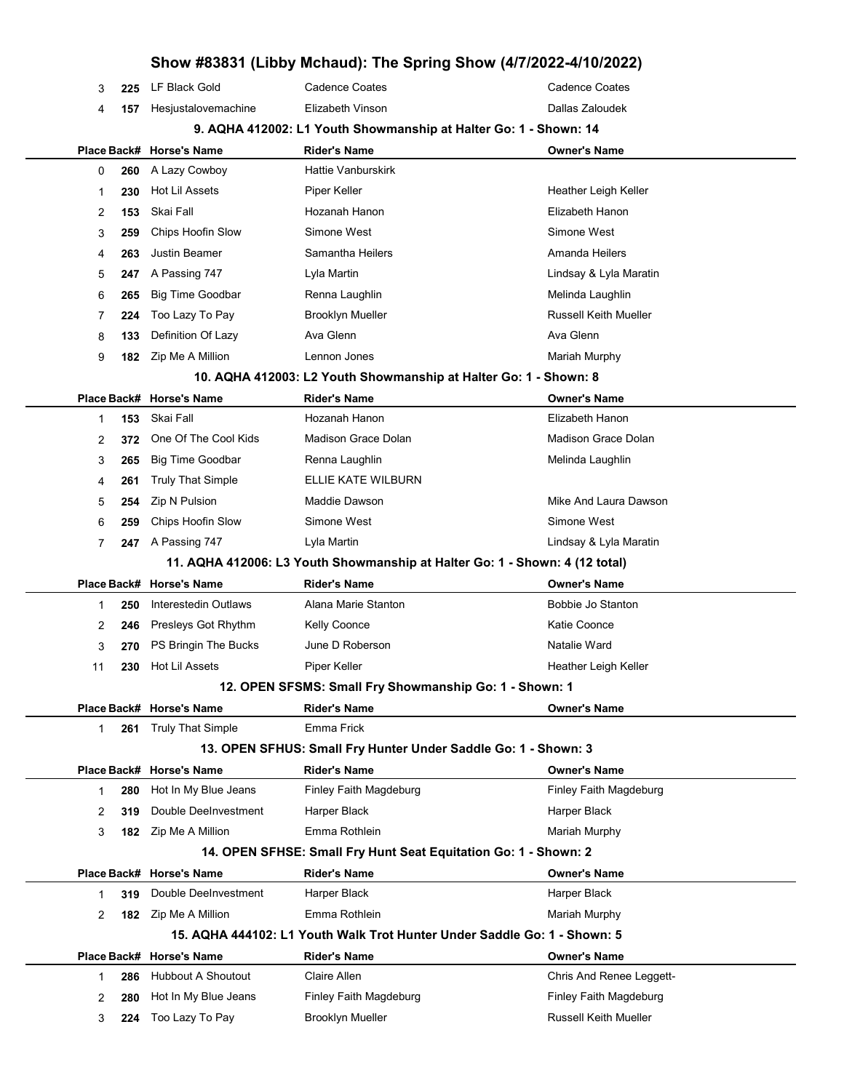### Show #83831 (Libby Mchaud): The Spring Show (4/7/2022-4/10/2022)

| 3           | 225 | LF Black Gold             | <b>Cadence Coates</b>                                                       | Cadence Coates               |
|-------------|-----|---------------------------|-----------------------------------------------------------------------------|------------------------------|
| 4           | 157 | Hesjustalovemachine       | Elizabeth Vinson                                                            | Dallas Zaloudek              |
|             |     |                           | 9. AQHA 412002: L1 Youth Showmanship at Halter Go: 1 - Shown: 14            |                              |
|             |     | Place Back# Horse's Name  | <b>Rider's Name</b>                                                         | <b>Owner's Name</b>          |
| 0           | 260 | A Lazy Cowboy             | <b>Hattie Vanburskirk</b>                                                   |                              |
| $\mathbf 1$ | 230 | <b>Hot Lil Assets</b>     | Piper Keller                                                                | Heather Leigh Keller         |
| 2           | 153 | Skai Fall                 | Hozanah Hanon                                                               | Elizabeth Hanon              |
| 3           | 259 | Chips Hoofin Slow         | Simone West                                                                 | Simone West                  |
| 4           | 263 | <b>Justin Beamer</b>      | Samantha Heilers                                                            | Amanda Heilers               |
| 5           | 247 | A Passing 747             | Lyla Martin                                                                 | Lindsay & Lyla Maratin       |
| 6           | 265 | <b>Big Time Goodbar</b>   | Renna Laughlin                                                              | Melinda Laughlin             |
| 7           | 224 | Too Lazy To Pay           | <b>Brooklyn Mueller</b>                                                     | <b>Russell Keith Mueller</b> |
| 8           | 133 | Definition Of Lazy        | Ava Glenn                                                                   | Ava Glenn                    |
| 9           | 182 | Zip Me A Million          | Lennon Jones                                                                | Mariah Murphy                |
|             |     |                           | 10. AQHA 412003: L2 Youth Showmanship at Halter Go: 1 - Shown: 8            |                              |
|             |     | Place Back# Horse's Name  | <b>Rider's Name</b>                                                         | <b>Owner's Name</b>          |
| -1          | 153 | Skai Fall                 | Hozanah Hanon                                                               | Elizabeth Hanon              |
| 2           | 372 | One Of The Cool Kids      | Madison Grace Dolan                                                         | Madison Grace Dolan          |
| 3           | 265 | <b>Big Time Goodbar</b>   | Renna Laughlin                                                              | Melinda Laughlin             |
| 4           | 261 | <b>Truly That Simple</b>  | ELLIE KATE WILBURN                                                          |                              |
| 5           | 254 | Zip N Pulsion             | Maddie Dawson                                                               | Mike And Laura Dawson        |
| 6           | 259 | Chips Hoofin Slow         | Simone West                                                                 | Simone West                  |
| 7           | 247 | A Passing 747             | Lyla Martin                                                                 | Lindsay & Lyla Maratin       |
|             |     |                           | 11. AQHA 412006: L3 Youth Showmanship at Halter Go: 1 - Shown: 4 (12 total) |                              |
|             |     | Place Back# Horse's Name  | <b>Rider's Name</b>                                                         | <b>Owner's Name</b>          |
| $\mathbf 1$ | 250 | Interestedin Outlaws      | Alana Marie Stanton                                                         | Bobbie Jo Stanton            |
| 2           | 246 | Presleys Got Rhythm       | <b>Kelly Coonce</b>                                                         | Katie Coonce                 |
| 3           | 270 | PS Bringin The Bucks      | June D Roberson                                                             | Natalie Ward                 |
| 11          | 230 | Hot Lil Assets            | Piper Keller                                                                | Heather Leigh Keller         |
|             |     |                           | 12. OPEN SFSMS: Small Fry Showmanship Go: 1 - Shown: 1                      |                              |
|             |     | Place Back# Horse's Name  | <b>Rider's Name</b>                                                         | <b>Owner's Name</b>          |
| 1           | 261 | <b>Truly That Simple</b>  | Emma Frick                                                                  |                              |
|             |     |                           | 13. OPEN SFHUS: Small Fry Hunter Under Saddle Go: 1 - Shown: 3              |                              |
|             |     | Place Back# Horse's Name  | <b>Rider's Name</b>                                                         | <b>Owner's Name</b>          |
| 1           | 280 | Hot In My Blue Jeans      | Finley Faith Magdeburg                                                      | Finley Faith Magdeburg       |
| 2           | 319 | Double DeeInvestment      | Harper Black                                                                | Harper Black                 |
| 3           | 182 | Zip Me A Million          | Emma Rothlein                                                               | Mariah Murphy                |
|             |     |                           | 14. OPEN SFHSE: Small Fry Hunt Seat Equitation Go: 1 - Shown: 2             |                              |
|             |     | Place Back# Horse's Name  | <b>Rider's Name</b>                                                         | <b>Owner's Name</b>          |
| 1           | 319 | Double DeeInvestment      | Harper Black                                                                | Harper Black                 |
| 2           | 182 | Zip Me A Million          | Emma Rothlein                                                               | Mariah Murphy                |
|             |     |                           | 15. AQHA 444102: L1 Youth Walk Trot Hunter Under Saddle Go: 1 - Shown: 5    |                              |
|             |     | Place Back# Horse's Name  | <b>Rider's Name</b>                                                         | <b>Owner's Name</b>          |
| 1           | 286 | <b>Hubbout A Shoutout</b> | Claire Allen                                                                | Chris And Renee Leggett-     |
| 2           | 280 | Hot In My Blue Jeans      | Finley Faith Magdeburg                                                      | Finley Faith Magdeburg       |
| 3           | 224 | Too Lazy To Pay           | <b>Brooklyn Mueller</b>                                                     | <b>Russell Keith Mueller</b> |
|             |     |                           |                                                                             |                              |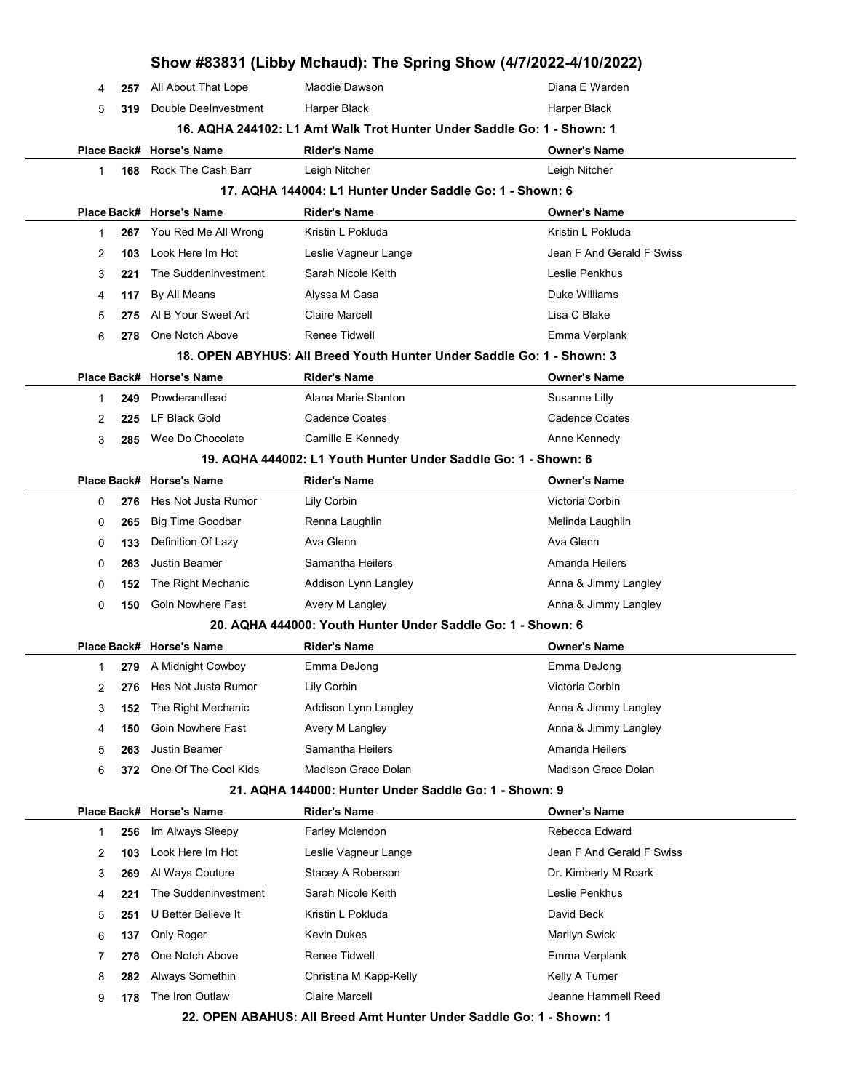|              |             |                          | Show #83831 (Libby Mchaud): The Spring Show (4/7/2022-4/10/2022)       |                            |
|--------------|-------------|--------------------------|------------------------------------------------------------------------|----------------------------|
| 4            | 257         | All About That Lope      | Maddie Dawson                                                          | Diana E Warden             |
| 5            | 319         | Double DeeInvestment     | Harper Black                                                           | Harper Black               |
|              |             |                          | 16. AQHA 244102: L1 Amt Walk Trot Hunter Under Saddle Go: 1 - Shown: 1 |                            |
|              |             | Place Back# Horse's Name | <b>Rider's Name</b>                                                    | <b>Owner's Name</b>        |
| 1            | 168         | Rock The Cash Barr       | Leigh Nitcher                                                          | Leigh Nitcher              |
|              |             |                          | 17. AQHA 144004: L1 Hunter Under Saddle Go: 1 - Shown: 6               |                            |
|              |             | Place Back# Horse's Name | <b>Rider's Name</b>                                                    | <b>Owner's Name</b>        |
| 1            | 267         | You Red Me All Wrong     | Kristin L Pokluda                                                      | Kristin L Pokluda          |
| 2            | 103         | Look Here Im Hot         | Leslie Vagneur Lange                                                   | Jean F And Gerald F Swiss  |
| 3            | 221         | The Suddeninvestment     | Sarah Nicole Keith                                                     | Leslie Penkhus             |
| 4            | 117         | By All Means             | Alyssa M Casa                                                          | Duke Williams              |
| 5            | 275         | AI B Your Sweet Art      | <b>Claire Marcell</b>                                                  | Lisa C Blake               |
| 6            | 278         | One Notch Above          | <b>Renee Tidwell</b>                                                   | Emma Verplank              |
|              |             |                          | 18. OPEN ABYHUS: All Breed Youth Hunter Under Saddle Go: 1 - Shown: 3  |                            |
|              | Place Back# | <b>Horse's Name</b>      | <b>Rider's Name</b>                                                    | <b>Owner's Name</b>        |
| 1            | 249         | Powderandlead            | Alana Marie Stanton                                                    | Susanne Lilly              |
| 2            | 225         | LF Black Gold            | <b>Cadence Coates</b>                                                  | <b>Cadence Coates</b>      |
| 3            | 285         | Wee Do Chocolate         | Camille E Kennedy                                                      | Anne Kennedy               |
|              |             |                          | 19. AQHA 444002: L1 Youth Hunter Under Saddle Go: 1 - Shown: 6         |                            |
|              | Place Back# | <b>Horse's Name</b>      | <b>Rider's Name</b>                                                    | <b>Owner's Name</b>        |
| 0            | 276         | Hes Not Justa Rumor      | Lily Corbin                                                            | Victoria Corbin            |
| 0            | 265         | <b>Big Time Goodbar</b>  | Renna Laughlin                                                         | Melinda Laughlin           |
| 0            | 133         | Definition Of Lazy       | Ava Glenn                                                              | Ava Glenn                  |
| 0            | 263         | <b>Justin Beamer</b>     | Samantha Heilers                                                       | Amanda Heilers             |
| 0            | 152         | The Right Mechanic       | Addison Lynn Langley                                                   | Anna & Jimmy Langley       |
| 0            | 150         | Goin Nowhere Fast        | Avery M Langley                                                        | Anna & Jimmy Langley       |
|              |             |                          | 20. AQHA 444000: Youth Hunter Under Saddle Go: 1 - Shown: 6            |                            |
|              |             | Place Back# Horse's Name | Rider's Name                                                           | <b>Owner's Name</b>        |
| 1            |             | 279 A Midnight Cowboy    | Emma DeJong                                                            | Emma DeJong                |
| 2            | 276         | Hes Not Justa Rumor      | Lily Corbin                                                            | Victoria Corbin            |
| 3            | 152         | The Right Mechanic       | Addison Lynn Langley                                                   | Anna & Jimmy Langley       |
| 4            | 150         | Goin Nowhere Fast        | Avery M Langley                                                        | Anna & Jimmy Langley       |
| 5            | 263         | Justin Beamer            | Samantha Heilers                                                       | Amanda Heilers             |
| 6            | 372         | One Of The Cool Kids     | <b>Madison Grace Dolan</b>                                             | <b>Madison Grace Dolan</b> |
|              |             |                          | 21. AQHA 144000: Hunter Under Saddle Go: 1 - Shown: 9                  |                            |
|              |             | Place Back# Horse's Name | <b>Rider's Name</b>                                                    | <b>Owner's Name</b>        |
| $\mathbf{1}$ | 256         | Im Always Sleepy         | Farley Mclendon                                                        | Rebecca Edward             |
| 2            | 103         | Look Here Im Hot         | Leslie Vagneur Lange                                                   | Jean F And Gerald F Swiss  |
| 3            | 269         | Al Ways Couture          | Stacey A Roberson                                                      | Dr. Kimberly M Roark       |
| 4            | 221         | The Suddeninvestment     | Sarah Nicole Keith                                                     | Leslie Penkhus             |
| 5            | 251         | U Better Believe It      | Kristin L Pokluda                                                      | David Beck                 |
| 6            | 137         | Only Roger               | <b>Kevin Dukes</b>                                                     | Marilyn Swick              |
| 7            | 278         | One Notch Above          | <b>Renee Tidwell</b>                                                   | Emma Verplank              |
| 8            | 282         | Always Somethin          | Christina M Kapp-Kelly                                                 | Kelly A Turner             |
| 9            | 178         | The Iron Outlaw          | <b>Claire Marcell</b>                                                  | Jeanne Hammell Reed        |
|              |             |                          | 22. OPEN ABAHUS: All Breed Amt Hunter Under Saddle Go: 1 - Shown: 1    |                            |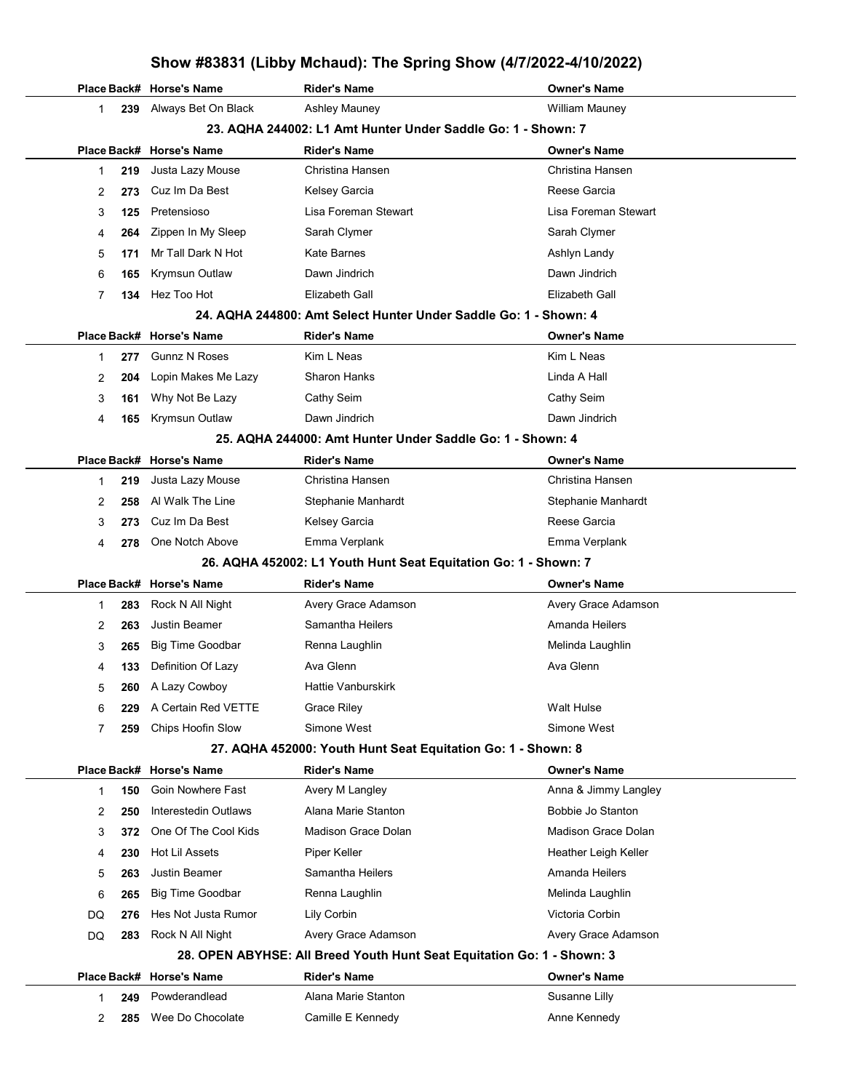### Show #83831 (Libby Mchaud): The Spring Show (4/7/2022-4/10/2022)

|    |           | Place Back# Horse's Name | <b>Rider's Name</b>                                                    | <b>Owner's Name</b>        |  |
|----|-----------|--------------------------|------------------------------------------------------------------------|----------------------------|--|
|    | 239<br>1. | Always Bet On Black      | Ashley Mauney                                                          | <b>William Mauney</b>      |  |
|    |           |                          | 23. AQHA 244002: L1 Amt Hunter Under Saddle Go: 1 - Shown: 7           |                            |  |
|    |           | Place Back# Horse's Name | <b>Rider's Name</b>                                                    | <b>Owner's Name</b>        |  |
|    | 219<br>1. | Justa Lazy Mouse         | Christina Hansen                                                       | Christina Hansen           |  |
|    | 2<br>273  | Cuz Im Da Best           | Kelsey Garcia                                                          | Reese Garcia               |  |
|    | 3<br>125  | Pretensioso              | Lisa Foreman Stewart                                                   | Lisa Foreman Stewart       |  |
|    | 264<br>4  | Zippen In My Sleep       | Sarah Clymer                                                           | Sarah Clymer               |  |
|    | 5<br>171  | Mr Tall Dark N Hot       | Kate Barnes                                                            | Ashlyn Landy               |  |
|    | 6<br>165  | Krymsun Outlaw           | Dawn Jindrich                                                          | Dawn Jindrich              |  |
|    | 7<br>134  | Hez Too Hot              | Elizabeth Gall                                                         | Elizabeth Gall             |  |
|    |           |                          | 24. AQHA 244800: Amt Select Hunter Under Saddle Go: 1 - Shown: 4       |                            |  |
|    |           | Place Back# Horse's Name | <b>Rider's Name</b>                                                    | <b>Owner's Name</b>        |  |
|    | 277<br>1  | <b>Gunnz N Roses</b>     | Kim L Neas                                                             | Kim L Neas                 |  |
|    | 2<br>204  | Lopin Makes Me Lazy      | <b>Sharon Hanks</b>                                                    | Linda A Hall               |  |
|    | 3<br>161  | Why Not Be Lazy          | Cathy Seim                                                             | Cathy Seim                 |  |
|    | 4<br>165  | Krymsun Outlaw           | Dawn Jindrich                                                          | Dawn Jindrich              |  |
|    |           |                          | 25. AQHA 244000: Amt Hunter Under Saddle Go: 1 - Shown: 4              |                            |  |
|    |           | Place Back# Horse's Name | <b>Rider's Name</b>                                                    | <b>Owner's Name</b>        |  |
|    | 219<br>1  | Justa Lazy Mouse         | Christina Hansen                                                       | Christina Hansen           |  |
|    | 2<br>258  | Al Walk The Line         | Stephanie Manhardt                                                     | Stephanie Manhardt         |  |
|    | 3<br>273  | Cuz Im Da Best           | Kelsey Garcia                                                          | Reese Garcia               |  |
|    | 4<br>278  | One Notch Above          | Emma Verplank                                                          | Emma Verplank              |  |
|    |           |                          | 26. AQHA 452002: L1 Youth Hunt Seat Equitation Go: 1 - Shown: 7        |                            |  |
|    |           | Place Back# Horse's Name | <b>Rider's Name</b>                                                    | <b>Owner's Name</b>        |  |
|    | 283<br>1  | Rock N All Night         | Avery Grace Adamson                                                    | Avery Grace Adamson        |  |
|    | 2<br>263  | <b>Justin Beamer</b>     | Samantha Heilers                                                       | Amanda Heilers             |  |
|    | 3<br>265  | <b>Big Time Goodbar</b>  | Renna Laughlin                                                         | Melinda Laughlin           |  |
|    | 133<br>4  | Definition Of Lazy       | Ava Glenn                                                              | Ava Glenn                  |  |
|    | 5<br>260  | A Lazy Cowboy            | Hattie Vanburskirk                                                     |                            |  |
|    | 6<br>229  | A Certain Red VETTE      | <b>Grace Riley</b>                                                     | Walt Hulse                 |  |
|    | 7<br>259  | Chips Hoofin Slow        | Simone West                                                            | Simone West                |  |
|    |           |                          | 27. AQHA 452000: Youth Hunt Seat Equitation Go: 1 - Shown: 8           |                            |  |
|    |           | Place Back# Horse's Name | <b>Rider's Name</b>                                                    | <b>Owner's Name</b>        |  |
|    | 150<br>1. | Goin Nowhere Fast        | Avery M Langley                                                        | Anna & Jimmy Langley       |  |
|    | 2<br>250  | Interestedin Outlaws     | Alana Marie Stanton                                                    | Bobbie Jo Stanton          |  |
|    | 3<br>372  | One Of The Cool Kids     | Madison Grace Dolan                                                    | <b>Madison Grace Dolan</b> |  |
|    | 230<br>4  | <b>Hot Lil Assets</b>    | Piper Keller                                                           | Heather Leigh Keller       |  |
|    | 5<br>263  | Justin Beamer            | Samantha Heilers                                                       | Amanda Heilers             |  |
|    | 6<br>265  | <b>Big Time Goodbar</b>  | Renna Laughlin                                                         | Melinda Laughlin           |  |
| DQ | 276       | Hes Not Justa Rumor      | Lily Corbin                                                            | Victoria Corbin            |  |
| DQ | 283       | Rock N All Night         | Avery Grace Adamson                                                    | Avery Grace Adamson        |  |
|    |           |                          | 28. OPEN ABYHSE: All Breed Youth Hunt Seat Equitation Go: 1 - Shown: 3 |                            |  |
|    |           | Place Back# Horse's Name | <b>Rider's Name</b>                                                    | <b>Owner's Name</b>        |  |
|    | 249<br>1. | Powderandlead            | Alana Marie Stanton                                                    | Susanne Lilly              |  |
|    | 2<br>285  | Wee Do Chocolate         | Camille E Kennedy                                                      | Anne Kennedy               |  |

Ĭ.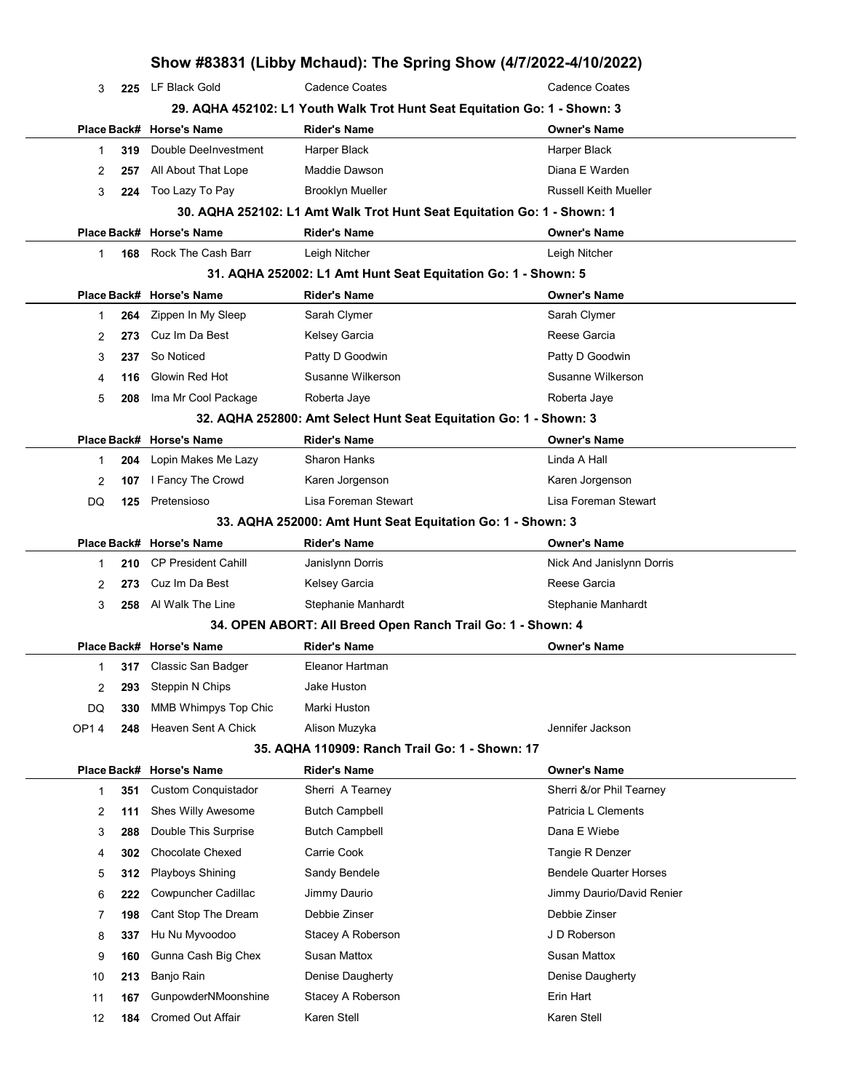|        |            |                                                                           | Show #83831 (Libby Mchaud): The Spring Show (4/7/2022-4/10/2022)        |                                                 |  |
|--------|------------|---------------------------------------------------------------------------|-------------------------------------------------------------------------|-------------------------------------------------|--|
| 3      | 225        | LF Black Gold                                                             | <b>Cadence Coates</b>                                                   | <b>Cadence Coates</b>                           |  |
|        |            | 29. AQHA 452102: L1 Youth Walk Trot Hunt Seat Equitation Go: 1 - Shown: 3 |                                                                         |                                                 |  |
|        |            | Place Back# Horse's Name                                                  | <b>Rider's Name</b>                                                     | <b>Owner's Name</b>                             |  |
| 1      | 319        | Double DeeInvestment                                                      | Harper Black                                                            | Harper Black                                    |  |
| 2      | 257        | All About That Lope                                                       | Maddie Dawson                                                           | Diana E Warden                                  |  |
| 3      | 224        | Too Lazy To Pay                                                           | <b>Brooklyn Mueller</b>                                                 | <b>Russell Keith Mueller</b>                    |  |
|        |            |                                                                           | 30. AQHA 252102: L1 Amt Walk Trot Hunt Seat Equitation Go: 1 - Shown: 1 |                                                 |  |
|        |            | Place Back# Horse's Name                                                  | <b>Rider's Name</b>                                                     | <b>Owner's Name</b>                             |  |
| 1      | 168        | Rock The Cash Barr                                                        | Leigh Nitcher                                                           | Leigh Nitcher                                   |  |
|        |            |                                                                           | 31. AQHA 252002: L1 Amt Hunt Seat Equitation Go: 1 - Shown: 5           |                                                 |  |
|        |            | Place Back# Horse's Name                                                  | <b>Rider's Name</b>                                                     | <b>Owner's Name</b>                             |  |
| 1      | 264        | Zippen In My Sleep                                                        | Sarah Clymer                                                            | Sarah Clymer                                    |  |
| 2      | 273        | Cuz Im Da Best                                                            | Kelsey Garcia                                                           | Reese Garcia                                    |  |
| 3      | 237        | So Noticed                                                                | Patty D Goodwin                                                         | Patty D Goodwin                                 |  |
| 4      | 116        | Glowin Red Hot                                                            | Susanne Wilkerson                                                       | Susanne Wilkerson                               |  |
| 5      | 208        | Ima Mr Cool Package                                                       | Roberta Jaye                                                            | Roberta Jaye                                    |  |
|        |            |                                                                           | 32. AQHA 252800: Amt Select Hunt Seat Equitation Go: 1 - Shown: 3       |                                                 |  |
|        |            | Place Back# Horse's Name                                                  | <b>Rider's Name</b>                                                     | <b>Owner's Name</b>                             |  |
| 1      | 204        | Lopin Makes Me Lazy                                                       | <b>Sharon Hanks</b>                                                     | Linda A Hall                                    |  |
| 2      | 107        | I Fancy The Crowd                                                         | Karen Jorgenson                                                         | Karen Jorgenson                                 |  |
| DQ     | 125        | Pretensioso                                                               | Lisa Foreman Stewart                                                    | Lisa Foreman Stewart                            |  |
|        |            |                                                                           | 33. AQHA 252000: Amt Hunt Seat Equitation Go: 1 - Shown: 3              |                                                 |  |
|        |            | Place Back# Horse's Name                                                  | <b>Rider's Name</b>                                                     | <b>Owner's Name</b>                             |  |
| 1      | 210        | <b>CP President Cahill</b>                                                | Janislynn Dorris                                                        | Nick And Janislynn Dorris                       |  |
| 2      | 273        | Cuz Im Da Best                                                            | Kelsey Garcia                                                           | Reese Garcia                                    |  |
| 3      | 258        | Al Walk The Line                                                          | Stephanie Manhardt                                                      | Stephanie Manhardt                              |  |
|        |            |                                                                           | 34. OPEN ABORT: All Breed Open Ranch Trail Go: 1 - Shown: 4             |                                                 |  |
|        |            | Place Back# Horse's Name                                                  | <b>Rider's Name</b>                                                     | <b>Owner's Name</b>                             |  |
| 1      |            | 317 Classic San Badger                                                    | Eleanor Hartman                                                         |                                                 |  |
| 2      | 293        | Steppin N Chips                                                           | Jake Huston                                                             |                                                 |  |
| DQ     | 330        | MMB Whimpys Top Chic                                                      | Marki Huston                                                            |                                                 |  |
| OP14   | 248        | Heaven Sent A Chick                                                       | Alison Muzyka                                                           | Jennifer Jackson                                |  |
|        |            |                                                                           | 35. AQHA 110909: Ranch Trail Go: 1 - Shown: 17                          |                                                 |  |
|        |            | Place Back# Horse's Name                                                  | <b>Rider's Name</b><br>Sherri A Tearney                                 | <b>Owner's Name</b><br>Sherri &/or Phil Tearney |  |
| 1      | 351        | <b>Custom Conquistador</b><br>Shes Willy Awesome                          | <b>Butch Campbell</b>                                                   | Patricia L Clements                             |  |
| 2      | 111        | Double This Surprise                                                      | <b>Butch Campbell</b>                                                   | Dana E Wiebe                                    |  |
| 3      | 288<br>302 | <b>Chocolate Chexed</b>                                                   | Carrie Cook                                                             | Tangie R Denzer                                 |  |
| 4      | 312        | Playboys Shining                                                          | Sandy Bendele                                                           | <b>Bendele Quarter Horses</b>                   |  |
| 5      |            | Cowpuncher Cadillac                                                       | Jimmy Daurio                                                            | Jimmy Daurio/David Renier                       |  |
| 6      | 222        | Cant Stop The Dream                                                       | Debbie Zinser                                                           | Debbie Zinser                                   |  |
| 7<br>8 | 198<br>337 | Hu Nu Myvoodoo                                                            | Stacey A Roberson                                                       | J D Roberson                                    |  |
| 9      | 160        | Gunna Cash Big Chex                                                       | Susan Mattox                                                            | <b>Susan Mattox</b>                             |  |
|        | 213        | Banjo Rain                                                                | Denise Daugherty                                                        | Denise Daugherty                                |  |
| 10     | 167        | GunpowderNMoonshine                                                       | Stacey A Roberson                                                       | Erin Hart                                       |  |
| 11     |            | <b>Cromed Out Affair</b>                                                  | Karen Stell                                                             | Karen Stell                                     |  |
| 12     | 184        |                                                                           |                                                                         |                                                 |  |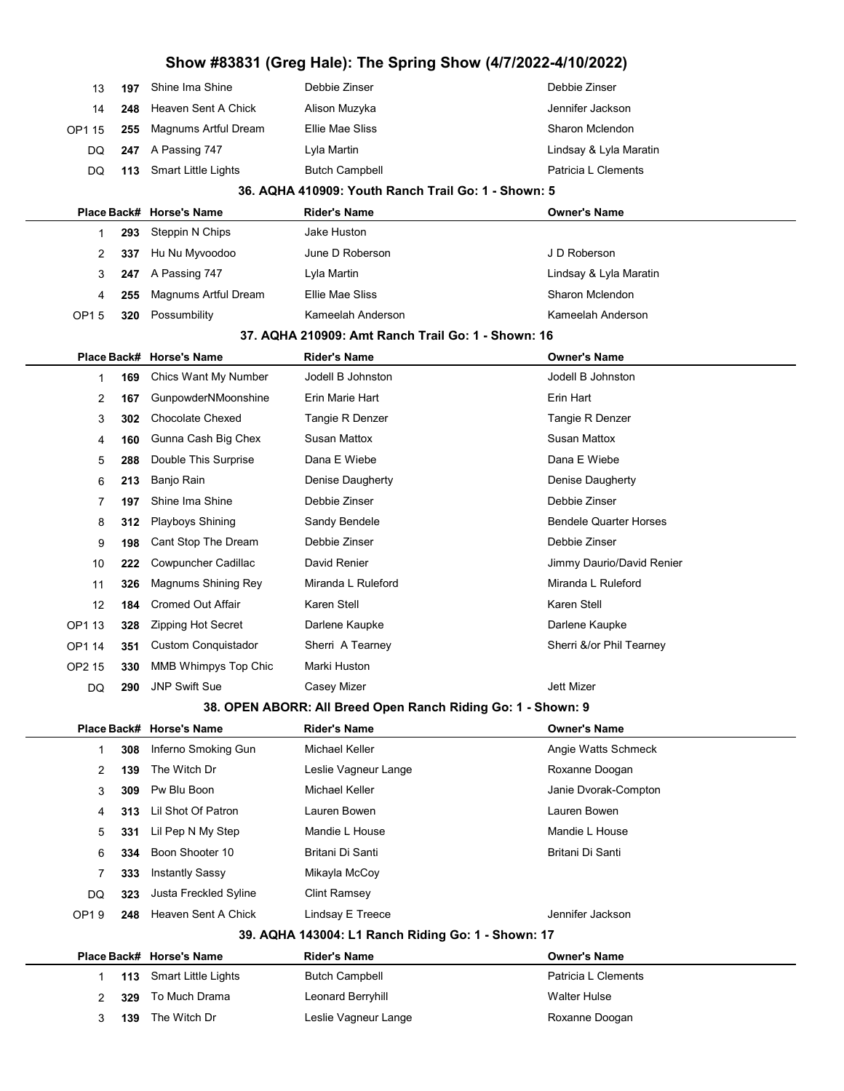| 13          | 197 | Shine Ima Shine            | Debbie Zinser                                                | Debbie Zinser                 |
|-------------|-----|----------------------------|--------------------------------------------------------------|-------------------------------|
| 14          | 248 | Heaven Sent A Chick        | Alison Muzyka                                                | Jennifer Jackson              |
| OP1 15      | 255 | Magnums Artful Dream       | Ellie Mae Sliss                                              | Sharon Mclendon               |
| DQ          | 247 | A Passing 747              | Lyla Martin                                                  | Lindsay & Lyla Maratin        |
| DQ          | 113 | <b>Smart Little Lights</b> | <b>Butch Campbell</b>                                        | Patricia L Clements           |
|             |     |                            | 36. AQHA 410909: Youth Ranch Trail Go: 1 - Shown: 5          |                               |
| Place Back# |     | <b>Horse's Name</b>        | <b>Rider's Name</b>                                          | <b>Owner's Name</b>           |
| 1           | 293 | Steppin N Chips            | Jake Huston                                                  |                               |
| 2           | 337 | Hu Nu Myvoodoo             | June D Roberson                                              | J D Roberson                  |
| 3           | 247 | A Passing 747              | Lyla Martin                                                  | Lindsay & Lyla Maratin        |
| 4           | 255 | Magnums Artful Dream       | Ellie Mae Sliss                                              | Sharon Mclendon               |
| OP15        | 320 | Possumbility               | Kameelah Anderson                                            | Kameelah Anderson             |
|             |     |                            | 37. AQHA 210909: Amt Ranch Trail Go: 1 - Shown: 16           |                               |
| Place Back# |     | <b>Horse's Name</b>        | <b>Rider's Name</b>                                          | <b>Owner's Name</b>           |
| 1           | 169 | Chics Want My Number       | Jodell B Johnston                                            | Jodell B Johnston             |
| 2           | 167 | GunpowderNMoonshine        | Erin Marie Hart                                              | Erin Hart                     |
| 3           | 302 | <b>Chocolate Chexed</b>    | Tangie R Denzer                                              | Tangie R Denzer               |
| 4           | 160 | Gunna Cash Big Chex        | <b>Susan Mattox</b>                                          | Susan Mattox                  |
| 5           | 288 | Double This Surprise       | Dana E Wiebe                                                 | Dana E Wiebe                  |
| 6           | 213 | Banjo Rain                 | Denise Daugherty                                             | Denise Daugherty              |
| 7           | 197 | Shine Ima Shine            | Debbie Zinser                                                | Debbie Zinser                 |
| 8           | 312 | Playboys Shining           | Sandy Bendele                                                | <b>Bendele Quarter Horses</b> |
| 9           | 198 | Cant Stop The Dream        | Debbie Zinser                                                | Debbie Zinser                 |
| 10          | 222 | Cowpuncher Cadillac        | David Renier                                                 | Jimmy Daurio/David Renier     |
| 11          | 326 | Magnums Shining Rey        | Miranda L Ruleford                                           | Miranda L Ruleford            |
| 12          | 184 | <b>Cromed Out Affair</b>   | Karen Stell                                                  | Karen Stell                   |
| OP1 13      | 328 | Zipping Hot Secret         | Darlene Kaupke                                               | Darlene Kaupke                |
| OP1 14      | 351 | <b>Custom Conquistador</b> | Sherri A Tearney                                             | Sherri &/or Phil Tearney      |
| OP2 15      | 330 | MMB Whimpys Top Chic       | Marki Huston                                                 |                               |
| DQ          | 290 | <b>JNP Swift Sue</b>       | Casey Mizer                                                  | <b>Jett Mizer</b>             |
|             |     |                            | 38. OPEN ABORR: All Breed Open Ranch Riding Go: 1 - Shown: 9 |                               |
|             |     | Place Back# Horse's Name   | <b>Rider's Name</b>                                          | <b>Owner's Name</b>           |
| 1           | 308 | Inferno Smoking Gun        | Michael Keller                                               | Angie Watts Schmeck           |
| 2           | 139 | The Witch Dr               | Leslie Vagneur Lange                                         | Roxanne Doogan                |
| 3           | 309 | Pw Blu Boon                | Michael Keller                                               | Janie Dvorak-Compton          |
| 4           | 313 | Lil Shot Of Patron         | Lauren Bowen                                                 | Lauren Bowen                  |
| 5           | 331 | Lil Pep N My Step          | Mandie L House                                               | Mandie L House                |
| 6           | 334 | Boon Shooter 10            | Britani Di Santi                                             | Britani Di Santi              |
| 7           | 333 | <b>Instantly Sassy</b>     | Mikayla McCoy                                                |                               |
| DQ          | 323 | Justa Freckled Syline      | Clint Ramsey                                                 |                               |
| OP19        | 248 | Heaven Sent A Chick        | Lindsay E Treece                                             | Jennifer Jackson              |
|             |     |                            | 39. AQHA 143004: L1 Ranch Riding Go: 1 - Shown: 17           |                               |
|             |     | Place Back# Horse's Name   | <b>Rider's Name</b>                                          | <b>Owner's Name</b>           |
| 1           | 113 | <b>Smart Little Lights</b> | <b>Butch Campbell</b>                                        | Patricia L Clements           |
| 2           | 329 | To Much Drama              | Leonard Berryhill                                            | <b>Walter Hulse</b>           |
| 3           | 139 | The Witch Dr               | Leslie Vagneur Lange                                         | Roxanne Doogan                |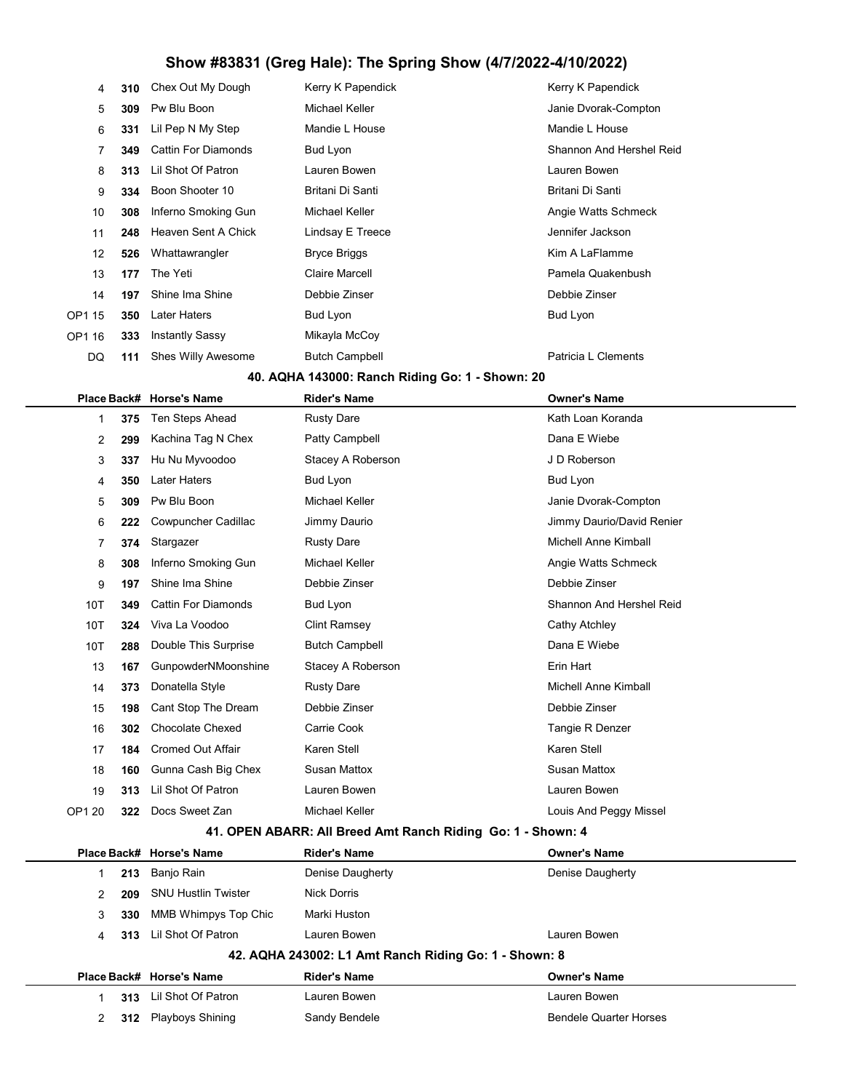| 4      | 310 | Chex Out My Dough          | Kerry K Papendick     | Kerry K Papendick        |
|--------|-----|----------------------------|-----------------------|--------------------------|
| 5      | 309 | Pw Blu Boon                | Michael Keller        | Janie Dvorak-Compton     |
| 6      | 331 | Lil Pep N My Step          | Mandie L House        | Mandie L House           |
| 7      | 349 | <b>Cattin For Diamonds</b> | Bud Lyon              | Shannon And Hershel Reid |
| 8      | 313 | Lil Shot Of Patron         | Lauren Bowen          | Lauren Bowen             |
| 9      | 334 | Boon Shooter 10            | Britani Di Santi      | Britani Di Santi         |
| 10     | 308 | Inferno Smoking Gun        | Michael Keller        | Angie Watts Schmeck      |
| 11     | 248 | Heaven Sent A Chick        | Lindsay E Treece      | Jennifer Jackson         |
| 12     | 526 | Whattawrangler             | <b>Bryce Briggs</b>   | Kim A LaFlamme           |
| 13     | 177 | The Yeti                   | Claire Marcell        | Pamela Quakenbush        |
| 14     | 197 | Shine Ima Shine            | Debbie Zinser         | Debbie Zinser            |
| OP1 15 | 350 | Later Haters               | Bud Lyon              | Bud Lyon                 |
| OP1 16 | 333 | Instantly Sassy            | Mikayla McCoy         |                          |
| DQ     | 111 | Shes Willy Awesome         | <b>Butch Campbell</b> | Patricia L Clements      |

#### 40. AQHA 143000: Ranch Riding Go: 1 - Shown: 20

|                                                             |     | Place Back# Horse's Name   | <b>Rider's Name</b>   | <b>Owner's Name</b>         |  |
|-------------------------------------------------------------|-----|----------------------------|-----------------------|-----------------------------|--|
| 1                                                           | 375 | Ten Steps Ahead            | <b>Rusty Dare</b>     | Kath Loan Koranda           |  |
| $\overline{2}$                                              | 299 | Kachina Tag N Chex         | Patty Campbell        | Dana E Wiebe                |  |
| 3                                                           | 337 | Hu Nu Myvoodoo             | Stacey A Roberson     | J D Roberson                |  |
| 4                                                           | 350 | <b>Later Haters</b>        | Bud Lyon              | <b>Bud Lyon</b>             |  |
| 5                                                           | 309 | Pw Blu Boon                | <b>Michael Keller</b> | Janie Dvorak-Compton        |  |
| 6                                                           | 222 | <b>Cowpuncher Cadillac</b> | Jimmy Daurio          | Jimmy Daurio/David Renier   |  |
| 7                                                           | 374 | Stargazer                  | <b>Rusty Dare</b>     | Michell Anne Kimball        |  |
| 8                                                           | 308 | Inferno Smoking Gun        | Michael Keller        | Angie Watts Schmeck         |  |
| 9                                                           | 197 | Shine Ima Shine            | Debbie Zinser         | Debbie Zinser               |  |
| 10T                                                         | 349 | <b>Cattin For Diamonds</b> | <b>Bud Lyon</b>       | Shannon And Hershel Reid    |  |
| 10T                                                         | 324 | Viva La Voodoo             | <b>Clint Ramsey</b>   | Cathy Atchley               |  |
| 10T                                                         | 288 | Double This Surprise       | <b>Butch Campbell</b> | Dana E Wiebe                |  |
| 13                                                          | 167 | GunpowderNMoonshine        | Stacey A Roberson     | Erin Hart                   |  |
| 14                                                          | 373 | Donatella Style            | <b>Rusty Dare</b>     | <b>Michell Anne Kimball</b> |  |
| 15                                                          | 198 | Cant Stop The Dream        | Debbie Zinser         | Debbie Zinser               |  |
| 16                                                          | 302 | <b>Chocolate Chexed</b>    | Carrie Cook           | Tangie R Denzer             |  |
| 17                                                          | 184 | <b>Cromed Out Affair</b>   | <b>Karen Stell</b>    | Karen Stell                 |  |
| 18                                                          | 160 | Gunna Cash Big Chex        | <b>Susan Mattox</b>   | <b>Susan Mattox</b>         |  |
| 19                                                          | 313 | Lil Shot Of Patron         | Lauren Bowen          | Lauren Bowen                |  |
| OP1 20                                                      | 322 | Docs Sweet Zan             | <b>Michael Keller</b> | Louis And Peggy Missel      |  |
| 44 ODEN ADADD: All Drood Amt Donob Diding County<br>Chaun 1 |     |                            |                       |                             |  |

#### 41. OPEN ABARR: All Breed Amt Ranch Riding Go: 1 - Shown: 4

|                                                       |     | Place Back# Horse's Name   | <b>Rider's Name</b> | <b>Owner's Name</b>           |  |  |
|-------------------------------------------------------|-----|----------------------------|---------------------|-------------------------------|--|--|
|                                                       | 213 | Banjo Rain                 | Denise Daugherty    | Denise Daugherty              |  |  |
| $\mathcal{P}$                                         | 209 | <b>SNU Hustlin Twister</b> | <b>Nick Dorris</b>  |                               |  |  |
| 3                                                     | 330 | MMB Whimpys Top Chic       | Marki Huston        |                               |  |  |
| 4                                                     | 313 | Lil Shot Of Patron         | Lauren Bowen        | Lauren Bowen                  |  |  |
| 42. AQHA 243002: L1 Amt Ranch Riding Go: 1 - Shown: 8 |     |                            |                     |                               |  |  |
|                                                       |     | Place Back# Horse's Name   | <b>Rider's Name</b> | <b>Owner's Name</b>           |  |  |
|                                                       | 313 | Lil Shot Of Patron         | Lauren Bowen        | Lauren Bowen                  |  |  |
| $\mathcal{P}$                                         | 312 | <b>Playboys Shining</b>    | Sandy Bendele       | <b>Bendele Quarter Horses</b> |  |  |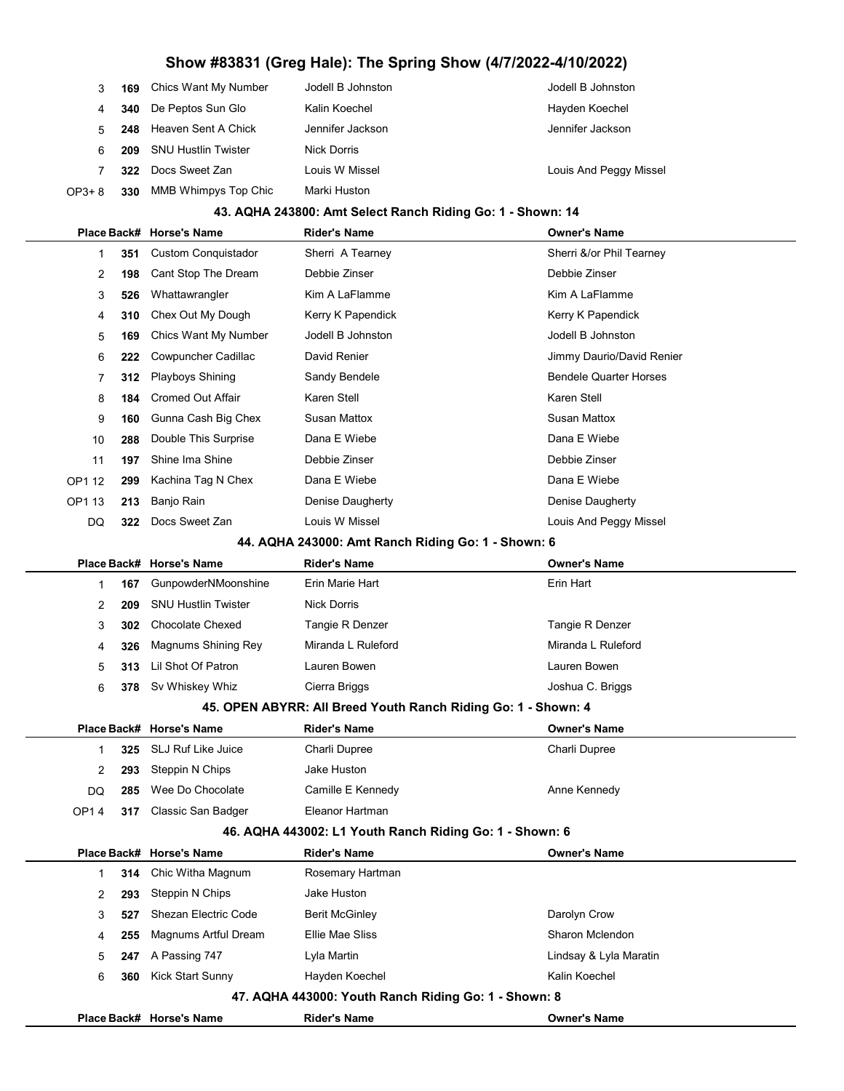|        | 169 | Chics Want My Number        | Jodell B Johnston | Jodell B Johnston      |
|--------|-----|-----------------------------|-------------------|------------------------|
|        | 340 | De Peptos Sun Glo           | Kalin Koechel     | Hayden Koechel         |
| 5      |     | 248 Heaven Sent A Chick     | Jennifer Jackson  | Jennifer Jackson       |
| 6      | 209 | <b>SNU Hustlin Twister</b>  | Nick Dorris       |                        |
|        | 322 | Docs Sweet Zan              | Louis W Missel    | Louis And Peggy Missel |
| OP3+ 8 | 330 | <b>MMB Whimpys Top Chic</b> | Marki Huston      |                        |

#### 43. AQHA 243800: Amt Select Ranch Riding Go: 1 - Shown: 14

|                |     |                            | QHA 270000. ANII OGIGU RANGI RIQING                           |                               |
|----------------|-----|----------------------------|---------------------------------------------------------------|-------------------------------|
|                |     | Place Back# Horse's Name   | <b>Rider's Name</b>                                           | <b>Owner's Name</b>           |
| $\mathbf{1}$   | 351 | <b>Custom Conquistador</b> | Sherri A Tearney                                              | Sherri &/or Phil Tearney      |
| $\overline{2}$ | 198 | Cant Stop The Dream        | Debbie Zinser                                                 | Debbie Zinser                 |
| 3              | 526 | Whattawrangler             | Kim A LaFlamme                                                | Kim A LaFlamme                |
| 4              | 310 | Chex Out My Dough          | Kerry K Papendick                                             | Kerry K Papendick             |
| 5              | 169 | Chics Want My Number       | Jodell B Johnston                                             | Jodell B Johnston             |
| 6              | 222 | Cowpuncher Cadillac        | David Renier                                                  | Jimmy Daurio/David Renier     |
| $\overline{7}$ | 312 | Playboys Shining           | Sandy Bendele                                                 | <b>Bendele Quarter Horses</b> |
| 8              | 184 | <b>Cromed Out Affair</b>   | Karen Stell                                                   | Karen Stell                   |
| 9              | 160 | Gunna Cash Big Chex        | <b>Susan Mattox</b>                                           | <b>Susan Mattox</b>           |
| 10             | 288 | Double This Surprise       | Dana E Wiebe                                                  | Dana E Wiebe                  |
| 11             | 197 | Shine Ima Shine            | Debbie Zinser                                                 | Debbie Zinser                 |
| OP1 12         | 299 | Kachina Tag N Chex         | Dana E Wiebe                                                  | Dana E Wiebe                  |
| OP1 13         | 213 | Banjo Rain                 | Denise Daugherty                                              | Denise Daugherty              |
| DQ             | 322 | Docs Sweet Zan             | Louis W Missel                                                | Louis And Peggy Missel        |
|                |     |                            | 44. AQHA 243000: Amt Ranch Riding Go: 1 - Shown: 6            |                               |
|                |     | Place Back# Horse's Name   | <b>Rider's Name</b>                                           | <b>Owner's Name</b>           |
| 1              | 167 | GunpowderNMoonshine        | Erin Marie Hart                                               | Erin Hart                     |
| $\overline{2}$ | 209 | <b>SNU Hustlin Twister</b> | <b>Nick Dorris</b>                                            |                               |
| 3              | 302 | <b>Chocolate Chexed</b>    | Tangie R Denzer                                               | Tangie R Denzer               |
| 4              | 326 | Magnums Shining Rey        | Miranda L Ruleford                                            | Miranda L Ruleford            |
| 5              | 313 | Lil Shot Of Patron         | Lauren Bowen                                                  | Lauren Bowen                  |
| 6              |     | 378 Sv Whiskey Whiz        | Cierra Briggs                                                 | Joshua C. Briggs              |
|                |     |                            | 45. OPEN ABYRR: All Breed Youth Ranch Riding Go: 1 - Shown: 4 |                               |
|                |     | Place Back# Horse's Name   | <b>Rider's Name</b>                                           | <b>Owner's Name</b>           |
| $\mathbf{1}$   | 325 | SLJ Ruf Like Juice         | Charli Dupree                                                 | Charli Dupree                 |
| $\overline{2}$ | 293 | Steppin N Chips            | Jake Huston                                                   |                               |
| DQ             | 285 | Wee Do Chocolate           | Camille E Kennedy                                             | Anne Kennedy                  |
| <b>OP14</b>    | 317 | Classic San Badger         | Eleanor Hartman                                               |                               |
|                |     |                            | 46. AQHA 443002: L1 Youth Ranch Riding Go: 1 - Shown: 6       |                               |
|                |     | Place Back# Horse's Name   | Rider's Name                                                  | <b>Owner's Name</b>           |
| 1              | 314 | Chic Witha Magnum          | Rosemary Hartman                                              |                               |
| 2              | 293 | Steppin N Chips            | Jake Huston                                                   |                               |
| 3              | 527 | Shezan Electric Code       | <b>Berit McGinley</b>                                         | Darolyn Crow                  |

| Kick Start Sunny<br>Hayden Koechel<br>360   | Kalin Koechel          |
|---------------------------------------------|------------------------|
|                                             |                        |
| Lyla Martin<br><b>247</b> A Passing 747     | Lindsay & Lyla Maratin |
| 255 Magnums Artful Dream<br>Ellie Mae Sliss | Sharon Mclendon        |

Place Back# Horse's Name **Rider's Name Communist Communist Communist** Owner's Name

47. AQHA 443000: Youth Ranch Riding Go: 1 - Shown: 8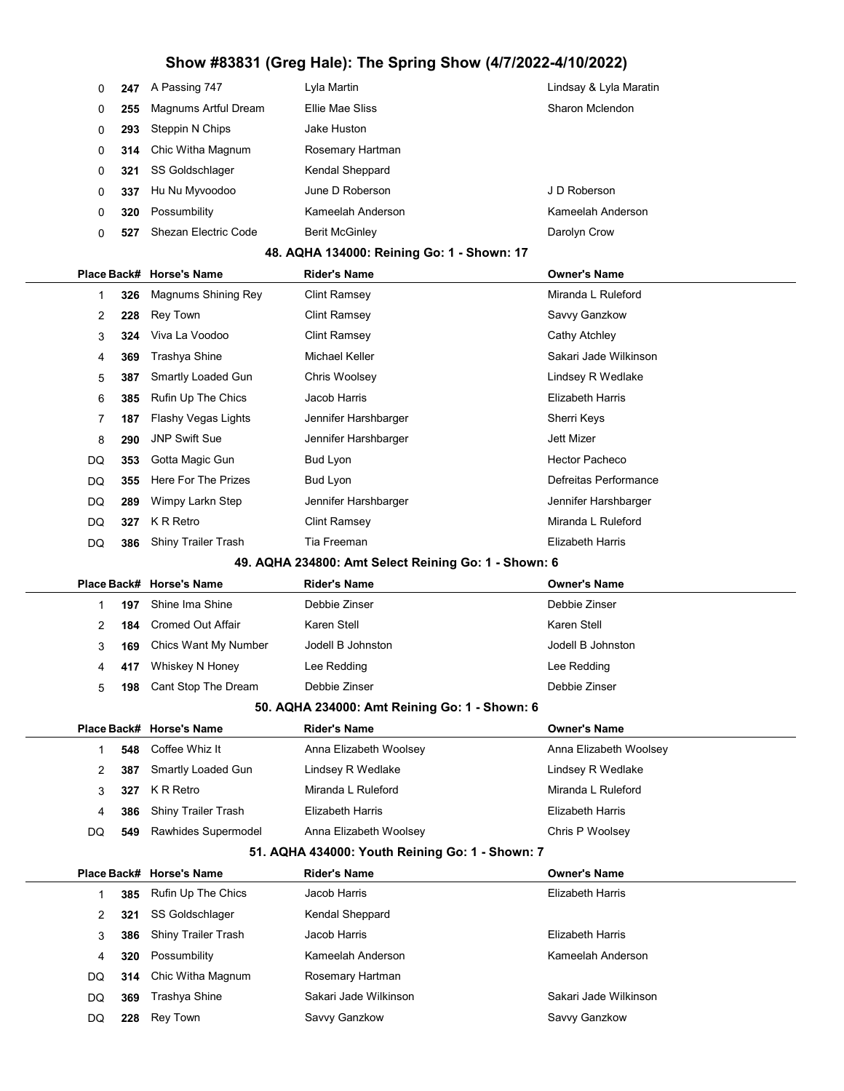| 0            | 247 | A Passing 747            | Lyla Martin                                          | Lindsay & Lyla Maratin  |  |
|--------------|-----|--------------------------|------------------------------------------------------|-------------------------|--|
| 0            | 255 | Magnums Artful Dream     | Ellie Mae Sliss                                      | Sharon Mclendon         |  |
| 0            | 293 | Steppin N Chips          | Jake Huston                                          |                         |  |
| 0            | 314 | Chic Witha Magnum        | Rosemary Hartman                                     |                         |  |
| 0            | 321 | SS Goldschlager          | Kendal Sheppard                                      |                         |  |
| 0            | 337 | Hu Nu Myvoodoo           | June D Roberson                                      | J D Roberson            |  |
| 0            | 320 | Possumbility             | Kameelah Anderson                                    | Kameelah Anderson       |  |
| 0            | 527 | Shezan Electric Code     | <b>Berit McGinley</b>                                | Darolyn Crow            |  |
|              |     |                          | 48. AQHA 134000: Reining Go: 1 - Shown: 17           |                         |  |
| Place Back#  |     | <b>Horse's Name</b>      | <b>Rider's Name</b>                                  | <b>Owner's Name</b>     |  |
| 1            | 326 | Magnums Shining Rey      | <b>Clint Ramsey</b>                                  | Miranda L Ruleford      |  |
| 2            | 228 | <b>Rey Town</b>          | <b>Clint Ramsey</b>                                  | Savvy Ganzkow           |  |
| 3            | 324 | Viva La Voodoo           | <b>Clint Ramsey</b>                                  | Cathy Atchley           |  |
| 4            | 369 | Trashya Shine            | Michael Keller                                       | Sakari Jade Wilkinson   |  |
| 5            | 387 | Smartly Loaded Gun       | Chris Woolsey                                        | Lindsey R Wedlake       |  |
| 6            | 385 | Rufin Up The Chics       | Jacob Harris                                         | <b>Elizabeth Harris</b> |  |
| 7            | 187 | Flashy Vegas Lights      | Jennifer Harshbarger                                 | Sherri Keys             |  |
| 8            | 290 | <b>JNP Swift Sue</b>     | Jennifer Harshbarger                                 | Jett Mizer              |  |
| DQ           | 353 | Gotta Magic Gun          | <b>Bud Lyon</b>                                      | <b>Hector Pacheco</b>   |  |
| DQ           | 355 | Here For The Prizes      | Bud Lyon                                             | Defreitas Performance   |  |
| DQ           | 289 | Wimpy Larkn Step         | Jennifer Harshbarger                                 | Jennifer Harshbarger    |  |
| DQ           | 327 | K R Retro                | <b>Clint Ramsey</b>                                  | Miranda L Ruleford      |  |
| DQ           | 386 | Shiny Trailer Trash      | Tia Freeman                                          | <b>Elizabeth Harris</b> |  |
|              |     |                          | 49. AQHA 234800: Amt Select Reining Go: 1 - Shown: 6 |                         |  |
| Place Back#  |     | <b>Horse's Name</b>      | <b>Rider's Name</b>                                  | <b>Owner's Name</b>     |  |
| 1            | 197 | Shine Ima Shine          | Debbie Zinser                                        | Debbie Zinser           |  |
| 2            | 184 | <b>Cromed Out Affair</b> | Karen Stell                                          | Karen Stell             |  |
| 3            | 169 | Chics Want My Number     | Jodell B Johnston                                    | Jodell B Johnston       |  |
|              |     |                          |                                                      |                         |  |
| 4            | 417 | Whiskey N Honey          | Lee Redding                                          | Lee Redding             |  |
| 5            | 198 | Cant Stop The Dream      | Debbie Zinser                                        | Debbie Zinser           |  |
|              |     |                          | 50. AQHA 234000: Amt Reining Go: 1 - Shown: 6        |                         |  |
|              |     | Place Back# Horse's Name | <b>Rider's Name</b>                                  | <b>Owner's Name</b>     |  |
| $\mathbf{1}$ | 548 | Coffee Whiz It           | Anna Elizabeth Woolsey                               | Anna Elizabeth Woolsey  |  |
| 2            | 387 | Smartly Loaded Gun       | Lindsey R Wedlake                                    | Lindsey R Wedlake       |  |
| 3            | 327 | K R Retro                | Miranda L Ruleford                                   | Miranda L Ruleford      |  |
| 4            | 386 | Shiny Trailer Trash      | <b>Elizabeth Harris</b>                              | <b>Elizabeth Harris</b> |  |
| DQ           | 549 | Rawhides Supermodel      | Anna Elizabeth Woolsey                               | Chris P Woolsey         |  |
|              |     |                          | 51. AQHA 434000: Youth Reining Go: 1 - Shown: 7      |                         |  |
|              |     | Place Back# Horse's Name | <b>Rider's Name</b>                                  | <b>Owner's Name</b>     |  |
| 1            | 385 | Rufin Up The Chics       | Jacob Harris                                         | Elizabeth Harris        |  |
| 2            | 321 | SS Goldschlager          | Kendal Sheppard                                      |                         |  |
| 3            | 386 | Shiny Trailer Trash      | Jacob Harris                                         | <b>Elizabeth Harris</b> |  |
| 4            | 320 | Possumbility             | Kameelah Anderson                                    | Kameelah Anderson       |  |
| DQ           | 314 | Chic Witha Magnum        | Rosemary Hartman                                     |                         |  |
| DQ           | 369 | Trashya Shine            | Sakari Jade Wilkinson                                | Sakari Jade Wilkinson   |  |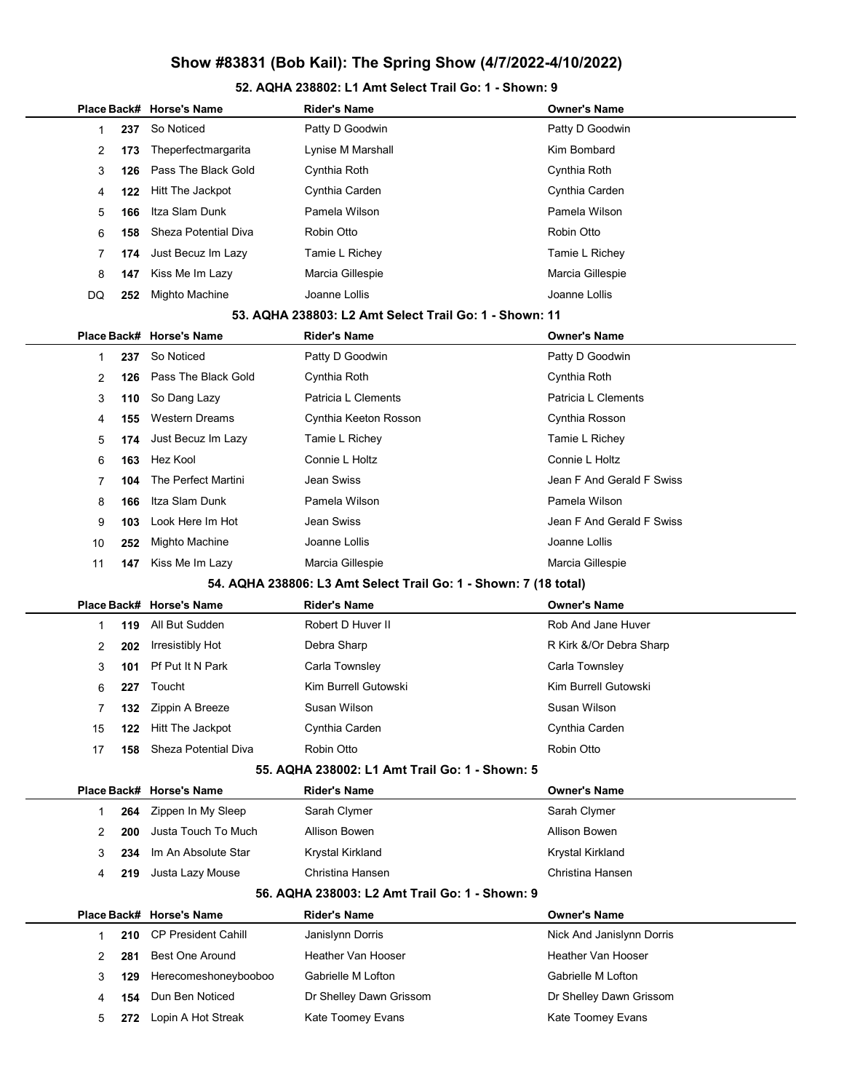#### 52. AQHA 238802: L1 Amt Select Trail Go: 1 - Shown: 9

|    |              |     | Place Back# Horse's Name   | <b>Rider's Name</b>                                              | <b>Owner's Name</b>       |
|----|--------------|-----|----------------------------|------------------------------------------------------------------|---------------------------|
|    | 1            | 237 | So Noticed                 | Patty D Goodwin                                                  | Patty D Goodwin           |
|    | 2            | 173 | Theperfectmargarita        | Lynise M Marshall                                                | Kim Bombard               |
|    | 3            | 126 | Pass The Black Gold        | Cynthia Roth                                                     | Cynthia Roth              |
|    | 4            | 122 | Hitt The Jackpot           | Cynthia Carden                                                   | Cynthia Carden            |
|    | 5            | 166 | Itza Slam Dunk             | Pamela Wilson                                                    | Pamela Wilson             |
|    | 6            | 158 | Sheza Potential Diva       | Robin Otto                                                       | Robin Otto                |
|    | 7            | 174 | Just Becuz Im Lazy         | Tamie L Richey                                                   | Tamie L Richey            |
|    | 8            | 147 | Kiss Me Im Lazy            | Marcia Gillespie                                                 | Marcia Gillespie          |
| DQ |              | 252 | Mighto Machine             | Joanne Lollis                                                    | Joanne Lollis             |
|    |              |     |                            | 53. AQHA 238803: L2 Amt Select Trail Go: 1 - Shown: 11           |                           |
|    | Place Back#  |     | <b>Horse's Name</b>        | <b>Rider's Name</b>                                              | <b>Owner's Name</b>       |
|    | 1            | 237 | So Noticed                 | Patty D Goodwin                                                  | Patty D Goodwin           |
|    | 2            | 126 | Pass The Black Gold        | Cynthia Roth                                                     | Cynthia Roth              |
|    | 3            | 110 | So Dang Lazy               | Patricia L Clements                                              | Patricia L Clements       |
|    | 4            | 155 | <b>Western Dreams</b>      | Cynthia Keeton Rosson                                            | Cynthia Rosson            |
|    | 5            | 174 | Just Becuz Im Lazy         | Tamie L Richey                                                   | Tamie L Richey            |
|    | 6            | 163 | Hez Kool                   | Connie L Holtz                                                   | Connie L Holtz            |
|    | 7            | 104 | The Perfect Martini        | Jean Swiss                                                       | Jean F And Gerald F Swiss |
|    | 8            | 166 | Itza Slam Dunk             | Pamela Wilson                                                    | Pamela Wilson             |
|    | 9            | 103 | Look Here Im Hot           | Jean Swiss                                                       | Jean F And Gerald F Swiss |
|    | 10           | 252 | Mighto Machine             | Joanne Lollis                                                    | Joanne Lollis             |
|    | 11           | 147 | Kiss Me Im Lazy            | Marcia Gillespie                                                 | Marcia Gillespie          |
|    |              |     |                            | 54. AQHA 238806: L3 Amt Select Trail Go: 1 - Shown: 7 (18 total) |                           |
|    | Place Back#  |     | <b>Horse's Name</b>        | <b>Rider's Name</b>                                              | <b>Owner's Name</b>       |
|    | 1            | 119 | All But Sudden             | Robert D Huver II                                                | Rob And Jane Huver        |
|    | 2            | 202 | Irresistibly Hot           | Debra Sharp                                                      | R Kirk &/Or Debra Sharp   |
|    | 3            | 101 | Pf Put It N Park           | Carla Townsley                                                   | Carla Townsley            |
|    | 6            | 227 | Toucht                     | Kim Burrell Gutowski                                             | Kim Burrell Gutowski      |
|    | 7            | 132 | Zippin A Breeze            | Susan Wilson                                                     | Susan Wilson              |
|    | 15           | 122 | Hitt The Jackpot           | Cynthia Carden                                                   | Cynthia Carden            |
|    | 17           | 158 | Sheza Potential Diva       | Robin Otto                                                       | Robin Otto                |
|    |              |     |                            | 55. AQHA 238002: L1 Amt Trail Go: 1 - Shown: 5                   |                           |
|    |              |     | Place Back# Horse's Name   | <b>Rider's Name</b>                                              | <b>Owner's Name</b>       |
|    | 1            | 264 | Zippen In My Sleep         | Sarah Clymer                                                     | Sarah Clymer              |
|    | 2            | 200 | Justa Touch To Much        | Allison Bowen                                                    | Allison Bowen             |
|    | 3            | 234 | Im An Absolute Star        | Krystal Kirkland                                                 | Krystal Kirkland          |
|    | 4            | 219 | Justa Lazy Mouse           | Christina Hansen                                                 | Christina Hansen          |
|    |              |     |                            | 56. AQHA 238003: L2 Amt Trail Go: 1 - Shown: 9                   |                           |
|    | Place Back#  |     | <b>Horse's Name</b>        | Rider's Name                                                     | <b>Owner's Name</b>       |
|    | $\mathbf{1}$ | 210 | <b>CP President Cahill</b> | Janislynn Dorris                                                 | Nick And Janislynn Dorris |
|    | 2            | 281 | <b>Best One Around</b>     | Heather Van Hooser                                               | Heather Van Hooser        |
|    | 3            | 129 | Herecomeshoneybooboo       | Gabrielle M Lofton                                               | Gabrielle M Lofton        |
|    | 4            | 154 | Dun Ben Noticed            | Dr Shelley Dawn Grissom                                          | Dr Shelley Dawn Grissom   |
|    | 5            | 272 | Lopin A Hot Streak         | Kate Toomey Evans                                                | Kate Toomey Evans         |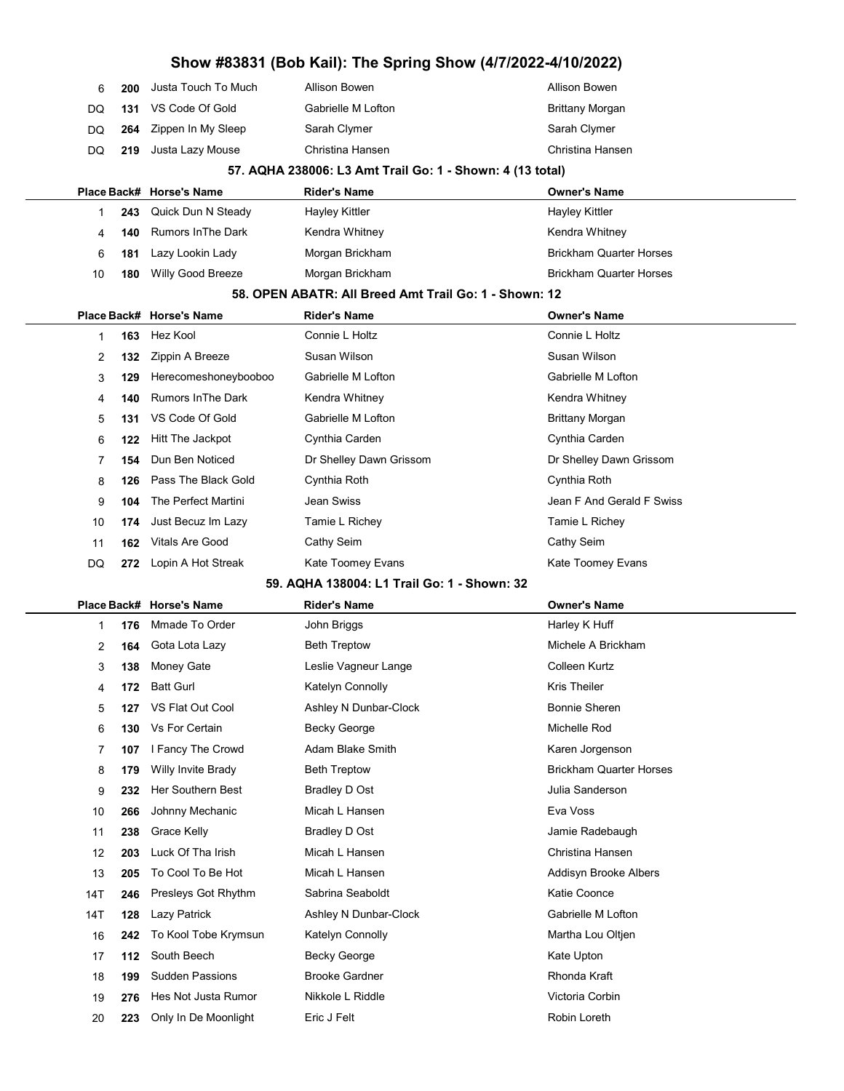|     |     |                           | Show #83831 (Bob Kail): The Spring Show (4/7/2022-4/10/2022) |                                |
|-----|-----|---------------------------|--------------------------------------------------------------|--------------------------------|
| 6   | 200 | Justa Touch To Much       | Allison Bowen                                                | Allison Bowen                  |
| DQ  | 131 | VS Code Of Gold           | Gabrielle M Lofton                                           | <b>Brittany Morgan</b>         |
| DQ  | 264 | Zippen In My Sleep        | Sarah Clymer                                                 | Sarah Clymer                   |
| DQ  | 219 | Justa Lazy Mouse          | Christina Hansen                                             | Christina Hansen               |
|     |     |                           | 57. AQHA 238006: L3 Amt Trail Go: 1 - Shown: 4 (13 total)    |                                |
|     |     | Place Back# Horse's Name  | <b>Rider's Name</b>                                          | <b>Owner's Name</b>            |
| 1   | 243 | Quick Dun N Steady        | <b>Hayley Kittler</b>                                        | <b>Hayley Kittler</b>          |
| 4   | 140 | <b>Rumors In The Dark</b> | Kendra Whitney                                               | Kendra Whitney                 |
| 6   | 181 | Lazy Lookin Lady          | Morgan Brickham                                              | <b>Brickham Quarter Horses</b> |
| 10  | 180 | Willy Good Breeze         | Morgan Brickham                                              | <b>Brickham Quarter Horses</b> |
|     |     |                           | 58. OPEN ABATR: All Breed Amt Trail Go: 1 - Shown: 12        |                                |
|     |     | Place Back# Horse's Name  | <b>Rider's Name</b>                                          | <b>Owner's Name</b>            |
| 1   | 163 | Hez Kool                  | Connie L Holtz                                               | Connie L Holtz                 |
| 2   | 132 | Zippin A Breeze           | Susan Wilson                                                 | Susan Wilson                   |
| 3   | 129 | Herecomeshoneybooboo      | Gabrielle M Lofton                                           | Gabrielle M Lofton             |
| 4   | 140 | <b>Rumors In The Dark</b> | Kendra Whitney                                               | Kendra Whitney                 |
| 5   | 131 | VS Code Of Gold           | Gabrielle M Lofton                                           | <b>Brittany Morgan</b>         |
| 6   | 122 | Hitt The Jackpot          | Cynthia Carden                                               | Cynthia Carden                 |
| 7   | 154 | Dun Ben Noticed           | Dr Shelley Dawn Grissom                                      | Dr Shelley Dawn Grissom        |
| 8   | 126 | Pass The Black Gold       | Cynthia Roth                                                 | Cynthia Roth                   |
| 9   | 104 | The Perfect Martini       | Jean Swiss                                                   | Jean F And Gerald F Swiss      |
| 10  | 174 | Just Becuz Im Lazy        | Tamie L Richey                                               | Tamie L Richey                 |
| 11  | 162 | <b>Vitals Are Good</b>    | Cathy Seim                                                   | Cathy Seim                     |
| DQ  | 272 | Lopin A Hot Streak        | Kate Toomey Evans                                            | Kate Toomey Evans              |
|     |     |                           | 59. AQHA 138004: L1 Trail Go: 1 - Shown: 32                  |                                |
|     |     | Place Back# Horse's Name  | <b>Rider's Name</b>                                          | <b>Owner's Name</b>            |
| 1   | 176 | Mmade To Order            | John Briggs                                                  | Harley K Huff                  |
| 2   | 164 | Gota Lota Lazy            | <b>Beth Treptow</b>                                          | Michele A Brickham             |
| 3   | 138 | Money Gate                | Leslie Vagneur Lange                                         | Colleen Kurtz                  |
| 4   | 172 | <b>Batt Gurl</b>          | Katelyn Connolly                                             | <b>Kris Theiler</b>            |
| 5   | 127 | VS Flat Out Cool          | Ashley N Dunbar-Clock                                        | <b>Bonnie Sheren</b>           |
| 6   | 130 | Vs For Certain            | <b>Becky George</b>                                          | Michelle Rod                   |
| 7   | 107 | I Fancy The Crowd         | Adam Blake Smith                                             | Karen Jorgenson                |
| 8   | 179 | Willy Invite Brady        | <b>Beth Treptow</b>                                          | <b>Brickham Quarter Horses</b> |
| 9   | 232 | Her Southern Best         | Bradley D Ost                                                | Julia Sanderson                |
| 10  | 266 | Johnny Mechanic           | Micah L Hansen                                               | Eva Voss                       |
| 11  | 238 | Grace Kelly               | Bradley D Ost                                                | Jamie Radebaugh                |
| 12  | 203 | Luck Of Tha Irish         | Micah L Hansen                                               | Christina Hansen               |
| 13  | 205 | To Cool To Be Hot         | Micah L Hansen                                               | Addisyn Brooke Albers          |
| 14T | 246 | Presleys Got Rhythm       | Sabrina Seaboldt                                             | Katie Coonce                   |
| 14T | 128 | Lazy Patrick              | Ashley N Dunbar-Clock                                        | Gabrielle M Lofton             |
| 16  | 242 | To Kool Tobe Krymsun      | Katelyn Connolly                                             | Martha Lou Oltjen              |
| 17  | 112 | South Beech               | <b>Becky George</b>                                          | Kate Upton                     |
| 18  | 199 | <b>Sudden Passions</b>    | <b>Brooke Gardner</b>                                        | Rhonda Kraft                   |
| 19  | 276 | Hes Not Justa Rumor       | Nikkole L Riddle                                             | Victoria Corbin                |
| 20  | 223 | Only In De Moonlight      | Eric J Felt                                                  | Robin Loreth                   |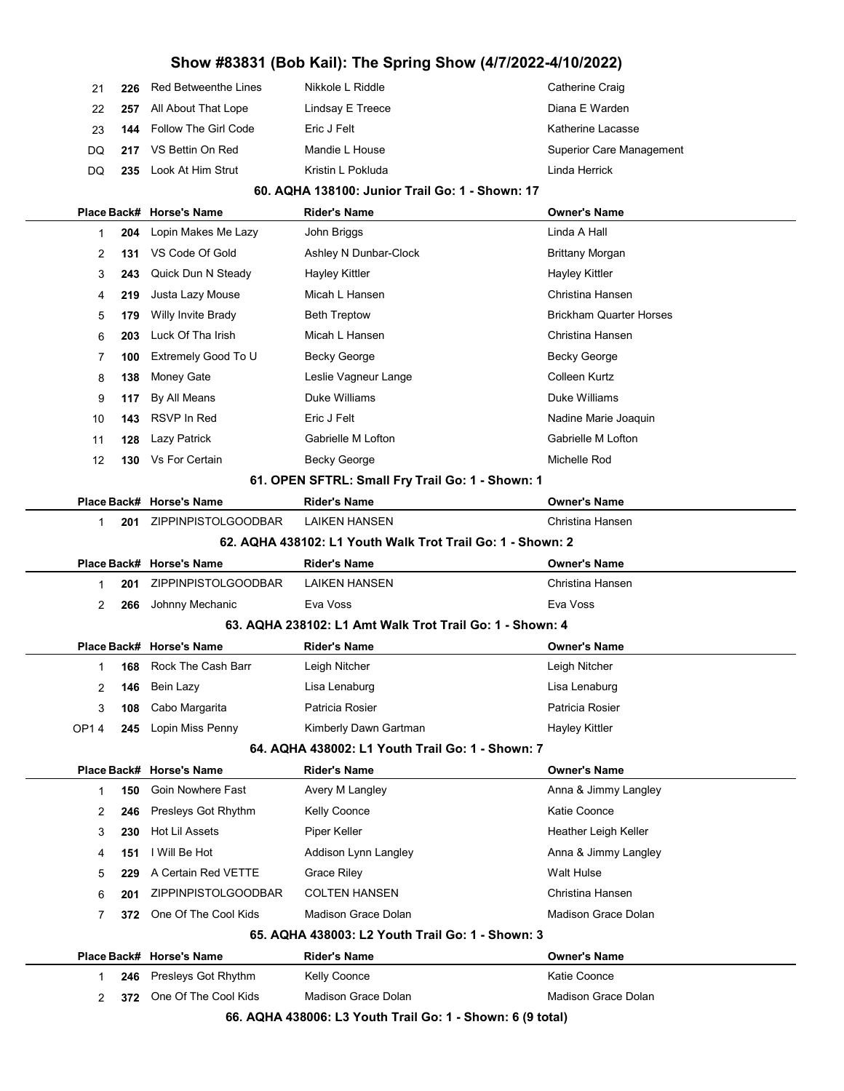| 21 | 226 Red Betweenthe Lines        | Nikkole L Riddle  | Catherine Craig          |
|----|---------------------------------|-------------------|--------------------------|
|    | 22 257 All About That Lope      | Lindsay E Treece  | Diana E Warden           |
| 23 | <b>144</b> Follow The Girl Code | Eric J Felt       | Katherine Lacasse        |
|    | DO 217 VS Bettin On Red         | Mandie L House    | Superior Care Management |
| DO | 235 Look At Him Strut           | Kristin L Pokluda | Linda Herrick            |
|    |                                 |                   |                          |

#### 60. AQHA 138100: Junior Trail Go: 1 - Shown: 17

|              |     | Place Back# Horse's Name   | <b>Rider's Name</b>                                        | <b>Owner's Name</b>            |
|--------------|-----|----------------------------|------------------------------------------------------------|--------------------------------|
| 1            | 204 | Lopin Makes Me Lazy        | John Briggs                                                | Linda A Hall                   |
| 2            | 131 | VS Code Of Gold            | Ashley N Dunbar-Clock                                      | <b>Brittany Morgan</b>         |
| 3            | 243 | Quick Dun N Steady         | <b>Hayley Kittler</b>                                      | Hayley Kittler                 |
| 4            | 219 | Justa Lazy Mouse           | Micah L Hansen                                             | Christina Hansen               |
| 5            | 179 | Willy Invite Brady         | <b>Beth Treptow</b>                                        | <b>Brickham Quarter Horses</b> |
| 6            | 203 | Luck Of Tha Irish          | Micah L Hansen                                             | Christina Hansen               |
| 7            | 100 | Extremely Good To U        | <b>Becky George</b>                                        | <b>Becky George</b>            |
| 8            | 138 | Money Gate                 | Leslie Vagneur Lange                                       | Colleen Kurtz                  |
| 9            | 117 | By All Means               | Duke Williams                                              | Duke Williams                  |
| 10           | 143 | <b>RSVP In Red</b>         | Eric J Felt                                                | Nadine Marie Joaquin           |
| 11           | 128 | Lazy Patrick               | Gabrielle M Lofton                                         | Gabrielle M Lofton             |
| 12           | 130 | Vs For Certain             | Becky George                                               | Michelle Rod                   |
|              |     |                            | 61. OPEN SFTRL: Small Fry Trail Go: 1 - Shown: 1           |                                |
|              |     | Place Back# Horse's Name   | <b>Rider's Name</b>                                        | <b>Owner's Name</b>            |
| $\mathbf{1}$ | 201 | <b>ZIPPINPISTOLGOODBAR</b> | <b>LAIKEN HANSEN</b>                                       | Christina Hansen               |
|              |     |                            | 62. AQHA 438102: L1 Youth Walk Trot Trail Go: 1 - Shown: 2 |                                |
|              |     | Place Back# Horse's Name   | <b>Rider's Name</b>                                        | <b>Owner's Name</b>            |
| 1            | 201 | <b>ZIPPINPISTOLGOODBAR</b> | <b>LAIKEN HANSEN</b>                                       | Christina Hansen               |
| 2            | 266 | Johnny Mechanic            | Eva Voss                                                   | Eva Voss                       |
|              |     |                            | 63. AQHA 238102: L1 Amt Walk Trot Trail Go: 1 - Shown: 4   |                                |
|              |     |                            |                                                            |                                |
|              |     | Place Back# Horse's Name   | <b>Rider's Name</b>                                        | <b>Owner's Name</b>            |
| 1            | 168 | Rock The Cash Barr         | Leigh Nitcher                                              | Leigh Nitcher                  |
| 2            | 146 | Bein Lazy                  | Lisa Lenaburg                                              | Lisa Lenaburg                  |
| 3            | 108 | Cabo Margarita             | Patricia Rosier                                            | Patricia Rosier                |
| <b>OP14</b>  | 245 | Lopin Miss Penny           | Kimberly Dawn Gartman                                      | <b>Hayley Kittler</b>          |
|              |     |                            | 64. AQHA 438002: L1 Youth Trail Go: 1 - Shown: 7           |                                |
|              |     | Place Back# Horse's Name   | <b>Rider's Name</b>                                        | <b>Owner's Name</b>            |
| 1            | 150 | Goin Nowhere Fast          | Avery M Langley                                            | Anna & Jimmy Langley           |
| 2            | 246 | Presleys Got Rhythm        | <b>Kelly Coonce</b>                                        | Katie Coonce                   |
| 3            | 230 | Hot Lil Assets             | Piper Keller                                               | Heather Leigh Keller           |
| 4            | 151 | I Will Be Hot              | Addison Lynn Langley                                       | Anna & Jimmy Langley           |
| 5            | 229 | A Certain Red VETTE        | <b>Grace Riley</b>                                         | Walt Hulse                     |
| 6            | 201 | ZIPPINPISTOLGOODBAR        | <b>COLTEN HANSEN</b>                                       | Christina Hansen               |
| 7            | 372 | One Of The Cool Kids       | Madison Grace Dolan                                        | Madison Grace Dolan            |
|              |     |                            | 65. AQHA 438003: L2 Youth Trail Go: 1 - Shown: 3           |                                |
|              |     | Place Back# Horse's Name   | <b>Rider's Name</b>                                        | <b>Owner's Name</b>            |
| 1            | 246 | Presleys Got Rhythm        | Kelly Coonce                                               | <b>Katie Coonce</b>            |
| 2            | 372 | One Of The Cool Kids       | Madison Grace Dolan                                        | <b>Madison Grace Dolan</b>     |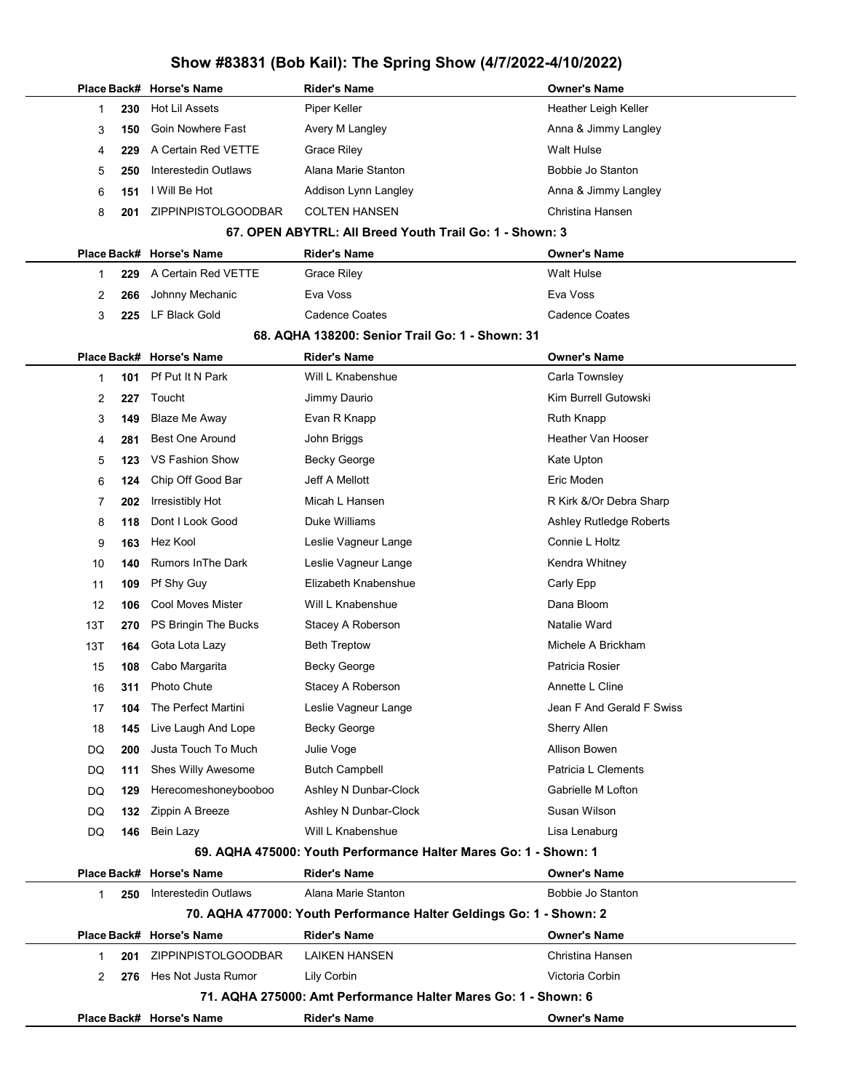|     |     | Place Back# Horse's Name  | <b>Rider's Name</b>                                                 | <b>Owner's Name</b>       |
|-----|-----|---------------------------|---------------------------------------------------------------------|---------------------------|
| 1   | 230 | <b>Hot Lil Assets</b>     | Piper Keller                                                        | Heather Leigh Keller      |
| 3   | 150 | <b>Goin Nowhere Fast</b>  | Avery M Langley                                                     | Anna & Jimmy Langley      |
| 4   | 229 | A Certain Red VETTE       | <b>Grace Riley</b>                                                  | <b>Walt Hulse</b>         |
| 5   | 250 | Interestedin Outlaws      | Alana Marie Stanton                                                 | <b>Bobbie Jo Stanton</b>  |
| 6   | 151 | I Will Be Hot             | Addison Lynn Langley                                                | Anna & Jimmy Langley      |
| 8   | 201 | ZIPPINPISTOLGOODBAR       | <b>COLTEN HANSEN</b>                                                | Christina Hansen          |
|     |     |                           | 67. OPEN ABYTRL: All Breed Youth Trail Go: 1 - Shown: 3             |                           |
|     |     | Place Back# Horse's Name  | <b>Rider's Name</b>                                                 | <b>Owner's Name</b>       |
| 1   | 229 | A Certain Red VETTE       | <b>Grace Riley</b>                                                  | <b>Walt Hulse</b>         |
| 2   | 266 | Johnny Mechanic           | Eva Voss                                                            | Eva Voss                  |
| 3   | 225 | LF Black Gold             | <b>Cadence Coates</b>                                               | <b>Cadence Coates</b>     |
|     |     |                           | 68. AQHA 138200: Senior Trail Go: 1 - Shown: 31                     |                           |
|     |     | Place Back# Horse's Name  | <b>Rider's Name</b>                                                 | <b>Owner's Name</b>       |
| 1   | 101 | Pf Put It N Park          | Will L Knabenshue                                                   | Carla Townsley            |
| 2   | 227 | Toucht                    | Jimmy Daurio                                                        | Kim Burrell Gutowski      |
| 3   | 149 | <b>Blaze Me Away</b>      | Evan R Knapp                                                        | Ruth Knapp                |
| 4   | 281 | <b>Best One Around</b>    | John Briggs                                                         | Heather Van Hooser        |
| 5   | 123 | VS Fashion Show           | <b>Becky George</b>                                                 | Kate Upton                |
| 6   | 124 | Chip Off Good Bar         | Jeff A Mellott                                                      | Eric Moden                |
| 7   | 202 | Irresistibly Hot          | Micah L Hansen                                                      | R Kirk &/Or Debra Sharp   |
| 8   | 118 | Dont I Look Good          | Duke Williams                                                       | Ashley Rutledge Roberts   |
| 9   | 163 | Hez Kool                  | Leslie Vagneur Lange                                                | Connie L Holtz            |
| 10  | 140 | <b>Rumors In The Dark</b> | Leslie Vagneur Lange                                                | Kendra Whitney            |
| 11  | 109 | Pf Shy Guy                | Elizabeth Knabenshue                                                | Carly Epp                 |
| 12  | 106 | <b>Cool Moves Mister</b>  | Will L Knabenshue                                                   | Dana Bloom                |
| 13T | 270 | PS Bringin The Bucks      | Stacey A Roberson                                                   | Natalie Ward              |
| 13T | 164 | Gota Lota Lazy            | <b>Beth Treptow</b>                                                 | Michele A Brickham        |
| 15  | 108 | Cabo Margarita            | Becky George                                                        | Patricia Rosier           |
| 16  | 311 | Photo Chute               | Stacey A Roberson                                                   | Annette L Cline           |
| 17  | 104 | The Perfect Martini       | Leslie Vagneur Lange                                                | Jean F And Gerald F Swiss |
| 18  | 145 | Live Laugh And Lope       | <b>Becky George</b>                                                 | Sherry Allen              |
| DQ  | 200 | Justa Touch To Much       | Julie Voge                                                          | Allison Bowen             |
| DQ  | 111 | Shes Willy Awesome        | <b>Butch Campbell</b>                                               | Patricia L Clements       |
| DQ  | 129 | Herecomeshoneybooboo      | Ashley N Dunbar-Clock                                               | Gabrielle M Lofton        |
| DQ  | 132 | Zippin A Breeze           | Ashley N Dunbar-Clock                                               | Susan Wilson              |
| DQ  | 146 | Bein Lazy                 | Will L Knabenshue                                                   | Lisa Lenaburg             |
|     |     |                           | 69. AQHA 475000: Youth Performance Halter Mares Go: 1 - Shown: 1    |                           |
|     |     | Place Back# Horse's Name  | <b>Rider's Name</b>                                                 | <b>Owner's Name</b>       |
| 1   | 250 | Interestedin Outlaws      | Alana Marie Stanton                                                 | Bobbie Jo Stanton         |
|     |     |                           | 70. AQHA 477000: Youth Performance Halter Geldings Go: 1 - Shown: 2 |                           |
|     |     | Place Back# Horse's Name  | <b>Rider's Name</b>                                                 | <b>Owner's Name</b>       |
| 1   | 201 | ZIPPINPISTOLGOODBAR       | <b>LAIKEN HANSEN</b>                                                | Christina Hansen          |
| 2   | 276 | Hes Not Justa Rumor       | Lily Corbin                                                         | Victoria Corbin           |
|     |     |                           | 71. AQHA 275000: Amt Performance Halter Mares Go: 1 - Shown: 6      |                           |
|     |     | Place Back# Horse's Name  | <b>Rider's Name</b>                                                 | <b>Owner's Name</b>       |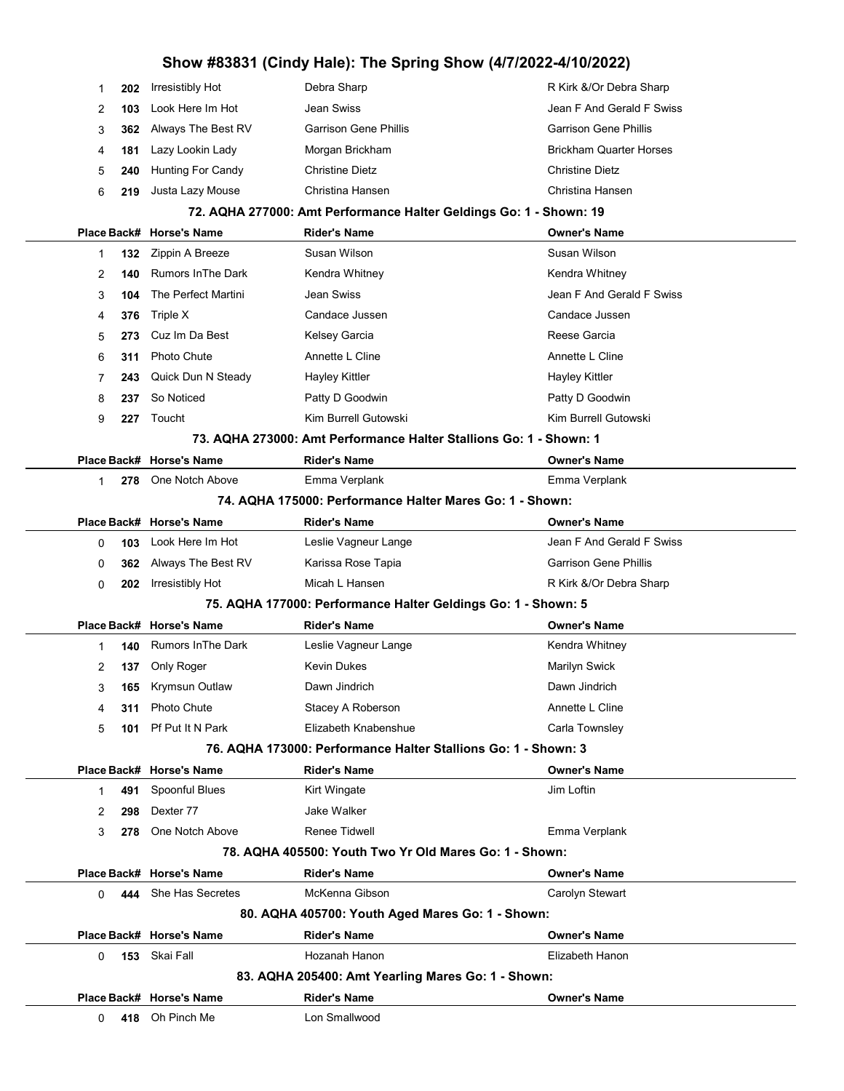|                                                                    |     | 132 7innin A Breeze      | Susan Wilson                 | Susan Wilson                   |  |  |
|--------------------------------------------------------------------|-----|--------------------------|------------------------------|--------------------------------|--|--|
|                                                                    |     | Place Back# Horse's Name | <b>Rider's Name</b>          | <b>Owner's Name</b>            |  |  |
| 72. AQHA 277000: Amt Performance Halter Geldings Go: 1 - Shown: 19 |     |                          |                              |                                |  |  |
| 6                                                                  | 219 | Justa Lazy Mouse         | Christina Hansen             | Christina Hansen               |  |  |
| 5                                                                  | 240 | Hunting For Candy        | <b>Christine Dietz</b>       | <b>Christine Dietz</b>         |  |  |
| 4                                                                  | 181 | Lazy Lookin Lady         | Morgan Brickham              | <b>Brickham Quarter Horses</b> |  |  |
| 3                                                                  |     | 362 Always The Best RV   | <b>Garrison Gene Phillis</b> | <b>Garrison Gene Phillis</b>   |  |  |
| 2                                                                  | 103 | Look Here Im Hot         | Jean Swiss                   | Jean F And Gerald F Swiss      |  |  |
|                                                                    | 202 | Irresistibly Hot         | Debra Sharp                  | R Kirk &/Or Debra Sharp        |  |  |

|   |     | Place Back# Horse's Name  | <b>Rider's Name</b>                                                | <b>Owner's Name</b>       |
|---|-----|---------------------------|--------------------------------------------------------------------|---------------------------|
|   |     |                           | 73. AQHA 273000: Amt Performance Halter Stallions Go: 1 - Shown: 1 |                           |
| 9 | 227 | Toucht                    | Kim Burrell Gutowski                                               | Kim Burrell Gutowski      |
| 8 | 237 | So Noticed                | Patty D Goodwin                                                    | Patty D Goodwin           |
|   | 243 | Quick Dun N Steady        | Hayley Kittler                                                     | Hayley Kittler            |
| 6 | 311 | <b>Photo Chute</b>        | Annette L Cline                                                    | Annette L Cline           |
| 5 |     | 273 Cuz Im Da Best        | Kelsey Garcia                                                      | Reese Garcia              |
| 4 | 376 | Triple X                  | Candace Jussen                                                     | Candace Jussen            |
| 3 | 104 | The Perfect Martini       | Jean Swiss                                                         | Jean F And Gerald F Swiss |
| 2 | 140 | <b>Rumors In The Dark</b> | Kendra Whitney                                                     | Kendra Whitney            |
|   | 132 | Zippin A Breeze           | Susan Wilson                                                       | Susan Wilson              |

|  | 278 One Notch Above | Emma Verplank | Emma Verplank |
|--|---------------------|---------------|---------------|
|  |                     |               |               |

| 74. AQHA 175000: Performance Halter Mares Go: 1 - Shown: |  |  |
|----------------------------------------------------------|--|--|
|----------------------------------------------------------|--|--|

|          |                                                                | Place Back# Horse's Name  | <b>Rider's Name</b>                                           | <b>Owner's Name</b>          |  |
|----------|----------------------------------------------------------------|---------------------------|---------------------------------------------------------------|------------------------------|--|
| 0        | 103                                                            | Look Here Im Hot          | Leslie Vagneur Lange                                          | Jean F And Gerald F Swiss    |  |
| 0        | 362                                                            | Always The Best RV        | Karissa Rose Tapia                                            | <b>Garrison Gene Phillis</b> |  |
| 0        | 202                                                            | Irresistibly Hot          | Micah L Hansen                                                | R Kirk &/Or Debra Sharp      |  |
|          |                                                                |                           | 75. AQHA 177000: Performance Halter Geldings Go: 1 - Shown: 5 |                              |  |
|          |                                                                | Place Back# Horse's Name  | <b>Rider's Name</b>                                           | <b>Owner's Name</b>          |  |
| 1        | 140                                                            | <b>Rumors In The Dark</b> | Leslie Vagneur Lange                                          | Kendra Whitney               |  |
| 2        | 137                                                            | Only Roger                | <b>Kevin Dukes</b>                                            | Marilyn Swick                |  |
| 3        | 165                                                            | <b>Krymsun Outlaw</b>     | Dawn Jindrich                                                 | Dawn Jindrich                |  |
| 4        | 311                                                            | Photo Chute               | Stacey A Roberson                                             | Annette L Cline              |  |
| 5        | 101                                                            | Pf Put It N Park          | Elizabeth Knabenshue                                          | Carla Townsley               |  |
|          | 76. AQHA 173000: Performance Halter Stallions Go: 1 - Shown: 3 |                           |                                                               |                              |  |
|          |                                                                | Place Back# Horse's Name  | <b>Rider's Name</b>                                           | <b>Owner's Name</b>          |  |
| 1        | 491                                                            | Spoonful Blues            | Kirt Wingate                                                  | Jim Loftin                   |  |
| 2        | 298                                                            | Dexter 77                 | <b>Jake Walker</b>                                            |                              |  |
| 3        | 278                                                            | One Notch Above           | <b>Renee Tidwell</b>                                          | Emma Verplank                |  |
|          | 78. AQHA 405500: Youth Two Yr Old Mares Go: 1 - Shown:         |                           |                                                               |                              |  |
|          |                                                                | Place Back# Horse's Name  | <b>Rider's Name</b>                                           | <b>Owner's Name</b>          |  |
| $\Omega$ | 444                                                            | She Has Secretes          | McKenna Gibson                                                | Carolyn Stewart              |  |
|          |                                                                |                           | 80. AQHA 405700: Youth Aged Mares Go: 1 - Shown:              |                              |  |
|          |                                                                | Place Back# Horse's Name  | <b>Rider's Name</b>                                           | <b>Owner's Name</b>          |  |
| $\Omega$ |                                                                | 153 Skai Fall             | Hozanah Hanon                                                 | Elizabeth Hanon              |  |
|          |                                                                |                           | 83. AQHA 205400: Amt Yearling Mares Go: 1 - Shown:            |                              |  |
|          |                                                                | Place Back# Horse's Name  | <b>Rider's Name</b>                                           | <b>Owner's Name</b>          |  |
| 0        |                                                                | 418 Oh Pinch Me           | Lon Smallwood                                                 |                              |  |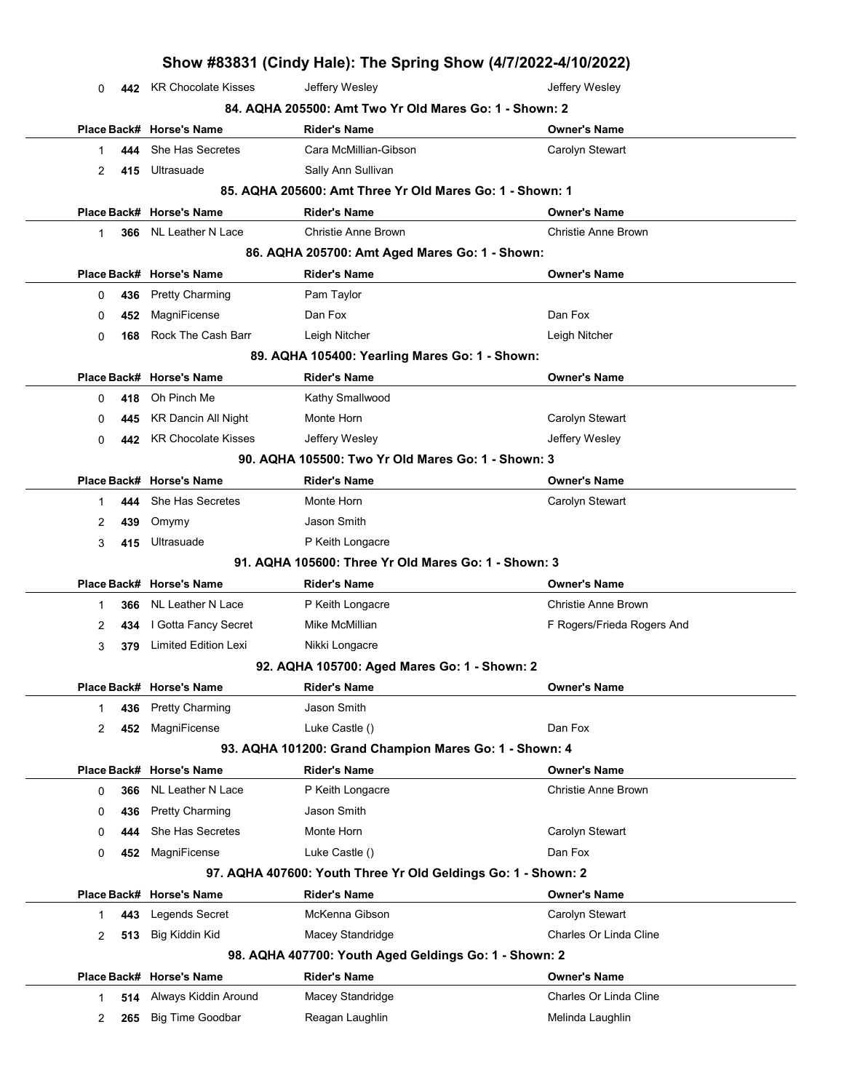|             |     |                                                    | Show #83831 (Cindy Hale): The Spring Show (4/7/2022-4/10/2022) |                                            |  |  |
|-------------|-----|----------------------------------------------------|----------------------------------------------------------------|--------------------------------------------|--|--|
| 0           |     | 442 KR Chocolate Kisses                            | Jeffery Wesley                                                 | Jeffery Wesley                             |  |  |
|             |     |                                                    | 84. AQHA 205500: Amt Two Yr Old Mares Go: 1 - Shown: 2         |                                            |  |  |
|             |     | Place Back# Horse's Name                           | <b>Rider's Name</b>                                            | <b>Owner's Name</b>                        |  |  |
| 1           | 444 | She Has Secretes                                   | Cara McMillian-Gibson                                          | Carolyn Stewart                            |  |  |
| 2           | 415 | Ultrasuade                                         | Sally Ann Sullivan                                             |                                            |  |  |
|             |     |                                                    | 85. AQHA 205600: Amt Three Yr Old Mares Go: 1 - Shown: 1       |                                            |  |  |
|             |     | Place Back# Horse's Name                           | <b>Rider's Name</b>                                            | <b>Owner's Name</b>                        |  |  |
| 1           | 366 | NL Leather N Lace                                  | <b>Christie Anne Brown</b>                                     | Christie Anne Brown                        |  |  |
|             |     |                                                    | 86. AQHA 205700: Amt Aged Mares Go: 1 - Shown:                 |                                            |  |  |
| Place Back# |     | <b>Horse's Name</b>                                | <b>Rider's Name</b>                                            | <b>Owner's Name</b>                        |  |  |
| 0           | 436 | <b>Pretty Charming</b>                             | Pam Taylor                                                     |                                            |  |  |
| 0           | 452 | MagniFicense                                       | Dan Fox                                                        | Dan Fox                                    |  |  |
| 0           | 168 | Rock The Cash Barr                                 | Leigh Nitcher                                                  | Leigh Nitcher                              |  |  |
|             |     |                                                    | 89. AQHA 105400: Yearling Mares Go: 1 - Shown:                 |                                            |  |  |
|             |     | Place Back# Horse's Name                           | <b>Rider's Name</b>                                            | <b>Owner's Name</b>                        |  |  |
| 0           | 418 | Oh Pinch Me                                        | Kathy Smallwood                                                |                                            |  |  |
| 0           | 445 | <b>KR Dancin All Night</b>                         | Monte Horn                                                     | Carolyn Stewart                            |  |  |
| 0           | 442 | <b>KR Chocolate Kisses</b>                         | Jeffery Wesley                                                 | Jeffery Wesley                             |  |  |
|             |     | 90. AQHA 105500: Two Yr Old Mares Go: 1 - Shown: 3 |                                                                |                                            |  |  |
| Place Back# |     | <b>Horse's Name</b>                                | <b>Rider's Name</b>                                            | <b>Owner's Name</b>                        |  |  |
| 1           | 444 | She Has Secretes                                   | Monte Horn                                                     | Carolyn Stewart                            |  |  |
| 2           | 439 | Omymy                                              | Jason Smith                                                    |                                            |  |  |
| 3           | 415 | Ultrasuade                                         | P Keith Longacre                                               |                                            |  |  |
|             |     |                                                    | 91. AQHA 105600: Three Yr Old Mares Go: 1 - Shown: 3           |                                            |  |  |
| Place Back# |     | <b>Horse's Name</b>                                | <b>Rider's Name</b>                                            | <b>Owner's Name</b>                        |  |  |
| 1           | 366 | NL Leather N Lace                                  | P Keith Longacre                                               | <b>Christie Anne Brown</b>                 |  |  |
| 2           | 434 | I Gotta Fancy Secret                               | Mike McMillian                                                 | F Rogers/Frieda Rogers And                 |  |  |
| 3           | 379 | Limited Edition Lexi                               | Nikki Longacre                                                 |                                            |  |  |
|             |     |                                                    | 92. AQHA 105700: Aged Mares Go: 1 - Shown: 2                   |                                            |  |  |
|             |     | Place Back# Horse's Name                           | <b>Rider's Name</b>                                            | <b>Owner's Name</b>                        |  |  |
| 1           | 436 | <b>Pretty Charming</b>                             | Jason Smith                                                    |                                            |  |  |
| 2           | 452 | MagniFicense                                       | Luke Castle ()                                                 | Dan Fox                                    |  |  |
|             |     |                                                    | 93. AQHA 101200: Grand Champion Mares Go: 1 - Shown: 4         |                                            |  |  |
|             |     | Place Back# Horse's Name                           | <b>Rider's Name</b>                                            | <b>Owner's Name</b><br>Christie Anne Brown |  |  |
| 0           | 366 | <b>NL Leather N Lace</b>                           | P Keith Longacre                                               |                                            |  |  |
| 0           | 436 | <b>Pretty Charming</b>                             | Jason Smith                                                    |                                            |  |  |
| 0           | 444 | She Has Secretes                                   | Monte Horn                                                     | Carolyn Stewart                            |  |  |
| 0           | 452 | MagniFicense                                       | Luke Castle ()                                                 | Dan Fox                                    |  |  |
|             |     |                                                    | 97. AQHA 407600: Youth Three Yr Old Geldings Go: 1 - Shown: 2  |                                            |  |  |
|             |     | Place Back# Horse's Name                           | <b>Rider's Name</b>                                            | <b>Owner's Name</b>                        |  |  |
| 1           | 443 | Legends Secret                                     | McKenna Gibson                                                 | Carolyn Stewart                            |  |  |
| 2           | 513 | Big Kiddin Kid                                     | Macey Standridge                                               | Charles Or Linda Cline                     |  |  |
|             |     |                                                    | 98. AQHA 407700: Youth Aged Geldings Go: 1 - Shown: 2          |                                            |  |  |
|             |     | Place Back# Horse's Name                           | <b>Rider's Name</b>                                            | <b>Owner's Name</b>                        |  |  |
| 1           | 514 | Always Kiddin Around                               | Macey Standridge                                               | Charles Or Linda Cline                     |  |  |
| 2           | 265 | <b>Big Time Goodbar</b>                            | Reagan Laughlin                                                | Melinda Laughlin                           |  |  |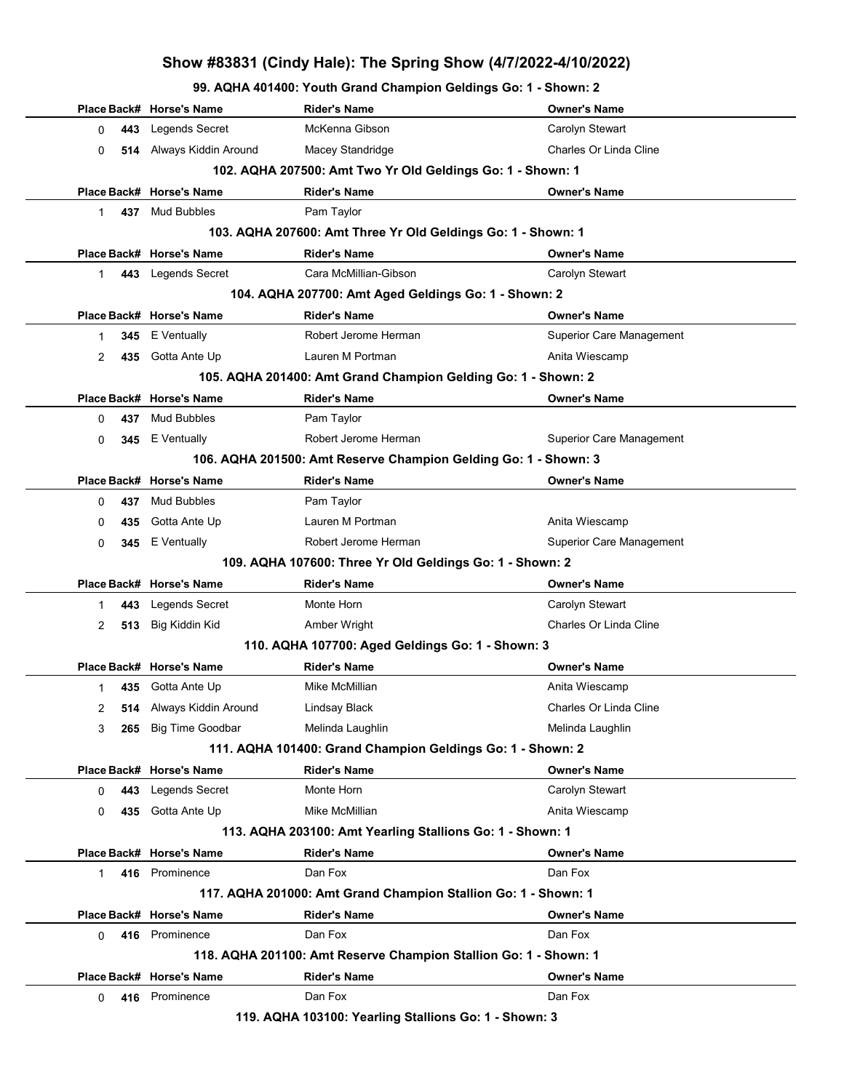99. AQHA 401400: Youth Grand Champion Geldings Go: 1 - Shown: 2

|              |     | Place Back# Horse's Name | Rider's Name                                                     | <b>Owner's Name</b>             |
|--------------|-----|--------------------------|------------------------------------------------------------------|---------------------------------|
| 0            | 443 | Legends Secret           | McKenna Gibson                                                   | Carolyn Stewart                 |
| 0            |     | 514 Always Kiddin Around | Macey Standridge                                                 | Charles Or Linda Cline          |
|              |     |                          | 102. AQHA 207500: Amt Two Yr Old Geldings Go: 1 - Shown: 1       |                                 |
|              |     | Place Back# Horse's Name | <b>Rider's Name</b>                                              | <b>Owner's Name</b>             |
| $\mathbf{1}$ |     | 437 Mud Bubbles          | Pam Taylor                                                       |                                 |
|              |     |                          | 103. AQHA 207600: Amt Three Yr Old Geldings Go: 1 - Shown: 1     |                                 |
|              |     | Place Back# Horse's Name | <b>Rider's Name</b>                                              | <b>Owner's Name</b>             |
| $\mathbf{1}$ |     | 443 Legends Secret       | Cara McMillian-Gibson                                            | Carolyn Stewart                 |
|              |     |                          | 104. AQHA 207700: Amt Aged Geldings Go: 1 - Shown: 2             |                                 |
|              |     | Place Back# Horse's Name | <b>Rider's Name</b>                                              | <b>Owner's Name</b>             |
| $\mathbf 1$  |     | 345 E Ventually          | Robert Jerome Herman                                             | Superior Care Management        |
| 2            |     | 435 Gotta Ante Up        | Lauren M Portman                                                 | Anita Wiescamp                  |
|              |     |                          | 105. AQHA 201400: Amt Grand Champion Gelding Go: 1 - Shown: 2    |                                 |
|              |     | Place Back# Horse's Name | <b>Rider's Name</b>                                              | <b>Owner's Name</b>             |
| 0            | 437 | <b>Mud Bubbles</b>       | Pam Taylor                                                       |                                 |
| 0            |     | 345 E Ventually          | Robert Jerome Herman                                             | <b>Superior Care Management</b> |
|              |     |                          | 106. AQHA 201500: Amt Reserve Champion Gelding Go: 1 - Shown: 3  |                                 |
|              |     | Place Back# Horse's Name | <b>Rider's Name</b>                                              | <b>Owner's Name</b>             |
| 0            | 437 | <b>Mud Bubbles</b>       | Pam Taylor                                                       |                                 |
| 0            | 435 | Gotta Ante Up            | Lauren M Portman                                                 | Anita Wiescamp                  |
| $\Omega$     |     | 345 E Ventually          | Robert Jerome Herman                                             | <b>Superior Care Management</b> |
|              |     |                          | 109. AQHA 107600: Three Yr Old Geldings Go: 1 - Shown: 2         |                                 |
|              |     | Place Back# Horse's Name | <b>Rider's Name</b>                                              | <b>Owner's Name</b>             |
| 1            |     | 443 Legends Secret       | Monte Horn                                                       | Carolyn Stewart                 |
| 2            |     | 513 Big Kiddin Kid       | Amber Wright                                                     | Charles Or Linda Cline          |
|              |     |                          | 110. AQHA 107700: Aged Geldings Go: 1 - Shown: 3                 |                                 |
|              |     | Place Back# Horse's Name | <b>Rider's Name</b>                                              | <b>Owner's Name</b>             |
| 1            |     | 435 Gotta Ante Up        | Mike McMillian                                                   | Anita Wiescamp                  |
| 2            |     | 514 Always Kiddin Around | Lindsay Black                                                    | Charles Or Linda Cline          |
| 3            |     | 265 Big Time Goodbar     | Melinda Laughlin                                                 | Melinda Laughlin                |
|              |     |                          | 111. AQHA 101400: Grand Champion Geldings Go: 1 - Shown: 2       |                                 |
|              |     | Place Back# Horse's Name | <b>Rider's Name</b>                                              | <b>Owner's Name</b>             |
| 0            | 443 | Legends Secret           | Monte Horn                                                       | Carolyn Stewart                 |
| 0            |     | 435 Gotta Ante Up        | Mike McMillian                                                   | Anita Wiescamp                  |
|              |     |                          | 113. AQHA 203100: Amt Yearling Stallions Go: 1 - Shown: 1        |                                 |
|              |     | Place Back# Horse's Name | <b>Rider's Name</b>                                              | <b>Owner's Name</b>             |
| 1            |     | 416 Prominence           | Dan Fox                                                          | Dan Fox                         |
|              |     |                          | 117. AQHA 201000: Amt Grand Champion Stallion Go: 1 - Shown: 1   |                                 |
|              |     | Place Back# Horse's Name | <b>Rider's Name</b>                                              | <b>Owner's Name</b>             |
| 0            |     | 416 Prominence           | Dan Fox                                                          | Dan Fox                         |
|              |     |                          | 118. AQHA 201100: Amt Reserve Champion Stallion Go: 1 - Shown: 1 |                                 |
|              |     | Place Back# Horse's Name | <b>Rider's Name</b>                                              | <b>Owner's Name</b>             |
| 0            |     | 416 Prominence           | Dan Fox                                                          | Dan Fox                         |
|              |     |                          |                                                                  |                                 |

119. AQHA 103100: Yearling Stallions Go: 1 - Shown: 3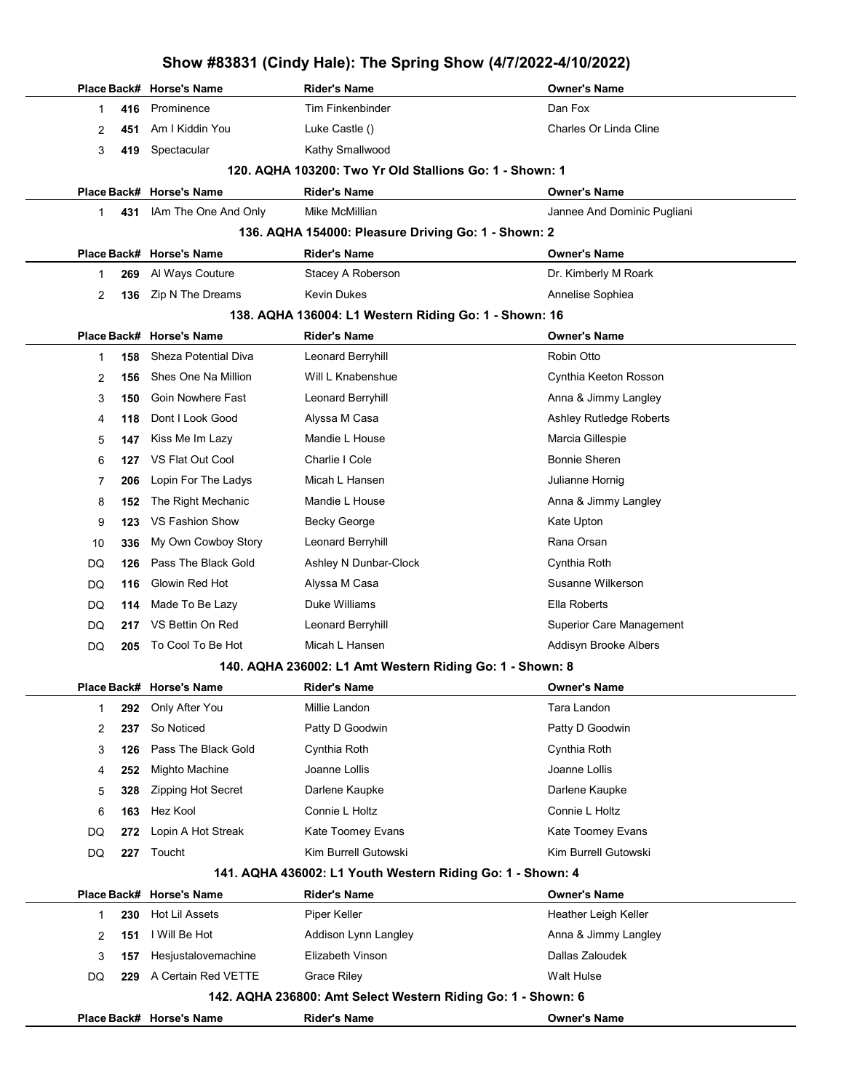|           | Place Back# Horse's Name | <b>Rider's Name</b>                                          | <b>Owner's Name</b>             |
|-----------|--------------------------|--------------------------------------------------------------|---------------------------------|
| 416<br>1  | Prominence               | Tim Finkenbinder                                             | Dan Fox                         |
| 2<br>451  | Am I Kiddin You          | Luke Castle ()                                               | Charles Or Linda Cline          |
| 3<br>419  | Spectacular              | Kathy Smallwood                                              |                                 |
|           |                          | 120. AQHA 103200: Two Yr Old Stallions Go: 1 - Shown: 1      |                                 |
|           | Place Back# Horse's Name | <b>Rider's Name</b>                                          | <b>Owner's Name</b>             |
| 431<br>1  | IAm The One And Only     | Mike McMillian                                               | Jannee And Dominic Pugliani     |
|           |                          | 136. AQHA 154000: Pleasure Driving Go: 1 - Shown: 2          |                                 |
|           | Place Back# Horse's Name | <b>Rider's Name</b>                                          | <b>Owner's Name</b>             |
| 269<br>1  | Al Ways Couture          | Stacey A Roberson                                            | Dr. Kimberly M Roark            |
| 2<br>136  | Zip N The Dreams         | Kevin Dukes                                                  | Annelise Sophiea                |
|           |                          | 138. AQHA 136004: L1 Western Riding Go: 1 - Shown: 16        |                                 |
|           | Place Back# Horse's Name | <b>Rider's Name</b>                                          | <b>Owner's Name</b>             |
| 158<br>1  | Sheza Potential Diva     | Leonard Berryhill                                            | Robin Otto                      |
| 2<br>156  | Shes One Na Million      | Will L Knabenshue                                            | Cynthia Keeton Rosson           |
| 3<br>150  | Goin Nowhere Fast        | Leonard Berryhill                                            | Anna & Jimmy Langley            |
| 118<br>4  | Dont I Look Good         | Alyssa M Casa                                                | Ashley Rutledge Roberts         |
| 5<br>147  | Kiss Me Im Lazy          | Mandie L House                                               | Marcia Gillespie                |
| 6<br>127  | VS Flat Out Cool         | Charlie I Cole                                               | <b>Bonnie Sheren</b>            |
| 7<br>206  | Lopin For The Ladys      | Micah L Hansen                                               | Julianne Hornig                 |
| 8<br>152  | The Right Mechanic       | Mandie L House                                               | Anna & Jimmy Langley            |
| 9<br>123  | VS Fashion Show          | <b>Becky George</b>                                          | Kate Upton                      |
| 336<br>10 | My Own Cowboy Story      | Leonard Berryhill                                            | Rana Orsan                      |
| 126<br>DQ | Pass The Black Gold      | Ashley N Dunbar-Clock                                        | Cynthia Roth                    |
| 116<br>DQ | Glowin Red Hot           | Alyssa M Casa                                                | Susanne Wilkerson               |
| DQ<br>114 | Made To Be Lazy          | Duke Williams                                                | Ella Roberts                    |
| DQ<br>217 | VS Bettin On Red         | Leonard Berryhill                                            | <b>Superior Care Management</b> |
| DQ<br>205 | To Cool To Be Hot        | Micah L Hansen                                               | Addisyn Brooke Albers           |
|           |                          | 140. AQHA 236002: L1 Amt Western Riding Go: 1 - Shown: 8     |                                 |
|           | Place Back# Horse's Name | <b>Rider's Name</b>                                          | <b>Owner's Name</b>             |
| 292<br>1  | Only After You           | Millie Landon                                                | Tara Landon                     |
| 2<br>237  | So Noticed               | Patty D Goodwin                                              | Patty D Goodwin                 |
| 3<br>126  | Pass The Black Gold      | Cynthia Roth                                                 | Cynthia Roth                    |
| 252<br>4  | Mighto Machine           | Joanne Lollis                                                | Joanne Lollis                   |
| 328<br>5  | Zipping Hot Secret       | Darlene Kaupke                                               | Darlene Kaupke                  |
| 6<br>163  | Hez Kool                 | Connie L Holtz                                               | Connie L Holtz                  |
| DQ<br>272 | Lopin A Hot Streak       | Kate Toomey Evans                                            | Kate Toomey Evans               |
| 227<br>DQ | Toucht                   | Kim Burrell Gutowski                                         | Kim Burrell Gutowski            |
|           |                          | 141. AQHA 436002: L1 Youth Western Riding Go: 1 - Shown: 4   |                                 |
|           | Place Back# Horse's Name | <b>Rider's Name</b>                                          | <b>Owner's Name</b>             |
| 230<br>1  | Hot Lil Assets           | Piper Keller                                                 | Heather Leigh Keller            |
| 151<br>2  | I Will Be Hot            | Addison Lynn Langley                                         | Anna & Jimmy Langley            |
| 3<br>157  | Hesjustalovemachine      | Elizabeth Vinson                                             | Dallas Zaloudek                 |
| 229<br>DQ | A Certain Red VETTE      | <b>Grace Riley</b>                                           | Walt Hulse                      |
|           |                          | 142. AQHA 236800: Amt Select Western Riding Go: 1 - Shown: 6 |                                 |
|           | Place Back# Horse's Name | <b>Rider's Name</b>                                          | <b>Owner's Name</b>             |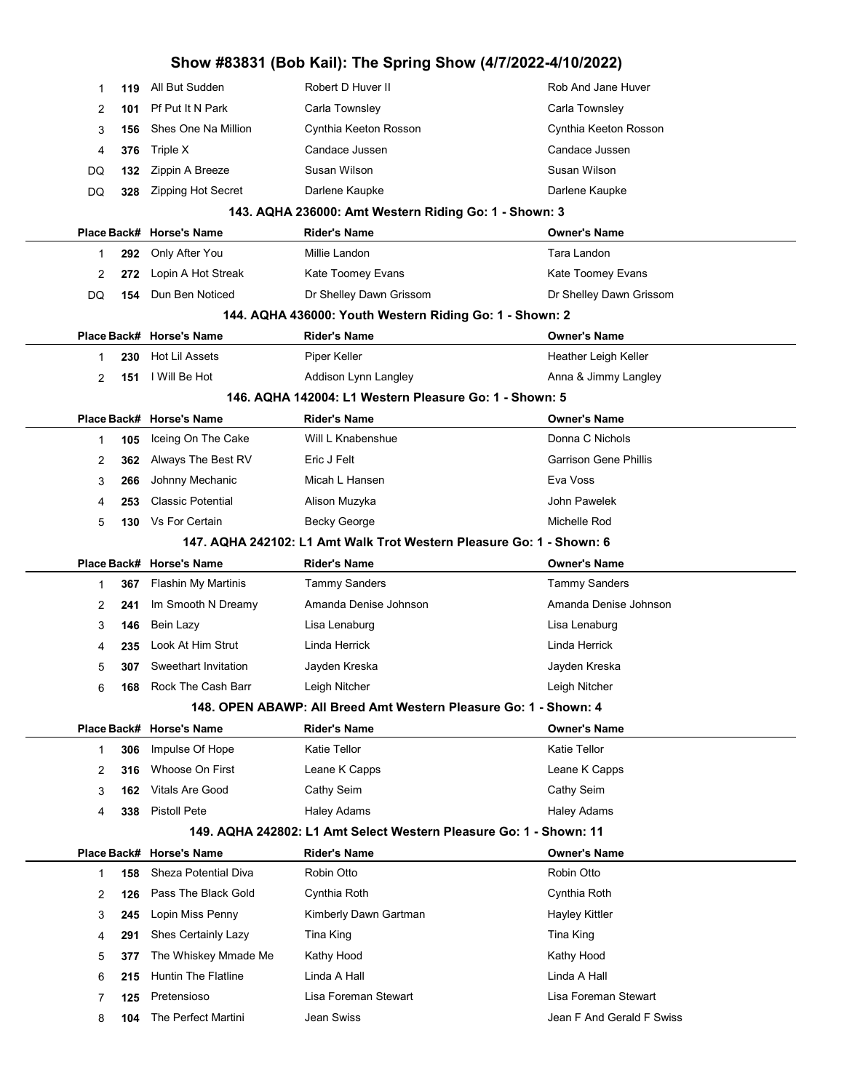|           |                            | Show #83831 (Bob Kail): The Spring Show (4/7/2022-4/10/2022)         |                              |
|-----------|----------------------------|----------------------------------------------------------------------|------------------------------|
| 119<br>1  | All But Sudden             | Robert D Huver II                                                    | Rob And Jane Huver           |
| 2<br>101  | Pf Put It N Park           | Carla Townsley                                                       | Carla Townsley               |
| 3<br>156  | Shes One Na Million        | Cynthia Keeton Rosson                                                | Cynthia Keeton Rosson        |
| 376<br>4  | Triple X                   | Candace Jussen                                                       | Candace Jussen               |
| 132<br>DQ | Zippin A Breeze            | Susan Wilson                                                         | Susan Wilson                 |
| 328<br>DQ | <b>Zipping Hot Secret</b>  | Darlene Kaupke                                                       | Darlene Kaupke               |
|           |                            | 143. AQHA 236000: Amt Western Riding Go: 1 - Shown: 3                |                              |
|           | Place Back# Horse's Name   | <b>Rider's Name</b>                                                  | <b>Owner's Name</b>          |
| 292<br>1  | Only After You             | Millie Landon                                                        | Tara Landon                  |
| 2<br>272  | Lopin A Hot Streak         | Kate Toomey Evans                                                    | Kate Toomey Evans            |
| DQ<br>154 | Dun Ben Noticed            | Dr Shelley Dawn Grissom                                              | Dr Shelley Dawn Grissom      |
|           |                            | 144. AQHA 436000: Youth Western Riding Go: 1 - Shown: 2              |                              |
|           | Place Back# Horse's Name   | <b>Rider's Name</b>                                                  | <b>Owner's Name</b>          |
| 230<br>1  | Hot Lil Assets             | Piper Keller                                                         | Heather Leigh Keller         |
| 2<br>151  | I Will Be Hot              | Addison Lynn Langley                                                 | Anna & Jimmy Langley         |
|           |                            | 146. AQHA 142004: L1 Western Pleasure Go: 1 - Shown: 5               |                              |
|           | Place Back# Horse's Name   | <b>Rider's Name</b>                                                  | <b>Owner's Name</b>          |
| 105<br>1  | Iceing On The Cake         | Will L Knabenshue                                                    | Donna C Nichols              |
| 362<br>2  | Always The Best RV         | Eric J Felt                                                          | <b>Garrison Gene Phillis</b> |
| 3<br>266  | Johnny Mechanic            | Micah L Hansen                                                       | Eva Voss                     |
| 253<br>4  | <b>Classic Potential</b>   | Alison Muzyka                                                        | John Pawelek                 |
| 5<br>130  | Vs For Certain             | <b>Becky George</b>                                                  | Michelle Rod                 |
|           |                            | 147. AQHA 242102: L1 Amt Walk Trot Western Pleasure Go: 1 - Shown: 6 |                              |
|           | Place Back# Horse's Name   | <b>Rider's Name</b>                                                  | <b>Owner's Name</b>          |
| 367<br>1  | Flashin My Martinis        | <b>Tammy Sanders</b>                                                 | <b>Tammy Sanders</b>         |
| 2<br>241  | Im Smooth N Dreamy         | Amanda Denise Johnson                                                | Amanda Denise Johnson        |
| 3<br>146  | Bein Lazy                  | Lisa Lenaburg                                                        | Lisa Lenaburg                |
|           |                            |                                                                      |                              |
| 235<br>4  | Look At Him Strut          | Linda Herrick                                                        | Linda Herrick                |
| 5<br>307  | Sweethart Invitation       | Jayden Kreska                                                        | Jayden Kreska                |
| 6<br>168  | Rock The Cash Barr         | Leigh Nitcher                                                        | Leigh Nitcher                |
|           |                            | 148. OPEN ABAWP: All Breed Amt Western Pleasure Go: 1 - Shown: 4     |                              |
|           | Place Back# Horse's Name   | <b>Rider's Name</b>                                                  | <b>Owner's Name</b>          |
| 306<br>1  | Impulse Of Hope            | <b>Katie Tellor</b>                                                  | <b>Katie Tellor</b>          |
| 2<br>316  | Whoose On First            | Leane K Capps                                                        | Leane K Capps                |
| 3<br>162  | <b>Vitals Are Good</b>     | Cathy Seim                                                           | Cathy Seim                   |
| 338<br>4  | <b>Pistoll Pete</b>        | <b>Haley Adams</b>                                                   | <b>Haley Adams</b>           |
|           |                            | 149. AQHA 242802: L1 Amt Select Western Pleasure Go: 1 - Shown: 11   |                              |
|           | Place Back# Horse's Name   | <b>Rider's Name</b>                                                  | <b>Owner's Name</b>          |
| 158<br>1  | Sheza Potential Diva       | Robin Otto                                                           | Robin Otto                   |
| 2<br>126  | Pass The Black Gold        | Cynthia Roth                                                         | Cynthia Roth                 |
| 3<br>245  | Lopin Miss Penny           | Kimberly Dawn Gartman                                                | <b>Hayley Kittler</b>        |
| 291<br>4  | Shes Certainly Lazy        | Tina King                                                            | Tina King                    |
| 5<br>377  | The Whiskey Mmade Me       | Kathy Hood                                                           | Kathy Hood                   |
| 6<br>215  | <b>Huntin The Flatline</b> | Linda A Hall                                                         | Linda A Hall                 |
| 7<br>125  | Pretensioso                | Lisa Foreman Stewart                                                 | Lisa Foreman Stewart         |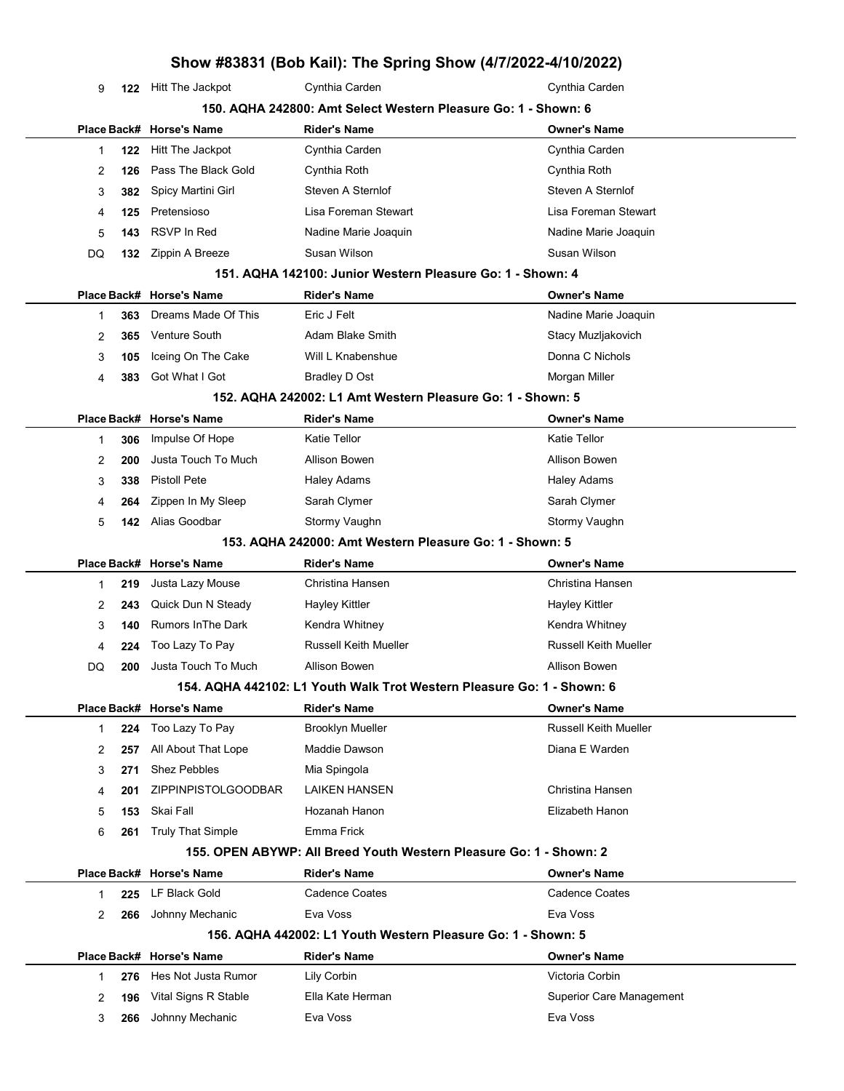122 Hitt The Jackpot Cynthia Carden Cynthia Carden 150. AQHA 242800: Amt Select Western Pleasure Go: 1 - Shown: 6 Place Back# Horse's Name Rider's Name Owner's Name 122 Hitt The Jackpot Cynthia Carden Cynthia Carden 126 Pass The Black Gold Cynthia Roth Cynthia Roth 3 382 Spicy Martini Girl Steven A Sternlof Steven A Sternlof Steven A Sternlof 125 Pretensioso Lisa Foreman Stewart Lisa Foreman Stewart

### 151. AQHA 142100: Junior Western Pleasure Go: 1 - Shown: 4

**143** RSVP In Red **Nadine Marie Joaquin** Nadine Marie Joaquin

DQ 132 Zippin A Breeze Susan Wilson Susan Wilson Susan Wilson

|   |     | Place Back# Horse's Name | <b>Rider's Name</b> | <b>Owner's Name</b>  |
|---|-----|--------------------------|---------------------|----------------------|
|   | 363 | Dreams Made Of This      | Eric J Felt         | Nadine Marie Joaquin |
|   | 365 | Venture South            | Adam Blake Smith    | Stacy Muzljakovich   |
| 3 |     | 105 Iceing On The Cake   | Will L Knabenshue   | Donna C Nichols      |
| 4 | 383 | Got What I Got           | Bradley D Ost       | Morgan Miller        |
|   |     |                          |                     |                      |

#### 152. AQHA 242002: L1 Amt Western Pleasure Go: 1 - Shown: 5

|   |     | Place Back# Horse's Name | <b>Rider's Name</b> | <b>Owner's Name</b> |
|---|-----|--------------------------|---------------------|---------------------|
|   | 306 | Impulse Of Hope          | Katie Tellor        | <b>Katie Tellor</b> |
|   | 200 | Justa Touch To Much      | Allison Bowen       | Allison Bowen       |
|   | 338 | Pistoll Pete             | Haley Adams         | <b>Haley Adams</b>  |
| 4 | 264 | Zippen In My Sleep       | Sarah Clymer        | Sarah Clymer        |
| 5 | 142 | Alias Goodbar            | Stormy Vaughn       | Stormy Vaughn       |
|   |     |                          |                     |                     |

#### 153. AQHA 242000: Amt Western Pleasure Go: 1 - Shown: 5

|    |     | Place Back# Horse's Name | <b>Rider's Name</b>          | <b>Owner's Name</b>          |
|----|-----|--------------------------|------------------------------|------------------------------|
|    | 219 | Justa Lazy Mouse         | Christina Hansen             | Christina Hansen             |
|    | 243 | Quick Dun N Steady       | Hayley Kittler               | Hayley Kittler               |
|    | 140 | Rumors InThe Dark        | Kendra Whitney               | Kendra Whitney               |
| 4  | 224 | Too Lazy To Pay          | <b>Russell Keith Mueller</b> | <b>Russell Keith Mueller</b> |
| DQ | 200 | Justa Touch To Much      | Allison Bowen                | Allison Bowen                |
|    |     |                          |                              |                              |

#### 154. AQHA 442102: L1 Youth Walk Trot Western Pleasure Go: 1 - Shown: 6

|   |     | Place Back# Horse's Name   | <b>Rider's Name</b>     | <b>Owner's Name</b>   |
|---|-----|----------------------------|-------------------------|-----------------------|
|   | 224 | Too Lazy To Pay            | <b>Brooklyn Mueller</b> | Russell Keith Mueller |
| 2 | 257 | All About That Lope        | Maddie Dawson           | Diana E Warden        |
| 3 | 271 | <b>Shez Pebbles</b>        | Mia Spingola            |                       |
| 4 | 201 | <b>ZIPPINPISTOLGOODBAR</b> | <b>LAIKEN HANSEN</b>    | Christina Hansen      |
| 5 | 153 | Skai Fall                  | Hozanah Hanon           | Elizabeth Hanon       |
| 6 | 261 | <b>Truly That Simple</b>   | Emma Frick              |                       |

#### 155. OPEN ABYWP: All Breed Youth Western Pleasure Go: 1 - Shown: 2

|   |     | Place Back# Horse's Name | <b>Rider's Name</b>                                          | <b>Owner's Name</b>             |
|---|-----|--------------------------|--------------------------------------------------------------|---------------------------------|
|   | 225 | LF Black Gold            | Cadence Coates                                               | Cadence Coates                  |
| 2 | 266 | Johnny Mechanic          | Eva Voss                                                     | Eva Voss                        |
|   |     |                          | 156. AQHA 442002: L1 Youth Western Pleasure Go: 1 - Shown: 5 |                                 |
|   |     | Place Back# Horse's Name | <b>Rider's Name</b>                                          | <b>Owner's Name</b>             |
|   |     | 276 Hes Not Justa Rumor  | Lily Corbin                                                  | Victoria Corbin                 |
| 2 | 196 | Vital Signs R Stable     | Ella Kate Herman                                             | <b>Superior Care Management</b> |
| 3 | 266 | Johnny Mechanic          | Eva Voss                                                     | Eva Voss                        |
|   |     |                          |                                                              |                                 |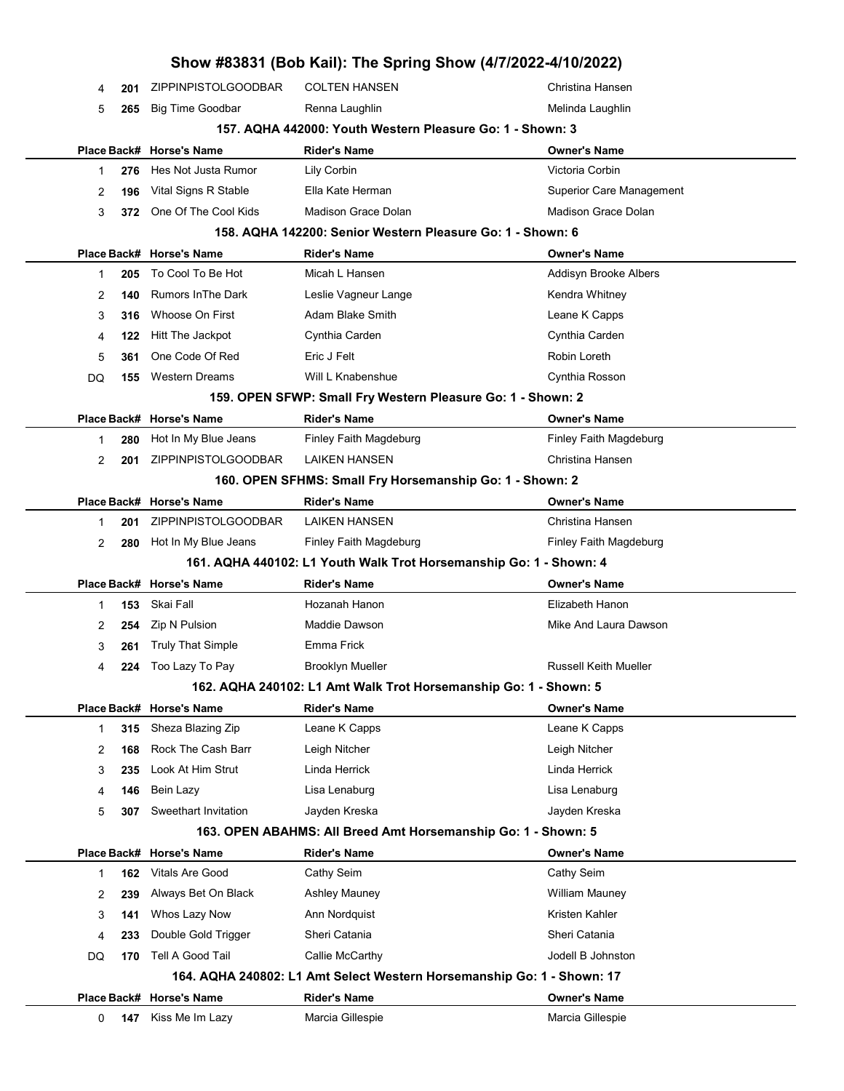|    |     |                            | Show #83831 (Bob Kail): The Spring Show (4/7/2022-4/10/2022)           |                                 |
|----|-----|----------------------------|------------------------------------------------------------------------|---------------------------------|
| 4  | 201 | ZIPPINPISTOLGOODBAR        | <b>COLTEN HANSEN</b>                                                   | Christina Hansen                |
| 5  | 265 | <b>Big Time Goodbar</b>    | Renna Laughlin                                                         | Melinda Laughlin                |
|    |     |                            | 157. AQHA 442000: Youth Western Pleasure Go: 1 - Shown: 3              |                                 |
|    |     | Place Back# Horse's Name   | <b>Rider's Name</b>                                                    | <b>Owner's Name</b>             |
| 1  | 276 | Hes Not Justa Rumor        | Lily Corbin                                                            | Victoria Corbin                 |
| 2  | 196 | Vital Signs R Stable       | Ella Kate Herman                                                       | <b>Superior Care Management</b> |
| 3  | 372 | One Of The Cool Kids       | Madison Grace Dolan                                                    | Madison Grace Dolan             |
|    |     |                            | 158. AQHA 142200: Senior Western Pleasure Go: 1 - Shown: 6             |                                 |
|    |     | Place Back# Horse's Name   | <b>Rider's Name</b>                                                    | <b>Owner's Name</b>             |
| 1  | 205 | To Cool To Be Hot          | Micah L Hansen                                                         | Addisyn Brooke Albers           |
| 2  | 140 | <b>Rumors In The Dark</b>  | Leslie Vagneur Lange                                                   | Kendra Whitney                  |
| 3  | 316 | Whoose On First            | Adam Blake Smith                                                       | Leane K Capps                   |
| 4  | 122 | Hitt The Jackpot           | Cynthia Carden                                                         | Cynthia Carden                  |
| 5  | 361 | One Code Of Red            | Eric J Felt                                                            | Robin Loreth                    |
| DQ | 155 | <b>Western Dreams</b>      | Will L Knabenshue                                                      | Cynthia Rosson                  |
|    |     |                            | 159. OPEN SFWP: Small Fry Western Pleasure Go: 1 - Shown: 2            |                                 |
|    |     | Place Back# Horse's Name   | <b>Rider's Name</b>                                                    | <b>Owner's Name</b>             |
| 1  | 280 | Hot In My Blue Jeans       | Finley Faith Magdeburg                                                 | Finley Faith Magdeburg          |
| 2  | 201 | <b>ZIPPINPISTOLGOODBAR</b> | LAIKEN HANSEN                                                          | Christina Hansen                |
|    |     |                            | 160. OPEN SFHMS: Small Fry Horsemanship Go: 1 - Shown: 2               |                                 |
|    |     | Place Back# Horse's Name   | <b>Rider's Name</b>                                                    | <b>Owner's Name</b>             |
| 1  | 201 | ZIPPINPISTOLGOODBAR        | <b>LAIKEN HANSEN</b>                                                   | Christina Hansen                |
| 2  | 280 | Hot In My Blue Jeans       | Finley Faith Magdeburg                                                 | Finley Faith Magdeburg          |
|    |     |                            | 161. AQHA 440102: L1 Youth Walk Trot Horsemanship Go: 1 - Shown: 4     |                                 |
|    |     | Place Back# Horse's Name   | <b>Rider's Name</b>                                                    | <b>Owner's Name</b>             |
| 1  | 153 | Skai Fall                  | Hozanah Hanon                                                          | Elizabeth Hanon                 |
| 2  | 254 | Zip N Pulsion              | Maddie Dawson                                                          | Mike And Laura Dawson           |
| 3  | 261 | <b>Truly That Simple</b>   | Emma Frick                                                             |                                 |
| 4  | 224 | Too Lazy To Pay            | Brooklyn Mueller                                                       | Russell Keith Mueller           |
|    |     |                            | 162. AQHA 240102: L1 Amt Walk Trot Horsemanship Go: 1 - Shown: 5       |                                 |
|    |     | Place Back# Horse's Name   | <b>Rider's Name</b>                                                    | <b>Owner's Name</b>             |
| 1  | 315 | Sheza Blazing Zip          | Leane K Capps                                                          | Leane K Capps                   |
| 2  | 168 | Rock The Cash Barr         | Leigh Nitcher                                                          | Leigh Nitcher                   |
| 3  | 235 | Look At Him Strut          | Linda Herrick                                                          | Linda Herrick                   |
| 4  | 146 | Bein Lazy                  | Lisa Lenaburg                                                          | Lisa Lenaburg                   |
| 5  | 307 | Sweethart Invitation       | Jayden Kreska                                                          | Jayden Kreska                   |
|    |     |                            | 163. OPEN ABAHMS: All Breed Amt Horsemanship Go: 1 - Shown: 5          |                                 |
|    |     | Place Back# Horse's Name   | <b>Rider's Name</b>                                                    | <b>Owner's Name</b>             |
| 1  | 162 | Vitals Are Good            | Cathy Seim                                                             | Cathy Seim                      |
| 2  | 239 | Always Bet On Black        | <b>Ashley Mauney</b>                                                   | <b>William Mauney</b>           |
| 3  | 141 | Whos Lazy Now              | Ann Nordquist                                                          | Kristen Kahler                  |
| 4  | 233 | Double Gold Trigger        | Sheri Catania                                                          | Sheri Catania                   |
| DQ | 170 | Tell A Good Tail           | Callie McCarthy                                                        | Jodell B Johnston               |
|    |     |                            | 164. AQHA 240802: L1 Amt Select Western Horsemanship Go: 1 - Shown: 17 |                                 |
|    |     | Place Back# Horse's Name   | <b>Rider's Name</b>                                                    | <b>Owner's Name</b>             |
| 0  | 147 | Kiss Me Im Lazy            | Marcia Gillespie                                                       | Marcia Gillespie                |
|    |     |                            |                                                                        |                                 |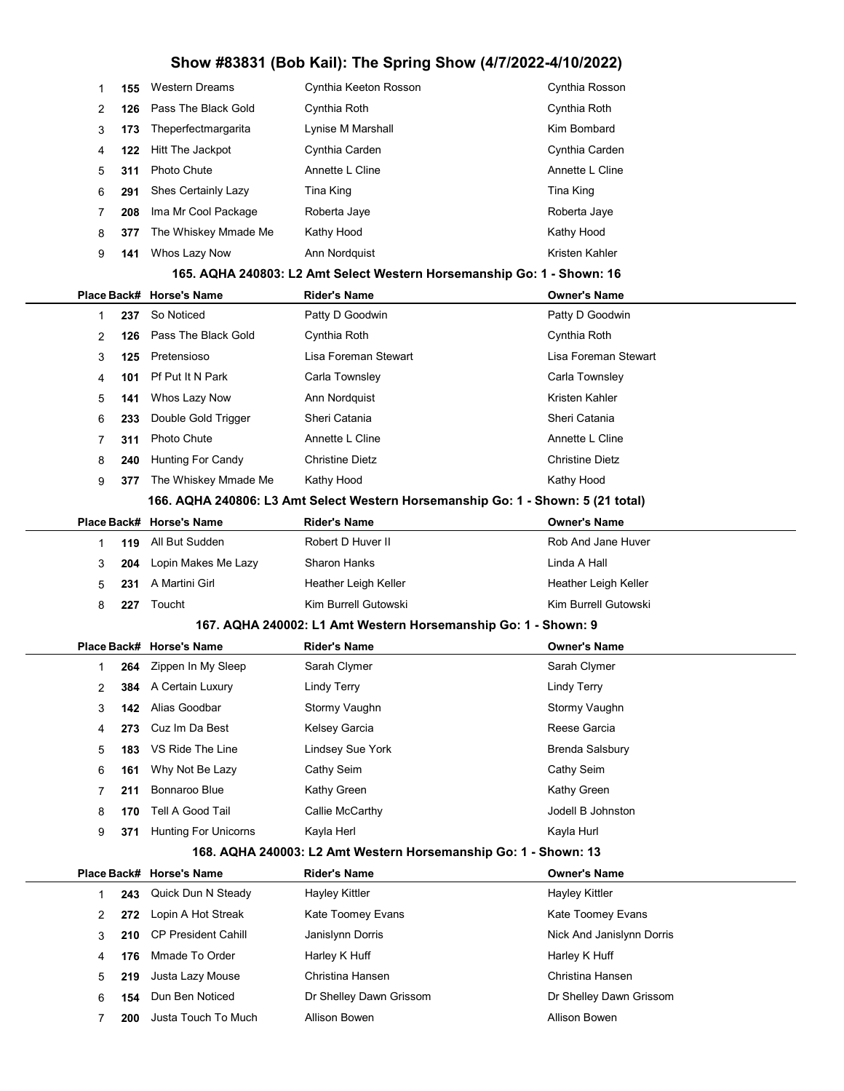| 1 | 155 | <b>Western Dreams</b>       | Cynthia Keeton Rosson                                                            | Cynthia Rosson            |
|---|-----|-----------------------------|----------------------------------------------------------------------------------|---------------------------|
| 2 | 126 | Pass The Black Gold         | Cynthia Roth                                                                     | Cynthia Roth              |
| 3 | 173 | Theperfectmargarita         | Lynise M Marshall                                                                | Kim Bombard               |
| 4 | 122 | Hitt The Jackpot            | Cynthia Carden                                                                   | Cynthia Carden            |
| 5 | 311 | <b>Photo Chute</b>          | Annette L Cline                                                                  | Annette L Cline           |
| 6 | 291 | Shes Certainly Lazy         | Tina King                                                                        | Tina King                 |
| 7 | 208 | Ima Mr Cool Package         | Roberta Jaye                                                                     | Roberta Jaye              |
| 8 | 377 | The Whiskey Mmade Me        | Kathy Hood                                                                       | Kathy Hood                |
| 9 | 141 | Whos Lazy Now               | Ann Nordquist                                                                    | Kristen Kahler            |
|   |     |                             | 165. AQHA 240803: L2 Amt Select Western Horsemanship Go: 1 - Shown: 16           |                           |
|   |     | Place Back# Horse's Name    | <b>Rider's Name</b>                                                              | <b>Owner's Name</b>       |
| 1 | 237 | So Noticed                  | Patty D Goodwin                                                                  | Patty D Goodwin           |
| 2 | 126 | Pass The Black Gold         | Cynthia Roth                                                                     | Cynthia Roth              |
| 3 | 125 | Pretensioso                 | Lisa Foreman Stewart                                                             | Lisa Foreman Stewart      |
| 4 | 101 | Pf Put It N Park            | Carla Townsley                                                                   | Carla Townsley            |
| 5 | 141 | Whos Lazy Now               | Ann Nordquist                                                                    | Kristen Kahler            |
| 6 | 233 | Double Gold Trigger         | Sheri Catania                                                                    | Sheri Catania             |
| 7 | 311 | Photo Chute                 | Annette L Cline                                                                  | Annette L Cline           |
| 8 | 240 | <b>Hunting For Candy</b>    | <b>Christine Dietz</b>                                                           | <b>Christine Dietz</b>    |
| 9 | 377 | The Whiskey Mmade Me        | Kathy Hood                                                                       | Kathy Hood                |
|   |     |                             | 166. AQHA 240806: L3 Amt Select Western Horsemanship Go: 1 - Shown: 5 (21 total) |                           |
|   |     | Place Back# Horse's Name    | <b>Rider's Name</b>                                                              | <b>Owner's Name</b>       |
| 1 | 119 | All But Sudden              | Robert D Huver II                                                                | Rob And Jane Huver        |
| 3 | 204 | Lopin Makes Me Lazy         | <b>Sharon Hanks</b>                                                              | Linda A Hall              |
| 5 | 231 | A Martini Girl              | Heather Leigh Keller                                                             | Heather Leigh Keller      |
| 8 | 227 | Toucht                      | Kim Burrell Gutowski                                                             | Kim Burrell Gutowski      |
|   |     |                             | 167. AQHA 240002: L1 Amt Western Horsemanship Go: 1 - Shown: 9                   |                           |
|   |     | Place Back# Horse's Name    | Rider's Name                                                                     | <b>Owner's Name</b>       |
| 1 |     | 264 Zippen In My Sleep      | Sarah Clymer                                                                     | Sarah Clymer              |
| 2 |     | <b>384</b> A Certain Luxury | <b>Lindy Terry</b>                                                               | <b>Lindy Terry</b>        |
| 3 | 142 | Alias Goodbar               | Stormy Vaughn                                                                    | Stormy Vaughn             |
| 4 | 273 | Cuz Im Da Best              | Kelsey Garcia                                                                    | Reese Garcia              |
| 5 | 183 | VS Ride The Line            | Lindsey Sue York                                                                 | <b>Brenda Salsbury</b>    |
| 6 | 161 | Why Not Be Lazy             | Cathy Seim                                                                       | Cathy Seim                |
| 7 | 211 | Bonnaroo Blue               | Kathy Green                                                                      | Kathy Green               |
| 8 | 170 | Tell A Good Tail            | Callie McCarthy                                                                  | Jodell B Johnston         |
| 9 | 371 | <b>Hunting For Unicorns</b> | Kayla Herl                                                                       | Kayla Hurl                |
|   |     |                             | 168. AQHA 240003: L2 Amt Western Horsemanship Go: 1 - Shown: 13                  |                           |
|   |     | Place Back# Horse's Name    | <b>Rider's Name</b>                                                              | <b>Owner's Name</b>       |
| 1 | 243 | Quick Dun N Steady          | Hayley Kittler                                                                   | <b>Hayley Kittler</b>     |
| 2 | 272 | Lopin A Hot Streak          | Kate Toomey Evans                                                                | Kate Toomey Evans         |
| 3 | 210 | <b>CP President Cahill</b>  | Janislynn Dorris                                                                 | Nick And Janislynn Dorris |
| 4 | 176 | Mmade To Order              | Harley K Huff                                                                    | Harley K Huff             |
| 5 | 219 | Justa Lazy Mouse            | Christina Hansen                                                                 | Christina Hansen          |
| 6 | 154 | Dun Ben Noticed             | Dr Shelley Dawn Grissom                                                          | Dr Shelley Dawn Grissom   |
| 7 | 200 | Justa Touch To Much         | Allison Bowen                                                                    | Allison Bowen             |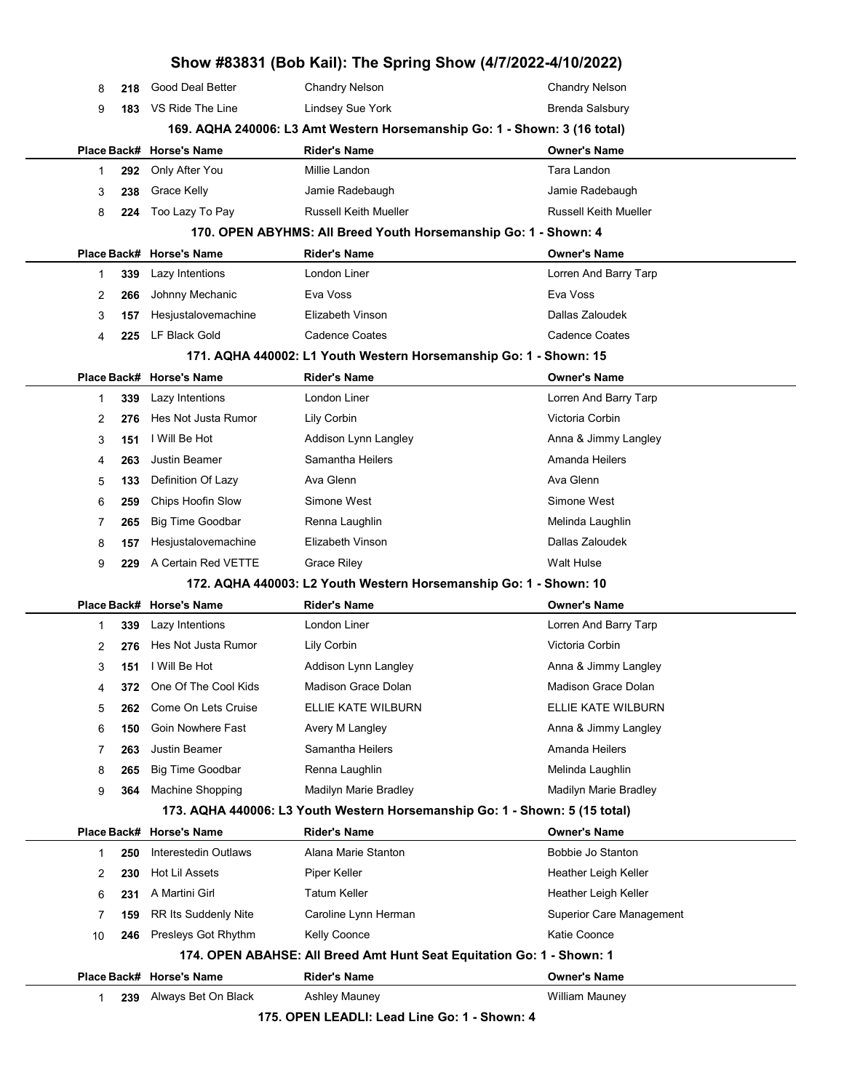|             |     |                          | Show #83831 (Bob Kail): The Spring Show (4/7/2022-4/10/2022)                |                                 |
|-------------|-----|--------------------------|-----------------------------------------------------------------------------|---------------------------------|
| 8           | 218 | Good Deal Better         | <b>Chandry Nelson</b>                                                       | <b>Chandry Nelson</b>           |
| 9           | 183 | VS Ride The Line         | Lindsey Sue York                                                            | <b>Brenda Salsbury</b>          |
|             |     |                          | 169. AQHA 240006: L3 Amt Western Horsemanship Go: 1 - Shown: 3 (16 total)   |                                 |
| Place Back# |     | <b>Horse's Name</b>      | <b>Rider's Name</b>                                                         | Owner's Name                    |
| 1           | 292 | Only After You           | Millie Landon                                                               | Tara Landon                     |
| 3           | 238 | Grace Kelly              | Jamie Radebaugh                                                             | Jamie Radebaugh                 |
| 8           | 224 | Too Lazy To Pay          | <b>Russell Keith Mueller</b>                                                | <b>Russell Keith Mueller</b>    |
|             |     |                          | 170. OPEN ABYHMS: All Breed Youth Horsemanship Go: 1 - Shown: 4             |                                 |
| Place Back# |     | <b>Horse's Name</b>      | <b>Rider's Name</b>                                                         | <b>Owner's Name</b>             |
| 1           | 339 | Lazy Intentions          | London Liner                                                                | Lorren And Barry Tarp           |
| 2           | 266 | Johnny Mechanic          | Eva Voss                                                                    | Eva Voss                        |
| 3           | 157 | Hesjustalovemachine      | Elizabeth Vinson                                                            | Dallas Zaloudek                 |
| 4           | 225 | LF Black Gold            | <b>Cadence Coates</b>                                                       | Cadence Coates                  |
|             |     |                          | 171. AQHA 440002: L1 Youth Western Horsemanship Go: 1 - Shown: 15           |                                 |
| Place Back# |     | <b>Horse's Name</b>      | <b>Rider's Name</b>                                                         | <b>Owner's Name</b>             |
| 1           | 339 | Lazy Intentions          | London Liner                                                                | Lorren And Barry Tarp           |
| 2           | 276 | Hes Not Justa Rumor      | Lily Corbin                                                                 | Victoria Corbin                 |
| 3           | 151 | I Will Be Hot            | Addison Lynn Langley                                                        | Anna & Jimmy Langley            |
| 4           | 263 | <b>Justin Beamer</b>     | Samantha Heilers                                                            | Amanda Heilers                  |
| 5           | 133 | Definition Of Lazy       | Ava Glenn                                                                   | Ava Glenn                       |
| 6           | 259 | Chips Hoofin Slow        | Simone West                                                                 | Simone West                     |
| 7           | 265 | <b>Big Time Goodbar</b>  | Renna Laughlin                                                              | Melinda Laughlin                |
| 8           | 157 | Hesjustalovemachine      | Elizabeth Vinson                                                            | Dallas Zaloudek                 |
| 9           | 229 | A Certain Red VETTE      | <b>Grace Riley</b>                                                          | Walt Hulse                      |
|             |     |                          | 172. AQHA 440003: L2 Youth Western Horsemanship Go: 1 - Shown: 10           |                                 |
|             |     | Place Back# Horse's Name | <b>Rider's Name</b>                                                         | <b>Owner's Name</b>             |
| 1           | 339 | Lazy Intentions          | London Liner                                                                | Lorren And Barry Tarp           |
| 2           | 276 | Hes Not Justa Rumor      | Lily Corbin                                                                 | Victoria Corbin                 |
| 3           |     | 151 I Will Be Hot        | Addison Lynn Langley                                                        | Anna & Jimmy Langley            |
| 4           | 372 | One Of The Cool Kids     | Madison Grace Dolan                                                         | <b>Madison Grace Dolan</b>      |
| 5           | 262 | Come On Lets Cruise      | ELLIE KATE WILBURN                                                          | ELLIE KATE WILBURN              |
| 6           | 150 | Goin Nowhere Fast        | Avery M Langley                                                             | Anna & Jimmy Langley            |
| 7           | 263 | Justin Beamer            | Samantha Heilers                                                            | Amanda Heilers                  |
| 8           | 265 | <b>Big Time Goodbar</b>  | Renna Laughlin                                                              | Melinda Laughlin                |
| 9           | 364 | Machine Shopping         | Madilyn Marie Bradley                                                       | Madilyn Marie Bradley           |
|             |     |                          | 173. AQHA 440006: L3 Youth Western Horsemanship Go: 1 - Shown: 5 (15 total) |                                 |
| Place Back# |     | Horse's Name             | <b>Rider's Name</b>                                                         | <b>Owner's Name</b>             |
| 1           | 250 | Interestedin Outlaws     | Alana Marie Stanton                                                         | Bobbie Jo Stanton               |
| 2           | 230 | Hot Lil Assets           | Piper Keller                                                                | Heather Leigh Keller            |
| 6           | 231 | A Martini Girl           | Tatum Keller                                                                | Heather Leigh Keller            |
| 7           | 159 | RR Its Suddenly Nite     | Caroline Lynn Herman                                                        | <b>Superior Care Management</b> |
| 10          | 246 | Presleys Got Rhythm      | Kelly Coonce                                                                | Katie Coonce                    |
|             |     |                          | 174. OPEN ABAHSE: All Breed Amt Hunt Seat Equitation Go: 1 - Shown: 1       |                                 |
|             |     | Place Back# Horse's Name | <b>Rider's Name</b>                                                         | Owner's Name                    |
| 1           | 239 | Always Bet On Black      | Ashley Mauney                                                               | <b>William Mauney</b>           |
|             |     |                          | 175. OPEN LEADLI: Lead Line Go: 1 - Shown: 4                                |                                 |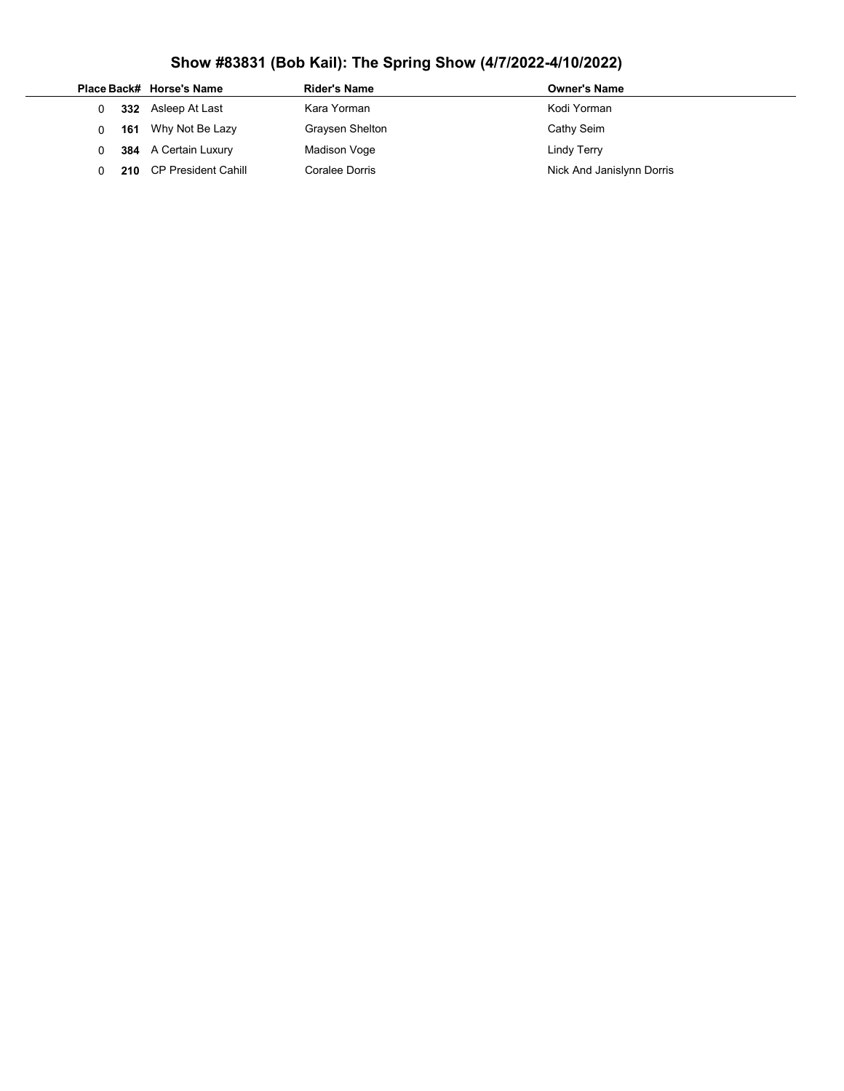|  |     | Place Back# Horse's Name | Rider's Name    | <b>Owner's Name</b>       |
|--|-----|--------------------------|-----------------|---------------------------|
|  | 332 | Asleep At Last           | Kara Yorman     | Kodi Yorman               |
|  | 161 | Why Not Be Lazy          | Graysen Shelton | Cathy Seim                |
|  |     | 384 A Certain Luxury     | Madison Voge    | Lindy Terry               |
|  |     | 210 CP President Cahill  | Coralee Dorris  | Nick And Janislynn Dorris |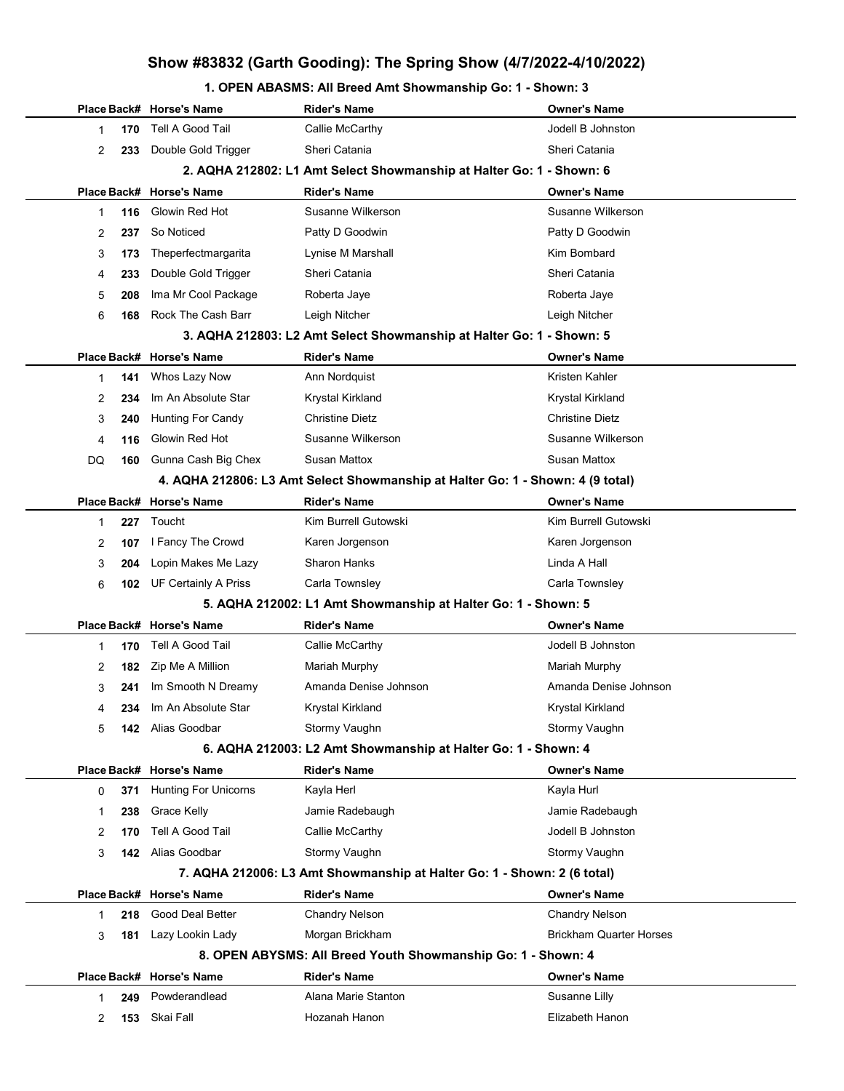## Show #83832 (Garth Gooding): The Spring Show (4/7/2022-4/10/2022)

#### 1. OPEN ABASMS: All Breed Amt Showmanship Go: 1 - Shown: 3

|    |     | Place Back# Horse's Name                                                       | Rider's Name                                                            | <b>Owner's Name</b>            |  |  |
|----|-----|--------------------------------------------------------------------------------|-------------------------------------------------------------------------|--------------------------------|--|--|
| 1  | 170 | Tell A Good Tail                                                               | Callie McCarthy                                                         | Jodell B Johnston              |  |  |
| 2  | 233 | Double Gold Trigger                                                            | Sheri Catania                                                           | Sheri Catania                  |  |  |
|    |     |                                                                                | 2. AQHA 212802: L1 Amt Select Showmanship at Halter Go: 1 - Shown: 6    |                                |  |  |
|    |     | Place Back# Horse's Name                                                       | <b>Rider's Name</b>                                                     | <b>Owner's Name</b>            |  |  |
| 1  | 116 | Glowin Red Hot                                                                 | Susanne Wilkerson                                                       | Susanne Wilkerson              |  |  |
| 2  | 237 | So Noticed                                                                     | Patty D Goodwin                                                         | Patty D Goodwin                |  |  |
| 3  | 173 | Theperfectmargarita                                                            | Lynise M Marshall                                                       | Kim Bombard                    |  |  |
| 4  | 233 | Double Gold Trigger                                                            | Sheri Catania                                                           | Sheri Catania                  |  |  |
| 5  | 208 | Ima Mr Cool Package                                                            | Roberta Jaye                                                            | Roberta Jaye                   |  |  |
| 6  | 168 | Rock The Cash Barr                                                             | Leigh Nitcher                                                           | Leigh Nitcher                  |  |  |
|    |     |                                                                                | 3. AQHA 212803: L2 Amt Select Showmanship at Halter Go: 1 - Shown: 5    |                                |  |  |
|    |     | Place Back# Horse's Name                                                       | <b>Rider's Name</b>                                                     | <b>Owner's Name</b>            |  |  |
| 1  | 141 | Whos Lazy Now                                                                  | Ann Nordquist                                                           | Kristen Kahler                 |  |  |
| 2  | 234 | Im An Absolute Star                                                            | Krystal Kirkland                                                        | Krystal Kirkland               |  |  |
| 3  | 240 | <b>Hunting For Candy</b>                                                       | <b>Christine Dietz</b>                                                  | <b>Christine Dietz</b>         |  |  |
| 4  | 116 | Glowin Red Hot                                                                 | Susanne Wilkerson                                                       | Susanne Wilkerson              |  |  |
| DQ | 160 | Gunna Cash Big Chex                                                            | Susan Mattox                                                            | <b>Susan Mattox</b>            |  |  |
|    |     | 4. AQHA 212806: L3 Amt Select Showmanship at Halter Go: 1 - Shown: 4 (9 total) |                                                                         |                                |  |  |
|    |     | Place Back# Horse's Name                                                       | <b>Rider's Name</b>                                                     | <b>Owner's Name</b>            |  |  |
| 1  | 227 | Toucht                                                                         | Kim Burrell Gutowski                                                    | Kim Burrell Gutowski           |  |  |
| 2  | 107 | I Fancy The Crowd                                                              | Karen Jorgenson                                                         | Karen Jorgenson                |  |  |
| 3  | 204 | Lopin Makes Me Lazy                                                            | <b>Sharon Hanks</b>                                                     | Linda A Hall                   |  |  |
| 6  |     | <b>102</b> UF Certainly A Priss                                                | Carla Townsley                                                          | Carla Townsley                 |  |  |
|    |     |                                                                                | 5. AQHA 212002: L1 Amt Showmanship at Halter Go: 1 - Shown: 5           |                                |  |  |
|    |     | Place Back# Horse's Name                                                       | <b>Rider's Name</b>                                                     | <b>Owner's Name</b>            |  |  |
| 1  | 170 | Tell A Good Tail                                                               | Callie McCarthy                                                         | Jodell B Johnston              |  |  |
| 2  | 182 | Zip Me A Million                                                               | Mariah Murphy                                                           | Mariah Murphy                  |  |  |
| 3  | 241 | Im Smooth N Dreamy                                                             | Amanda Denise Johnson                                                   | Amanda Denise Johnson          |  |  |
| 4  | 234 | Im An Absolute Star                                                            | <b>Krystal Kirkland</b>                                                 | Krvstal Kirkland               |  |  |
| 5. |     | 142 Alias Goodbar                                                              | Stormy Vaughn                                                           | Stormy Vaughn                  |  |  |
|    |     |                                                                                | 6. AQHA 212003: L2 Amt Showmanship at Halter Go: 1 - Shown: 4           |                                |  |  |
|    |     | Place Back# Horse's Name                                                       | <b>Rider's Name</b>                                                     | <b>Owner's Name</b>            |  |  |
| 0  | 371 | <b>Hunting For Unicorns</b>                                                    | Kayla Herl                                                              | Kayla Hurl                     |  |  |
| 1  | 238 | Grace Kelly                                                                    | Jamie Radebaugh                                                         | Jamie Radebaugh                |  |  |
| 2  | 170 | Tell A Good Tail                                                               | Callie McCarthy                                                         | Jodell B Johnston              |  |  |
| 3  | 142 | Alias Goodbar                                                                  | Stormy Vaughn                                                           | Stormy Vaughn                  |  |  |
|    |     |                                                                                | 7. AQHA 212006: L3 Amt Showmanship at Halter Go: 1 - Shown: 2 (6 total) |                                |  |  |
|    |     | Place Back# Horse's Name                                                       | <b>Rider's Name</b>                                                     | <b>Owner's Name</b>            |  |  |
| 1  | 218 | Good Deal Better                                                               | <b>Chandry Nelson</b>                                                   | <b>Chandry Nelson</b>          |  |  |
| 3  |     | 181 Lazy Lookin Lady                                                           | Morgan Brickham                                                         | <b>Brickham Quarter Horses</b> |  |  |
|    |     |                                                                                | 8. OPEN ABYSMS: All Breed Youth Showmanship Go: 1 - Shown: 4            |                                |  |  |
|    |     | Place Back# Horse's Name                                                       | <b>Rider's Name</b>                                                     | <b>Owner's Name</b>            |  |  |
| 1  | 249 | Powderandlead                                                                  | Alana Marie Stanton                                                     | Susanne Lilly                  |  |  |
| 2  |     | 153 Skai Fall                                                                  | Hozanah Hanon                                                           | Elizabeth Hanon                |  |  |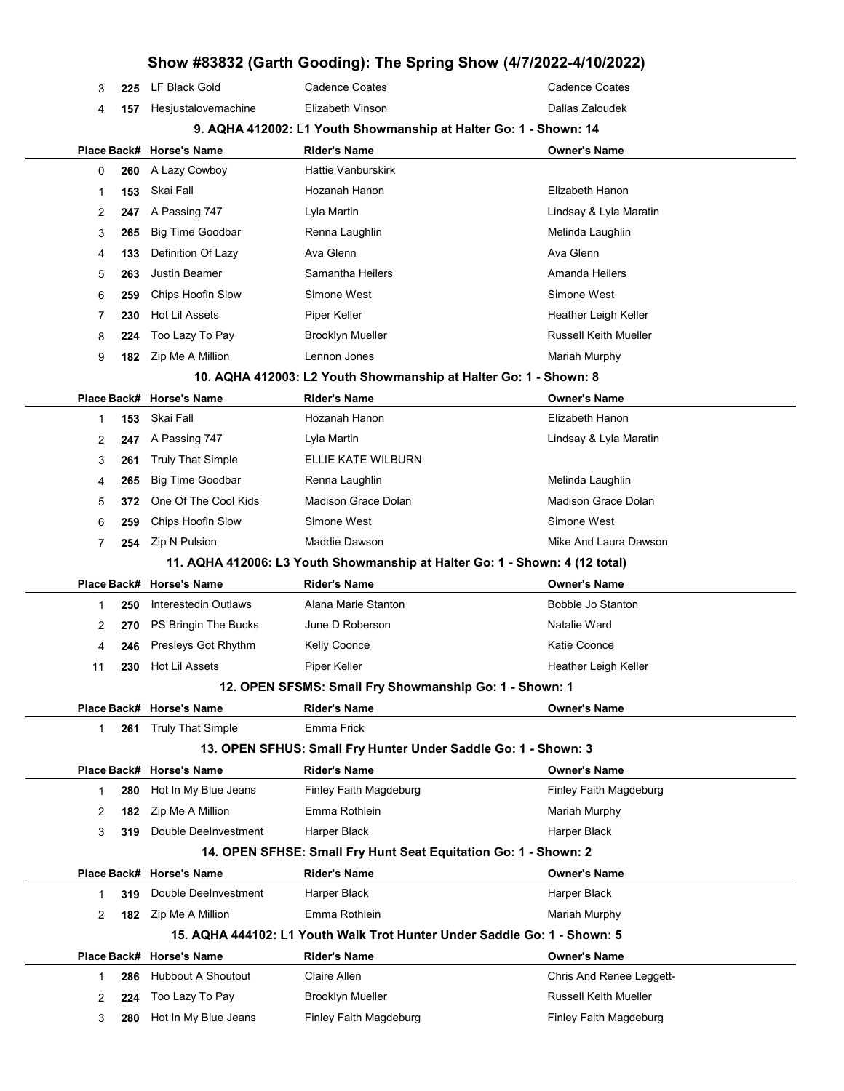## Show #83832 (Garth Gooding): The Spring Show (4/7/2022-4/10/2022) 3 225 LF Black Gold Cadence Coates Cadence Coates 4 157 Hesjustalovemachine Elizabeth Vinson Dallas Zaloudek 9. AQHA 412002: L1 Youth Showmanship at Halter Go: 1 - Shown: 14 Place Back# Horse's Name Rider's Name Owner's Name 0 260 A Lazy Cowboy Hattie Vanburskirk 1 153 Skai Fall **Hozanah Hanon** Elizabeth Hanon 2 247 A Passing 747 Lyla Martin Lindsay & Lyla Maratin 3 265 Big Time Goodbar Renna Laughlin Melinda Laughlin 4 133 Definition Of Lazy Ava Glenn Ava Glenn Ava Glenn Ava Glenn 5 263 Justin Beamer **Samantha Heilers** Amanda Heilers Amanda Heilers 6 259 Chips Hoofin Slow Simone West Simone West 7 230 Hot Lil Assets Piper Keller Heather Leigh Keller Heather Leigh Keller 8 224 Too Lazy To Pay **Brooklyn Mueller Russell Keith Mueller** Russell Keith Mueller 9 182 Zip Me A Million Lennon Jones New York 182 2 Mariah Murphy 10. AQHA 412003: L2 Youth Showmanship at Halter Go: 1 - Shown: 8 Place Back# Horse's Name Rider's Name Owner's Name 1 153 Skai Fall **Hozanah Hanon** Elizabeth Hanon 2 247 A Passing 747 Lyla Martin Love Contains the Lindsay & Lyla Maratin 3 261 Truly That Simple ELLIE KATE WILBURN 4 265 Big Time Goodbar **Renna Laughlin** Neling and Melinda Laughlin Melinda Laughlin 5 372 One Of The Cool Kids Madison Grace Dolan Madison Grace Dolan 6 259 Chips Hoofin Slow Simone West Simone West 7 254 Zip N Pulsion **Maddie Dawson** Mike And Laura Dawson 11. AQHA 412006: L3 Youth Showmanship at Halter Go: 1 - Shown: 4 (12 total) Place Back# Horse's Name Rider's Name Owner's Name 1 250 Interestedin Outlaws Alana Marie Stanton **Bobbie Jo Stanton** Bobbie Jo Stanton 2 270 PS Bringin The Bucks June D Roberson Natalie Ward Natalie Ward 4 246 Presleys Got Rhythm Kelly Coonce **Kelly Coonce** Katie Coonce 11 230 Hot Lil Assets Piper Keller Heather Leigh Keller 12. OPEN SFSMS: Small Fry Showmanship Go: 1 - Shown: 1 Place Back# Horse's Name **Rider's Name Communist Communist Communist** Communist Place Back America Communist Pla 1 261 Truly That Simple **Emma Frick** 13. OPEN SFHUS: Small Fry Hunter Under Saddle Go: 1 - Shown: 3 Place Back# Horse's Name **Rider's Name Communist Communist Communist** Communist Place Back America Communist Pla 1 280 Hot In My Blue Jeans Finley Faith Magdeburg Finley Faith Magdeburg Finley Faith Magdeburg 2 182 Zip Me A Million **Emma Rothlein** Mariah Murphy 3 319 Double DeeInvestment Harper Black **Harper Black** Harper Black 14. OPEN SFHSE: Small Fry Hunt Seat Equitation Go: 1 - Shown: 2 Place Back# Horse's Name Rider's Name Owner's Name 1 319 Double DeeInvestment Harper Black Harper Black Harper Black 2 182 Zip Me A Million **Emma Rothlein** Mariah Murphy 15. AQHA 444102: L1 Youth Walk Trot Hunter Under Saddle Go: 1 - Shown: 5 Place Back# Horse's Name Rider's Name Owner's Name 1 286 Hubbout A Shoutout Claire Allen Chaire Chris And Renee Leggett-2 224 Too Lazy To Pay **Brooklyn Mueller Russell Keith Mueller** Russell Keith Mueller 3 280 Hot In My Blue Jeans Finley Faith Magdeburg Finley Faith Magdeburg Finley Faith Magdeburg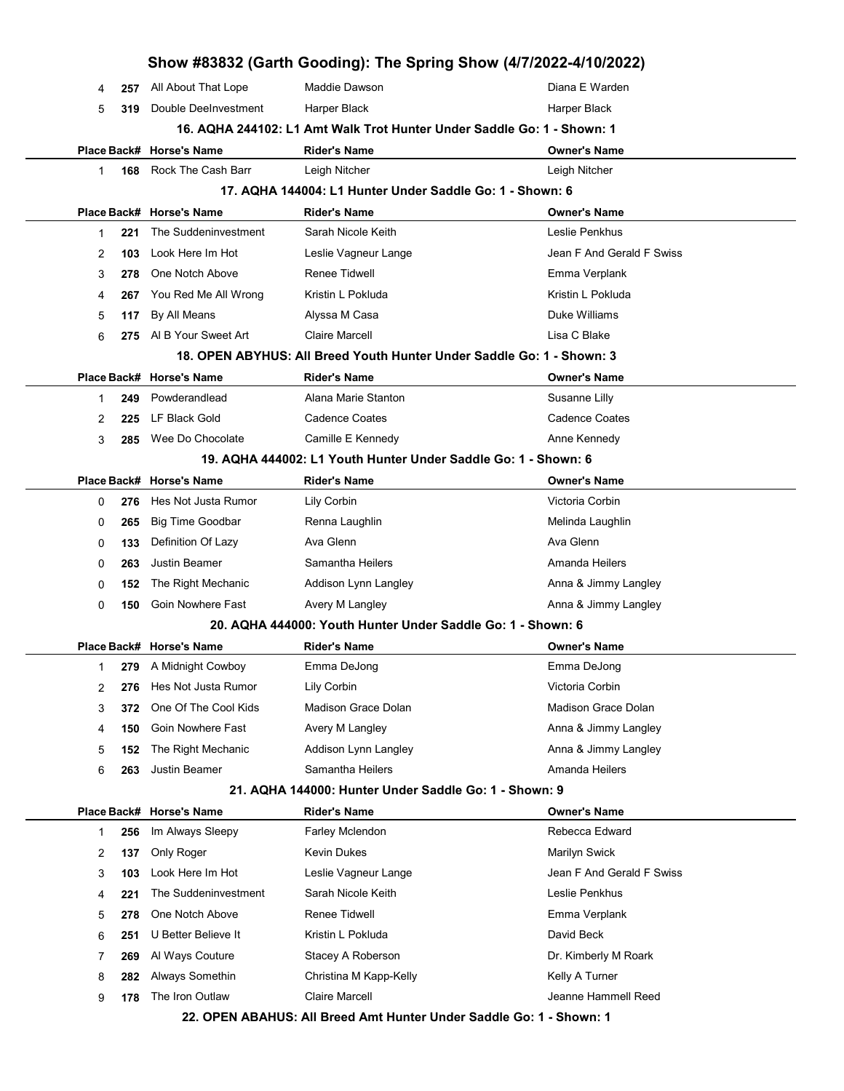|             |                          |                                                                        | Show #83832 (Garth Gooding): The Spring Show (4/7/2022-4/10/2022) |  |  |  |
|-------------|--------------------------|------------------------------------------------------------------------|-------------------------------------------------------------------|--|--|--|
| 257<br>4    | All About That Lope      | Maddie Dawson                                                          | Diana E Warden                                                    |  |  |  |
| 5<br>319    | Double DeeInvestment     | Harper Black                                                           | Harper Black                                                      |  |  |  |
|             |                          | 16. AQHA 244102: L1 Amt Walk Trot Hunter Under Saddle Go: 1 - Shown: 1 |                                                                   |  |  |  |
|             | Place Back# Horse's Name | <b>Rider's Name</b>                                                    | <b>Owner's Name</b>                                               |  |  |  |
| 168<br>1    | Rock The Cash Barr       | Leigh Nitcher                                                          | Leigh Nitcher                                                     |  |  |  |
|             |                          | 17. AQHA 144004: L1 Hunter Under Saddle Go: 1 - Shown: 6               |                                                                   |  |  |  |
|             | Place Back# Horse's Name | <b>Rider's Name</b>                                                    | <b>Owner's Name</b>                                               |  |  |  |
| 221<br>1    | The Suddeninvestment     | Sarah Nicole Keith                                                     | Leslie Penkhus                                                    |  |  |  |
| 2<br>103    | Look Here Im Hot         | Leslie Vagneur Lange                                                   | Jean F And Gerald F Swiss                                         |  |  |  |
| 3<br>278    | One Notch Above          | <b>Renee Tidwell</b>                                                   | Emma Verplank                                                     |  |  |  |
| 4<br>267    | You Red Me All Wrong     | Kristin L Pokluda                                                      | Kristin L Pokluda                                                 |  |  |  |
| 5<br>117    | By All Means             | Alyssa M Casa                                                          | Duke Williams                                                     |  |  |  |
| 6<br>275    | AI B Your Sweet Art      | <b>Claire Marcell</b>                                                  | Lisa C Blake                                                      |  |  |  |
|             |                          | 18. OPEN ABYHUS: All Breed Youth Hunter Under Saddle Go: 1 - Shown: 3  |                                                                   |  |  |  |
| Place Back# | <b>Horse's Name</b>      | <b>Rider's Name</b>                                                    | <b>Owner's Name</b>                                               |  |  |  |
| 1<br>249    | Powderandlead            | Alana Marie Stanton                                                    | Susanne Lilly                                                     |  |  |  |
| 2<br>225    | LF Black Gold            | Cadence Coates                                                         | <b>Cadence Coates</b>                                             |  |  |  |
| 3<br>285    | Wee Do Chocolate         | Camille E Kennedy                                                      | Anne Kennedy                                                      |  |  |  |
|             |                          | 19. AQHA 444002: L1 Youth Hunter Under Saddle Go: 1 - Shown: 6         |                                                                   |  |  |  |
| Place Back# | <b>Horse's Name</b>      | <b>Rider's Name</b>                                                    | <b>Owner's Name</b>                                               |  |  |  |
| 0<br>276    | Hes Not Justa Rumor      | Lily Corbin                                                            | Victoria Corbin                                                   |  |  |  |
| 265<br>0    | <b>Big Time Goodbar</b>  | Renna Laughlin                                                         | Melinda Laughlin                                                  |  |  |  |
| 133<br>0    | Definition Of Lazy       | Ava Glenn                                                              | Ava Glenn                                                         |  |  |  |
| 263<br>0    | <b>Justin Beamer</b>     | Samantha Heilers                                                       | Amanda Heilers                                                    |  |  |  |
| 0<br>152    | The Right Mechanic       | Addison Lynn Langley                                                   | Anna & Jimmy Langley                                              |  |  |  |
| 0<br>150    | Goin Nowhere Fast        | Avery M Langley                                                        | Anna & Jimmy Langley                                              |  |  |  |
|             |                          | 20. AQHA 444000: Youth Hunter Under Saddle Go: 1 - Shown: 6            |                                                                   |  |  |  |
|             | Place Back# Horse's Name | <b>Rider's Name</b>                                                    | <b>Owner's Name</b>                                               |  |  |  |
| 1           | 279 A Midnight Cowboy    | Emma DeJong                                                            | Emma DeJong                                                       |  |  |  |
| 2<br>276    | Hes Not Justa Rumor      | Lily Corbin                                                            | Victoria Corbin                                                   |  |  |  |
| 3<br>372    | One Of The Cool Kids     | Madison Grace Dolan                                                    | <b>Madison Grace Dolan</b>                                        |  |  |  |
| 150<br>4    | Goin Nowhere Fast        | Avery M Langley                                                        | Anna & Jimmy Langley                                              |  |  |  |
| 5<br>152    | The Right Mechanic       | Addison Lynn Langley                                                   | Anna & Jimmy Langley                                              |  |  |  |
| 6<br>263    | Justin Beamer            | Samantha Heilers                                                       | Amanda Heilers                                                    |  |  |  |
|             |                          | 21. AQHA 144000: Hunter Under Saddle Go: 1 - Shown: 9                  |                                                                   |  |  |  |
|             | Place Back# Horse's Name | <b>Rider's Name</b>                                                    | <b>Owner's Name</b>                                               |  |  |  |
| 256<br>1    | Im Always Sleepy         | Farley Mclendon                                                        | Rebecca Edward                                                    |  |  |  |
| 2<br>137    | Only Roger               | <b>Kevin Dukes</b>                                                     | Marilyn Swick                                                     |  |  |  |
| 3<br>103    | Look Here Im Hot         | Leslie Vagneur Lange                                                   | Jean F And Gerald F Swiss                                         |  |  |  |
| 4<br>221    | The Suddeninvestment     | Sarah Nicole Keith                                                     | Leslie Penkhus                                                    |  |  |  |
| 5<br>278    | One Notch Above          | <b>Renee Tidwell</b>                                                   | Emma Verplank                                                     |  |  |  |
| 6<br>251    | U Better Believe It      | Kristin L Pokluda                                                      | David Beck                                                        |  |  |  |
| 7<br>269    | Al Ways Couture          | Stacey A Roberson                                                      | Dr. Kimberly M Roark                                              |  |  |  |
| 8<br>282    | Always Somethin          | Christina M Kapp-Kelly                                                 | Kelly A Turner                                                    |  |  |  |
| 9<br>178    | The Iron Outlaw          | <b>Claire Marcell</b>                                                  | Jeanne Hammell Reed                                               |  |  |  |
|             |                          | 22. OPEN ABAHUS: All Breed Amt Hunter Under Saddle Go: 1 - Shown: 1    |                                                                   |  |  |  |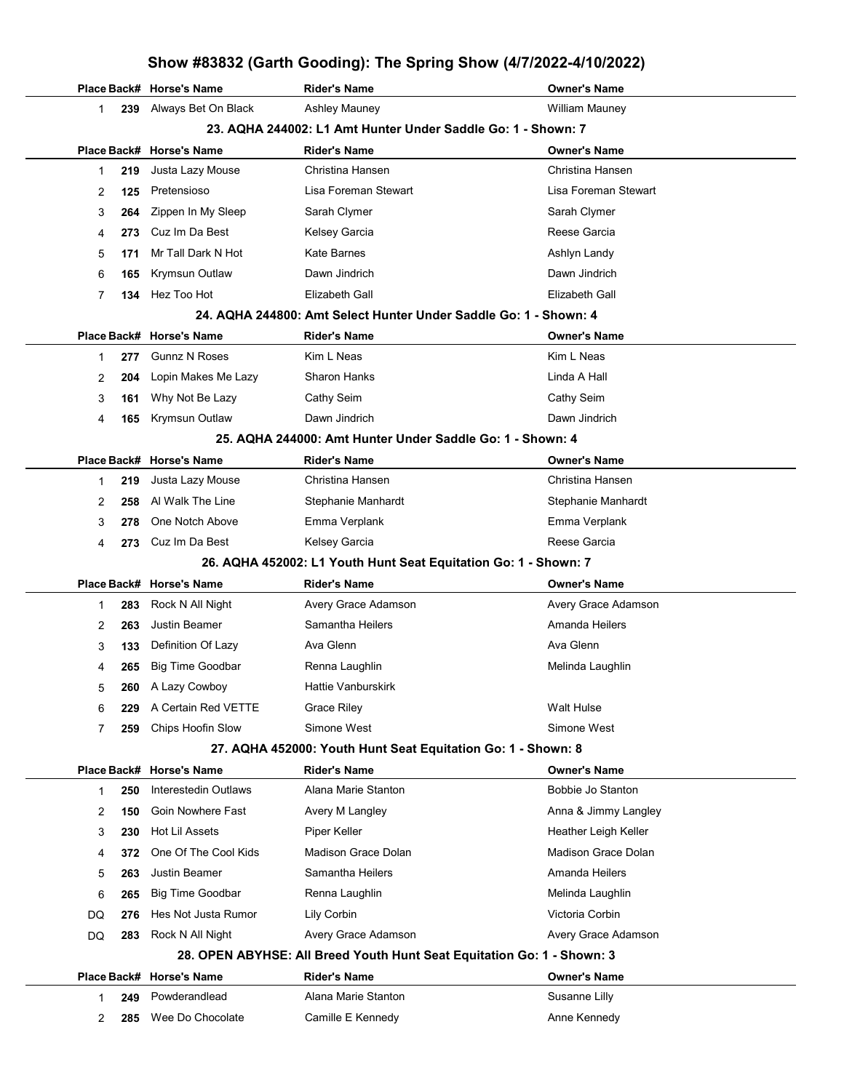### Show #83832 (Garth Gooding): The Spring Show (4/7/2022-4/10/2022)

|              |                                                              | Place Back# Horse's Name | <b>Rider's Name</b>                                                    | Owner's Name               |
|--------------|--------------------------------------------------------------|--------------------------|------------------------------------------------------------------------|----------------------------|
| $\mathbf{1}$ | 239                                                          | Always Bet On Black      | Ashley Mauney                                                          | William Mauney             |
|              | 23. AQHA 244002: L1 Amt Hunter Under Saddle Go: 1 - Shown: 7 |                          |                                                                        |                            |
|              |                                                              | Place Back# Horse's Name | <b>Rider's Name</b>                                                    | Owner's Name               |
| 1            | 219                                                          | Justa Lazy Mouse         | Christina Hansen                                                       | Christina Hansen           |
| 2            | 125                                                          | Pretensioso              | Lisa Foreman Stewart                                                   | Lisa Foreman Stewart       |
| 3            | 264                                                          | Zippen In My Sleep       | Sarah Clymer                                                           | Sarah Clymer               |
| 4            | 273                                                          | Cuz Im Da Best           | Kelsey Garcia                                                          | Reese Garcia               |
| 5            | 171                                                          | Mr Tall Dark N Hot       | Kate Barnes                                                            | Ashlyn Landy               |
| 6            | 165                                                          | <b>Krymsun Outlaw</b>    | Dawn Jindrich                                                          | Dawn Jindrich              |
| 7            | 134                                                          | Hez Too Hot              | Elizabeth Gall                                                         | Elizabeth Gall             |
|              |                                                              |                          | 24. AQHA 244800: Amt Select Hunter Under Saddle Go: 1 - Shown: 4       |                            |
|              |                                                              | Place Back# Horse's Name | Rider's Name                                                           | Owner's Name               |
| $\mathbf{1}$ | 277                                                          | <b>Gunnz N Roses</b>     | Kim L Neas                                                             | Kim L Neas                 |
| 2            | 204                                                          | Lopin Makes Me Lazy      | <b>Sharon Hanks</b>                                                    | Linda A Hall               |
| 3            | 161                                                          | Why Not Be Lazy          | Cathy Seim                                                             | Cathy Seim                 |
| 4            | 165                                                          | Krymsun Outlaw           | Dawn Jindrich                                                          | Dawn Jindrich              |
|              |                                                              |                          | 25. AQHA 244000: Amt Hunter Under Saddle Go: 1 - Shown: 4              |                            |
|              |                                                              | Place Back# Horse's Name | <b>Rider's Name</b>                                                    | Owner's Name               |
| 1            | 219                                                          | Justa Lazy Mouse         | Christina Hansen                                                       | Christina Hansen           |
| 2            | 258                                                          | Al Walk The Line         | Stephanie Manhardt                                                     | Stephanie Manhardt         |
| 3            | 278                                                          | One Notch Above          | Emma Verplank                                                          | Emma Verplank              |
| 4            | 273.                                                         | Cuz Im Da Best           | Kelsey Garcia                                                          | Reese Garcia               |
|              |                                                              |                          | 26. AQHA 452002: L1 Youth Hunt Seat Equitation Go: 1 - Shown: 7        |                            |
|              |                                                              | Place Back# Horse's Name | <b>Rider's Name</b>                                                    | <b>Owner's Name</b>        |
| 1            | 283                                                          | Rock N All Night         | Avery Grace Adamson                                                    | Avery Grace Adamson        |
| 2            | 263                                                          | Justin Beamer            | Samantha Heilers                                                       | Amanda Heilers             |
| 3            | 133                                                          | Definition Of Lazy       | Ava Glenn                                                              | Ava Glenn                  |
| 4            | 265                                                          | <b>Big Time Goodbar</b>  | Renna Laughlin                                                         | Melinda Laughlin           |
| 5            |                                                              | 260 A Lazy Cowboy        | Hattie Vanburskirk                                                     |                            |
| 6            | 229                                                          | A Certain Red VETTE      | <b>Grace Riley</b>                                                     | <b>Walt Hulse</b>          |
| 7            | 259                                                          | Chips Hoofin Slow        | Simone West                                                            | Simone West                |
|              |                                                              |                          | 27. AQHA 452000: Youth Hunt Seat Equitation Go: 1 - Shown: 8           |                            |
|              |                                                              | Place Back# Horse's Name | <b>Rider's Name</b>                                                    | Owner's Name               |
| $\mathbf{1}$ | 250                                                          | Interestedin Outlaws     | Alana Marie Stanton                                                    | Bobbie Jo Stanton          |
| 2            | 150                                                          | Goin Nowhere Fast        | Avery M Langley                                                        | Anna & Jimmy Langley       |
| 3            | 230                                                          | <b>Hot Lil Assets</b>    | Piper Keller                                                           | Heather Leigh Keller       |
| 4            | 372                                                          | One Of The Cool Kids     | <b>Madison Grace Dolan</b>                                             | <b>Madison Grace Dolan</b> |
| 5            | 263                                                          | <b>Justin Beamer</b>     | Samantha Heilers                                                       | Amanda Heilers             |
| 6            | 265                                                          | <b>Big Time Goodbar</b>  | Renna Laughlin                                                         | Melinda Laughlin           |
| DQ           | 276                                                          | Hes Not Justa Rumor      | Lily Corbin                                                            | Victoria Corbin            |
| DQ           | 283                                                          | Rock N All Night         | Avery Grace Adamson                                                    | Avery Grace Adamson        |
|              |                                                              |                          | 28. OPEN ABYHSE: All Breed Youth Hunt Seat Equitation Go: 1 - Shown: 3 |                            |
|              |                                                              | Place Back# Horse's Name | <b>Rider's Name</b>                                                    | <b>Owner's Name</b>        |
|              | 249                                                          | Powderandlead            | Alana Marie Stanton                                                    | Susanne Lilly              |
| 2            | 285                                                          | Wee Do Chocolate         | Camille E Kennedy                                                      | Anne Kennedy               |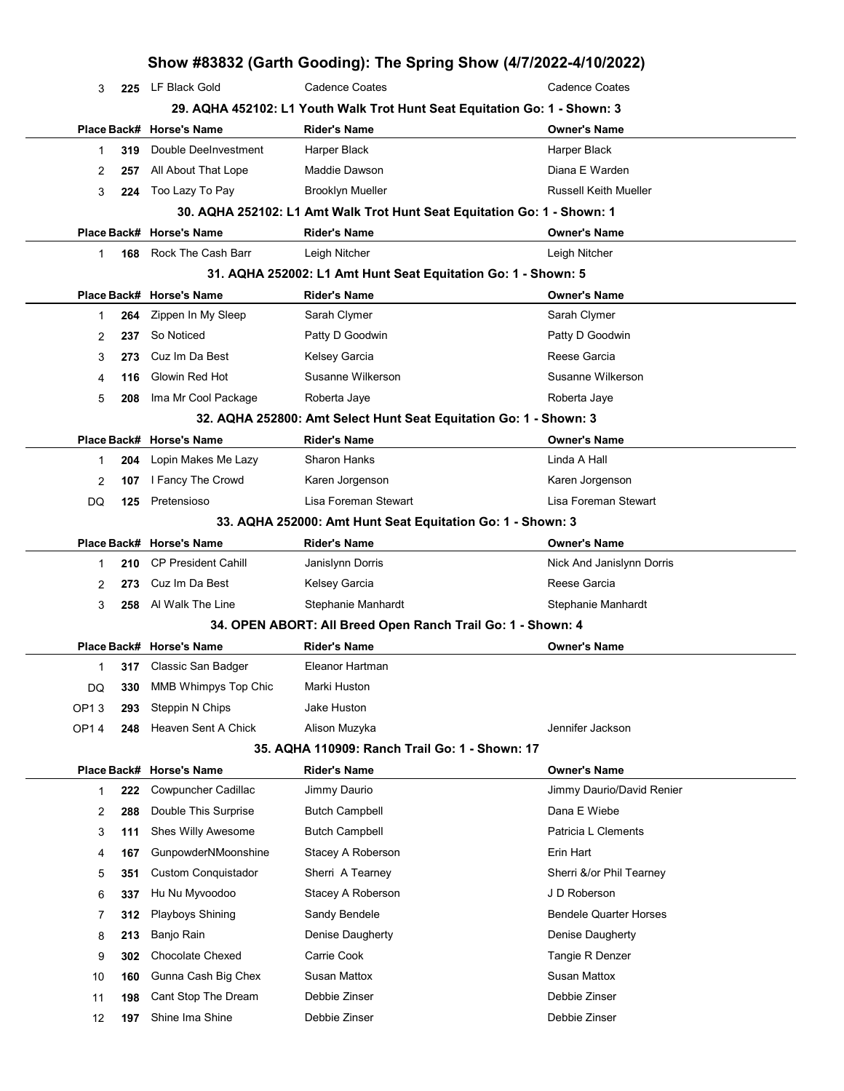| Show #83832 (Garth Gooding): The Spring Show (4/7/2022-4/10/2022) |     |                                                                           |                                                                         |                                     |  |  |
|-------------------------------------------------------------------|-----|---------------------------------------------------------------------------|-------------------------------------------------------------------------|-------------------------------------|--|--|
| 3                                                                 | 225 | LF Black Gold                                                             | <b>Cadence Coates</b>                                                   | <b>Cadence Coates</b>               |  |  |
|                                                                   |     | 29. AQHA 452102: L1 Youth Walk Trot Hunt Seat Equitation Go: 1 - Shown: 3 |                                                                         |                                     |  |  |
|                                                                   |     | Place Back# Horse's Name                                                  | <b>Rider's Name</b>                                                     | <b>Owner's Name</b>                 |  |  |
| 1                                                                 | 319 | Double DeeInvestment                                                      | Harper Black                                                            | Harper Black                        |  |  |
| 2                                                                 | 257 | All About That Lope                                                       | Maddie Dawson                                                           | Diana E Warden                      |  |  |
| 3                                                                 | 224 | Too Lazy To Pay                                                           | <b>Brooklyn Mueller</b>                                                 | <b>Russell Keith Mueller</b>        |  |  |
|                                                                   |     |                                                                           | 30. AQHA 252102: L1 Amt Walk Trot Hunt Seat Equitation Go: 1 - Shown: 1 |                                     |  |  |
|                                                                   |     | Place Back# Horse's Name                                                  | <b>Rider's Name</b>                                                     | Owner's Name                        |  |  |
| 1                                                                 | 168 | Rock The Cash Barr                                                        | Leigh Nitcher                                                           | Leigh Nitcher                       |  |  |
|                                                                   |     |                                                                           | 31. AQHA 252002: L1 Amt Hunt Seat Equitation Go: 1 - Shown: 5           |                                     |  |  |
|                                                                   |     | Place Back# Horse's Name                                                  | <b>Rider's Name</b>                                                     | <b>Owner's Name</b>                 |  |  |
| 1                                                                 | 264 | Zippen In My Sleep                                                        | Sarah Clymer                                                            | Sarah Clymer                        |  |  |
| 2                                                                 | 237 | So Noticed                                                                | Patty D Goodwin                                                         | Patty D Goodwin                     |  |  |
| 3                                                                 | 273 | Cuz Im Da Best                                                            | Kelsey Garcia                                                           | Reese Garcia                        |  |  |
| 4                                                                 | 116 | Glowin Red Hot                                                            | Susanne Wilkerson                                                       | Susanne Wilkerson                   |  |  |
| 5                                                                 | 208 | Ima Mr Cool Package                                                       | Roberta Jaye                                                            | Roberta Jaye                        |  |  |
|                                                                   |     |                                                                           | 32. AQHA 252800: Amt Select Hunt Seat Equitation Go: 1 - Shown: 3       |                                     |  |  |
|                                                                   |     | Place Back# Horse's Name                                                  | <b>Rider's Name</b>                                                     | <b>Owner's Name</b>                 |  |  |
| 1                                                                 | 204 | Lopin Makes Me Lazy                                                       | <b>Sharon Hanks</b>                                                     | Linda A Hall                        |  |  |
| 2                                                                 | 107 | I Fancy The Crowd                                                         | Karen Jorgenson                                                         | Karen Jorgenson                     |  |  |
| DQ                                                                | 125 | Pretensioso                                                               | Lisa Foreman Stewart                                                    | Lisa Foreman Stewart                |  |  |
|                                                                   |     |                                                                           | 33. AQHA 252000: Amt Hunt Seat Equitation Go: 1 - Shown: 3              |                                     |  |  |
|                                                                   |     | Place Back# Horse's Name                                                  | <b>Rider's Name</b>                                                     | <b>Owner's Name</b>                 |  |  |
| 1                                                                 | 210 | <b>CP President Cahill</b>                                                | Janislynn Dorris                                                        | Nick And Janislynn Dorris           |  |  |
| 2                                                                 | 273 | Cuz Im Da Best                                                            | Kelsey Garcia                                                           | Reese Garcia                        |  |  |
| 3                                                                 | 258 | Al Walk The Line<br>Stephanie Manhardt                                    |                                                                         | Stephanie Manhardt                  |  |  |
|                                                                   |     |                                                                           | 34. OPEN ABORT: All Breed Open Ranch Trail Go: 1 - Shown: 4             |                                     |  |  |
|                                                                   |     | Place Back# Horse's Name                                                  | <b>Rider's Name</b>                                                     | Owner's Name                        |  |  |
| 1                                                                 |     | 317 Classic San Badger                                                    | Eleanor Hartman                                                         |                                     |  |  |
| DQ                                                                | 330 | MMB Whimpys Top Chic                                                      | Marki Huston                                                            |                                     |  |  |
| OP13                                                              | 293 | Steppin N Chips                                                           | Jake Huston                                                             |                                     |  |  |
| OP14                                                              | 248 | Heaven Sent A Chick                                                       | Alison Muzyka                                                           | Jennifer Jackson                    |  |  |
|                                                                   |     |                                                                           | 35. AQHA 110909: Ranch Trail Go: 1 - Shown: 17                          |                                     |  |  |
|                                                                   |     | Place Back# Horse's Name                                                  | <b>Rider's Name</b>                                                     | <b>Owner's Name</b>                 |  |  |
| 1                                                                 | 222 | Cowpuncher Cadillac                                                       | Jimmy Daurio                                                            | Jimmy Daurio/David Renier           |  |  |
| 2                                                                 | 288 | Double This Surprise                                                      | <b>Butch Campbell</b>                                                   | Dana E Wiebe<br>Patricia L Clements |  |  |
| 3                                                                 | 111 | Shes Willy Awesome                                                        | <b>Butch Campbell</b>                                                   |                                     |  |  |
| 4                                                                 | 167 | GunpowderNMoonshine                                                       | Stacey A Roberson                                                       | Erin Hart                           |  |  |
| 5                                                                 | 351 | <b>Custom Conquistador</b>                                                | Sherri A Tearney                                                        | Sherri &/or Phil Tearney            |  |  |
| 6                                                                 | 337 | Hu Nu Myvoodoo                                                            | Stacey A Roberson                                                       | J D Roberson                        |  |  |
| 7                                                                 | 312 | <b>Playboys Shining</b>                                                   | Sandy Bendele                                                           | <b>Bendele Quarter Horses</b>       |  |  |
| 8                                                                 | 213 | Banjo Rain                                                                | Denise Daugherty                                                        | Denise Daugherty                    |  |  |
| 9                                                                 | 302 | <b>Chocolate Chexed</b>                                                   | Carrie Cook                                                             | Tangie R Denzer                     |  |  |
| 10                                                                | 160 | Gunna Cash Big Chex                                                       | Susan Mattox                                                            | <b>Susan Mattox</b>                 |  |  |
| 11                                                                | 198 | Cant Stop The Dream                                                       | Debbie Zinser                                                           | Debbie Zinser                       |  |  |
| 12                                                                | 197 | Shine Ima Shine                                                           | Debbie Zinser                                                           | Debbie Zinser                       |  |  |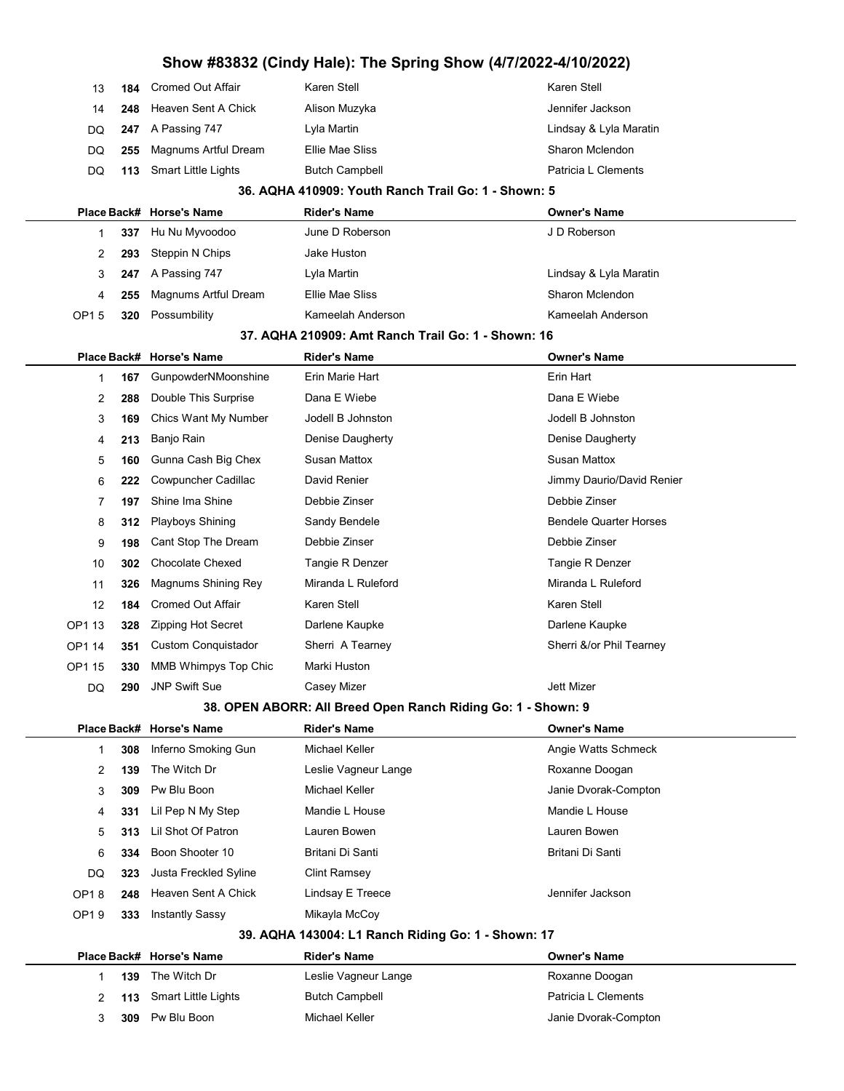|        | Show #83832 (Cindy Hale): The Spring Show (4/7/2022-4/10/2022) |                             |                                                              |                               |  |  |
|--------|----------------------------------------------------------------|-----------------------------|--------------------------------------------------------------|-------------------------------|--|--|
| 13     | 184                                                            | <b>Cromed Out Affair</b>    | Karen Stell                                                  | Karen Stell                   |  |  |
| 14     | 248                                                            | Heaven Sent A Chick         | Alison Muzyka                                                | Jennifer Jackson              |  |  |
| DQ     | 247                                                            | A Passing 747               | Lyla Martin                                                  | Lindsay & Lyla Maratin        |  |  |
| DQ     | 255                                                            | <b>Magnums Artful Dream</b> | Ellie Mae Sliss                                              | Sharon Mclendon               |  |  |
| DQ     | 113                                                            | Smart Little Lights         | <b>Butch Campbell</b>                                        | Patricia L Clements           |  |  |
|        |                                                                |                             | 36. AQHA 410909: Youth Ranch Trail Go: 1 - Shown: 5          |                               |  |  |
|        |                                                                | Place Back# Horse's Name    | <b>Rider's Name</b>                                          | <b>Owner's Name</b>           |  |  |
| 1      | 337                                                            | Hu Nu Myvoodoo              | June D Roberson                                              | J D Roberson                  |  |  |
| 2      | 293                                                            | Steppin N Chips             | Jake Huston                                                  |                               |  |  |
| 3      | 247                                                            | A Passing 747               | Lyla Martin                                                  | Lindsay & Lyla Maratin        |  |  |
| 4      | 255                                                            | Magnums Artful Dream        | Ellie Mae Sliss                                              | Sharon Mclendon               |  |  |
| OP15   | 320                                                            | Possumbility                | Kameelah Anderson                                            | Kameelah Anderson             |  |  |
|        |                                                                |                             | 37. AQHA 210909: Amt Ranch Trail Go: 1 - Shown: 16           |                               |  |  |
|        |                                                                | Place Back# Horse's Name    | <b>Rider's Name</b>                                          | <b>Owner's Name</b>           |  |  |
| 1      | 167                                                            | GunpowderNMoonshine         | Erin Marie Hart                                              | Erin Hart                     |  |  |
| 2      | 288                                                            | Double This Surprise        | Dana E Wiebe                                                 | Dana E Wiebe                  |  |  |
| 3      | 169                                                            | Chics Want My Number        | Jodell B Johnston                                            | Jodell B Johnston             |  |  |
| 4      | 213                                                            | Banjo Rain                  | Denise Daugherty                                             | Denise Daugherty              |  |  |
| 5      | 160                                                            | Gunna Cash Big Chex         | <b>Susan Mattox</b>                                          | Susan Mattox                  |  |  |
| 6      | 222                                                            | Cowpuncher Cadillac         | David Renier                                                 | Jimmy Daurio/David Renier     |  |  |
| 7      | 197                                                            | Shine Ima Shine             | Debbie Zinser                                                | Debbie Zinser                 |  |  |
| 8      | 312                                                            | <b>Playboys Shining</b>     | Sandy Bendele                                                | <b>Bendele Quarter Horses</b> |  |  |
| 9      | 198                                                            | Cant Stop The Dream         | Debbie Zinser                                                | Debbie Zinser                 |  |  |
| 10     | 302                                                            | <b>Chocolate Chexed</b>     | Tangie R Denzer                                              | Tangie R Denzer               |  |  |
| 11     | 326                                                            | Magnums Shining Rey         | Miranda L Ruleford                                           | Miranda L Ruleford            |  |  |
| 12     | 184                                                            | <b>Cromed Out Affair</b>    | Karen Stell                                                  | Karen Stell                   |  |  |
| OP1 13 | 328                                                            | Zipping Hot Secret          | Darlene Kaupke                                               | Darlene Kaupke                |  |  |
| OP1 14 | 351                                                            | Custom Conquistador         | Sherri A Tearney                                             | Sherri &/or Phil Tearney      |  |  |
| OP1 15 | 330                                                            | MMB Whimpys Top Chic        | Marki Huston                                                 |                               |  |  |
| DQ     | 290                                                            | <b>JNP Swift Sue</b>        | Casey Mizer                                                  | Jett Mizer                    |  |  |
|        |                                                                |                             | 38. OPEN ABORR: All Breed Open Ranch Riding Go: 1 - Shown: 9 |                               |  |  |
|        |                                                                | Place Back# Horse's Name    | <b>Rider's Name</b>                                          | <b>Owner's Name</b>           |  |  |
| 1      | 308                                                            | Inferno Smoking Gun         | Michael Keller                                               | Angie Watts Schmeck           |  |  |
| 2      | 139                                                            | The Witch Dr                | Leslie Vagneur Lange                                         | Roxanne Doogan                |  |  |
| 3      | 309                                                            | Pw Blu Boon                 | Michael Keller                                               | Janie Dvorak-Compton          |  |  |
| 4      | 331                                                            | Lil Pep N My Step           | Mandie L House                                               | Mandie L House                |  |  |
| 5      | 313                                                            | Lil Shot Of Patron          | Lauren Bowen                                                 | Lauren Bowen                  |  |  |
| 6      | 334                                                            | Boon Shooter 10             | Britani Di Santi                                             | Britani Di Santi              |  |  |
| DQ     | 323                                                            | Justa Freckled Syline       | <b>Clint Ramsey</b>                                          |                               |  |  |
| OP18   | 248                                                            | Heaven Sent A Chick         | Lindsay E Treece                                             | Jennifer Jackson              |  |  |
| OP19   | 333                                                            | <b>Instantly Sassy</b>      | Mikayla McCoy                                                |                               |  |  |
|        |                                                                |                             | 39. AQHA 143004: L1 Ranch Riding Go: 1 - Shown: 17           |                               |  |  |
|        |                                                                | Place Back# Horse's Name    | <b>Rider's Name</b>                                          | <b>Owner's Name</b>           |  |  |
| 1      | 139                                                            | The Witch Dr                | Leslie Vagneur Lange                                         | Roxanne Doogan                |  |  |
| 2      | 113                                                            | Smart Little Lights         | Butch Campbell                                               | Patricia L Clements           |  |  |
| 3      | 309                                                            | Pw Blu Boon                 | Michael Keller                                               | Janie Dvorak-Compton          |  |  |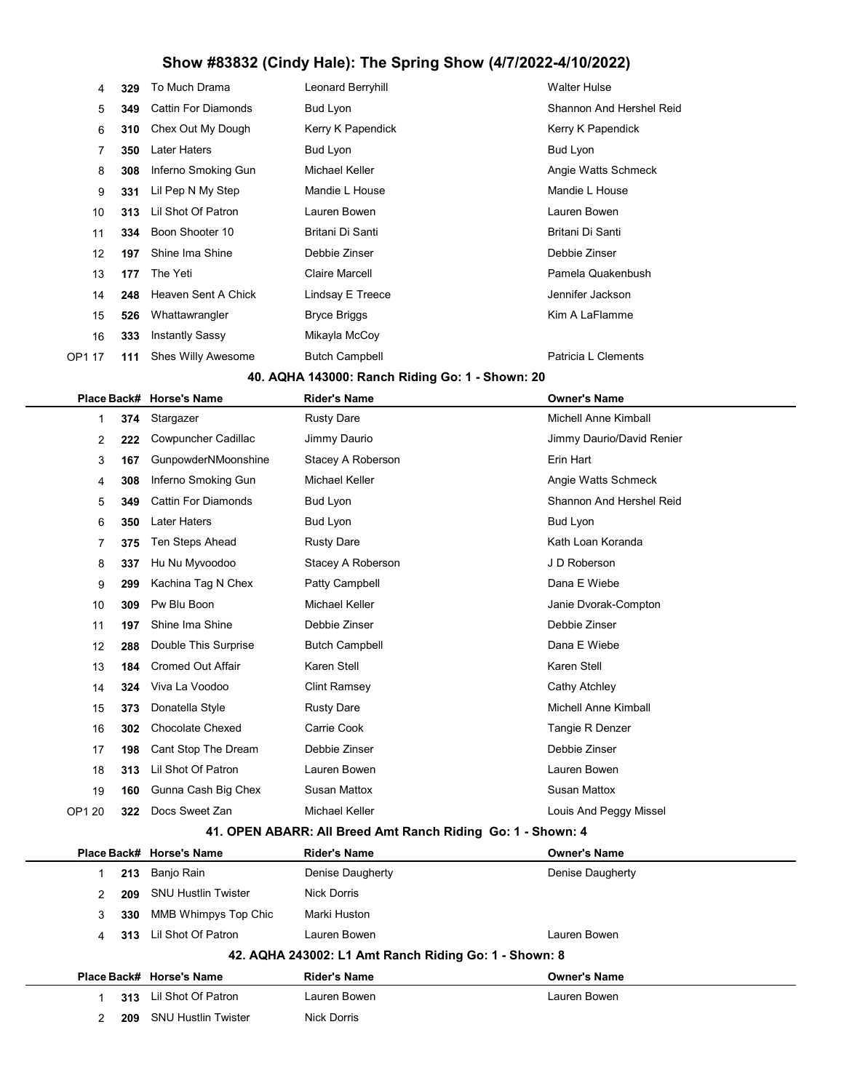| 4      | 329 | To Much Drama              | Leonard Berryhill     | <b>Walter Hulse</b>      |
|--------|-----|----------------------------|-----------------------|--------------------------|
| 5      | 349 | <b>Cattin For Diamonds</b> | Bud Lyon              | Shannon And Hershel Reid |
| 6      | 310 | Chex Out My Dough          | Kerry K Papendick     | Kerry K Papendick        |
| 7      | 350 | Later Haters               | Bud Lyon              | Bud Lyon                 |
| 8      | 308 | Inferno Smoking Gun        | Michael Keller        | Angie Watts Schmeck      |
| 9      | 331 | Lil Pep N My Step          | Mandie L House        | Mandie L House           |
| 10     | 313 | Lil Shot Of Patron         | Lauren Bowen          | Lauren Bowen             |
| 11     | 334 | Boon Shooter 10            | Britani Di Santi      | Britani Di Santi         |
| 12     | 197 | Shine Ima Shine            | Debbie Zinser         | Debbie Zinser            |
| 13     | 177 | The Yeti                   | <b>Claire Marcell</b> | Pamela Quakenbush        |
| 14     | 248 | Heaven Sent A Chick        | Lindsay E Treece      | Jennifer Jackson         |
| 15     | 526 | Whattawrangler             | Bryce Briggs          | Kim A LaFlamme           |
| 16     | 333 | Instantly Sassy            | Mikayla McCoy         |                          |
| OP1 17 | 111 | <b>Shes Willy Awesome</b>  | <b>Butch Campbell</b> | Patricia L Clements      |

#### 40. AQHA 143000: Ranch Riding Go: 1 - Shown: 20

|        |     | Place Back# Horse's Name   | <b>Rider's Name</b>   | <b>Owner's Name</b>         |  |  |
|--------|-----|----------------------------|-----------------------|-----------------------------|--|--|
| 1      | 374 | Stargazer                  | <b>Rusty Dare</b>     | <b>Michell Anne Kimball</b> |  |  |
| 2      | 222 | Cowpuncher Cadillac        | Jimmy Daurio          | Jimmy Daurio/David Renier   |  |  |
| 3      | 167 | GunpowderNMoonshine        | Stacey A Roberson     | Erin Hart                   |  |  |
| 4      | 308 | Inferno Smoking Gun        | Michael Keller        | Angie Watts Schmeck         |  |  |
| 5      | 349 | <b>Cattin For Diamonds</b> | Bud Lyon              | Shannon And Hershel Reid    |  |  |
| 6      | 350 | <b>Later Haters</b>        | Bud Lyon              | <b>Bud Lyon</b>             |  |  |
| 7      | 375 | Ten Steps Ahead            | <b>Rusty Dare</b>     | Kath Loan Koranda           |  |  |
| 8      | 337 | Hu Nu Myvoodoo             | Stacey A Roberson     | J D Roberson                |  |  |
| 9      | 299 | Kachina Tag N Chex         | Patty Campbell        | Dana E Wiebe                |  |  |
| 10     | 309 | Pw Blu Boon                | Michael Keller        | Janie Dvorak-Compton        |  |  |
| 11     | 197 | Shine Ima Shine            | Debbie Zinser         | Debbie Zinser               |  |  |
| 12     | 288 | Double This Surprise       | <b>Butch Campbell</b> | Dana E Wiebe                |  |  |
| 13     | 184 | <b>Cromed Out Affair</b>   | Karen Stell           | Karen Stell                 |  |  |
| 14     | 324 | Viva La Voodoo             | <b>Clint Ramsey</b>   | Cathy Atchley               |  |  |
| 15     | 373 | Donatella Style            | <b>Rusty Dare</b>     | <b>Michell Anne Kimball</b> |  |  |
| 16     | 302 | <b>Chocolate Chexed</b>    | Carrie Cook           | Tangie R Denzer             |  |  |
| 17     | 198 | Cant Stop The Dream        | Debbie Zinser         | Debbie Zinser               |  |  |
| 18     | 313 | Lil Shot Of Patron         | Lauren Bowen          | Lauren Bowen                |  |  |
| 19     | 160 | Gunna Cash Big Chex        | <b>Susan Mattox</b>   | <b>Susan Mattox</b>         |  |  |
| OP1 20 | 322 | Docs Sweet Zan             | Michael Keller        | Louis And Peggy Missel      |  |  |
|        |     |                            |                       |                             |  |  |

#### 41. OPEN ABARR: All Breed Amt Ranch Riding Go: 1 - Shown: 4

|   |     | Place Back# Horse's Name    | <b>Rider's Name</b>                                   | <b>Owner's Name</b> |
|---|-----|-----------------------------|-------------------------------------------------------|---------------------|
|   | 213 | Banjo Rain                  | Denise Daugherty                                      | Denise Daugherty    |
| 2 | 209 | <b>SNU Hustlin Twister</b>  | Nick Dorris                                           |                     |
| 3 | 330 | <b>MMB Whimpys Top Chic</b> | Marki Huston                                          |                     |
| 4 | 313 | Lil Shot Of Patron          | Lauren Bowen                                          | Lauren Bowen        |
|   |     |                             | 42. AQHA 243002: L1 Amt Ranch Riding Go: 1 - Shown: 8 |                     |
|   |     | Place Back# Horse's Name    | <b>Rider's Name</b>                                   | <b>Owner's Name</b> |
|   | 313 | Lil Shot Of Patron          | Lauren Bowen                                          | Lauren Bowen        |
| 2 | 209 | <b>SNU Hustlin Twister</b>  | <b>Nick Dorris</b>                                    |                     |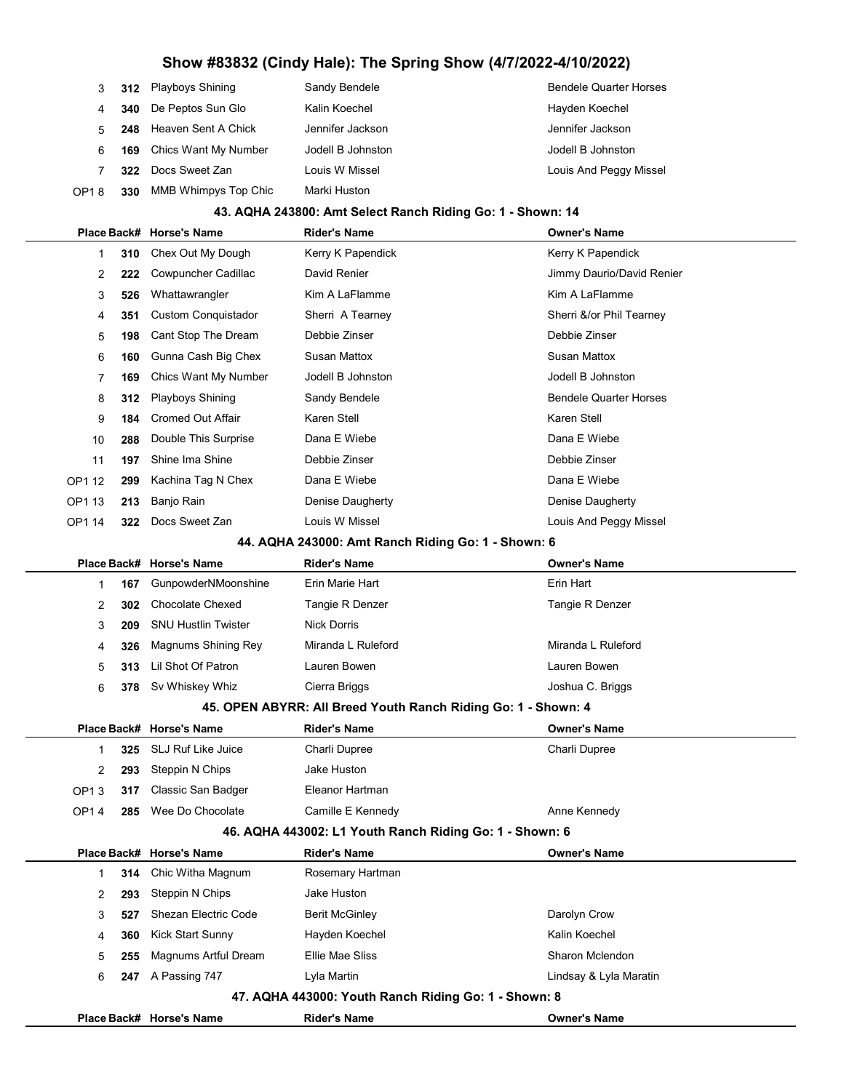|                   |     | 312 Playboys Shining        | Sandy Bendele     | <b>Bendele Quarter Horses</b> |
|-------------------|-----|-----------------------------|-------------------|-------------------------------|
| 4                 |     | 340 De Peptos Sun Glo       | Kalin Koechel     | Hayden Koechel                |
| 5                 |     | 248 Heaven Sent A Chick     | Jennifer Jackson  | Jennifer Jackson              |
| 6                 | 169 | Chics Want My Number        | Jodell B Johnston | Jodell B Johnston             |
|                   |     | 322 Docs Sweet Zan          | Louis W Missel    | Louis And Peggy Missel        |
| OP <sub>1</sub> 8 | 330 | <b>MMB Whimpys Top Chic</b> | Marki Huston      |                               |

#### 43. AQHA 243800: Amt Select Ranch Riding Go: 1 - Shown: 14

|             |     | Place Back# Horse's Name   | <b>Rider's Name</b>                                | <b>Owner's Name</b>           |
|-------------|-----|----------------------------|----------------------------------------------------|-------------------------------|
| $\mathbf 1$ | 310 | Chex Out My Dough          | Kerry K Papendick                                  | Kerry K Papendick             |
| 2           | 222 | Cowpuncher Cadillac        | David Renier                                       | Jimmy Daurio/David Renier     |
| 3           | 526 | Whattawrangler             | Kim A LaFlamme                                     | Kim A LaFlamme                |
| 4           | 351 | <b>Custom Conquistador</b> | Sherri A Tearney                                   | Sherri &/or Phil Tearney      |
| 5           | 198 | Cant Stop The Dream        | Debbie Zinser                                      | Debbie Zinser                 |
| 6           | 160 | Gunna Cash Big Chex        | <b>Susan Mattox</b>                                | <b>Susan Mattox</b>           |
| 7           | 169 | Chics Want My Number       | Jodell B Johnston                                  | Jodell B Johnston             |
| 8           | 312 | Playboys Shining           | Sandy Bendele                                      | <b>Bendele Quarter Horses</b> |
| 9           | 184 | <b>Cromed Out Affair</b>   | Karen Stell                                        | Karen Stell                   |
| 10          | 288 | Double This Surprise       | Dana E Wiebe                                       | Dana E Wiebe                  |
| 11          | 197 | Shine Ima Shine            | Debbie Zinser                                      | Debbie Zinser                 |
| OP1 12      | 299 | Kachina Tag N Chex         | Dana E Wiebe                                       | Dana E Wiebe                  |
| OP1 13      | 213 | Banjo Rain                 | Denise Daugherty                                   | Denise Daugherty              |
| OP1 14      | 322 | Docs Sweet Zan             | Louis W Missel                                     | Louis And Peggy Missel        |
|             |     |                            | 44. AQHA 243000: Amt Ranch Riding Go: 1 - Shown: 6 |                               |
|             |     | Place Back# Horse's Name   | <b>Rider's Name</b>                                | <b>Owner's Name</b>           |
| 1           | 167 | GunpowderNMoonshine        | Erin Marie Hart                                    | Erin Hart                     |
| 2           | 302 | <b>Chocolate Chexed</b>    | Tangie R Denzer                                    | Tangie R Denzer               |
| 3           | 209 | <b>SNU Hustlin Twister</b> | <b>Nick Dorris</b>                                 |                               |
| 4           | 326 | Magnums Shining Rey        | Miranda L Ruleford                                 | Miranda L Ruleford            |
| 5           | 313 | Lil Shot Of Patron         | Lauren Bowen                                       | Lauren Bowen                  |
| 6           | 378 | Sv Whiskey Whiz            | Cierra Briggs                                      | Joshua C. Briggs              |

#### 45. OPEN ABYRR: All Breed Youth Ranch Riding Go: 1 - Shown: 4

|                                                   |     | Place Back# Horse's Name | Rider's Name      | <b>Owner's Name</b> |  |
|---------------------------------------------------|-----|--------------------------|-------------------|---------------------|--|
|                                                   |     | 325 SLJ Ruf Like Juice   | Charli Dupree     | Charli Dupree       |  |
|                                                   | 293 | Steppin N Chips          | Jake Huston       |                     |  |
| OP <sub>13</sub>                                  | 317 | Classic San Badger       | Eleanor Hartman   |                     |  |
| OP14                                              | 285 | Wee Do Chocolate         | Camille E Kennedy | Anne Kennedy        |  |
| AC AOUA AA2002.14 Vouth Danah Diding Card Chaum C |     |                          |                   |                     |  |

#### 46. AQHA 443002: L1 Youth Ranch Riding Go: 1 - Shown: 6

|                                                      |     | Place Back# Horse's Name | <b>Rider's Name</b>   | <b>Owner's Name</b>    |  |  |
|------------------------------------------------------|-----|--------------------------|-----------------------|------------------------|--|--|
|                                                      |     | 314 Chic Witha Magnum    | Rosemary Hartman      |                        |  |  |
| 2                                                    | 293 | Steppin N Chips          | Jake Huston           |                        |  |  |
| 3                                                    | 527 | Shezan Electric Code     | <b>Berit McGinley</b> | Darolyn Crow           |  |  |
| 4                                                    | 360 | Kick Start Sunny         | Hayden Koechel        | Kalin Koechel          |  |  |
| 5                                                    | 255 | Magnums Artful Dream     | Ellie Mae Sliss       | Sharon Mclendon        |  |  |
| 6                                                    | 247 | A Passing 747            | Lyla Martin           | Lindsay & Lyla Maratin |  |  |
| 47. AQHA 443000: Youth Ranch Riding Go: 1 - Shown: 8 |     |                          |                       |                        |  |  |
|                                                      |     | Place Back# Horse's Name | <b>Rider's Name</b>   | <b>Owner's Name</b>    |  |  |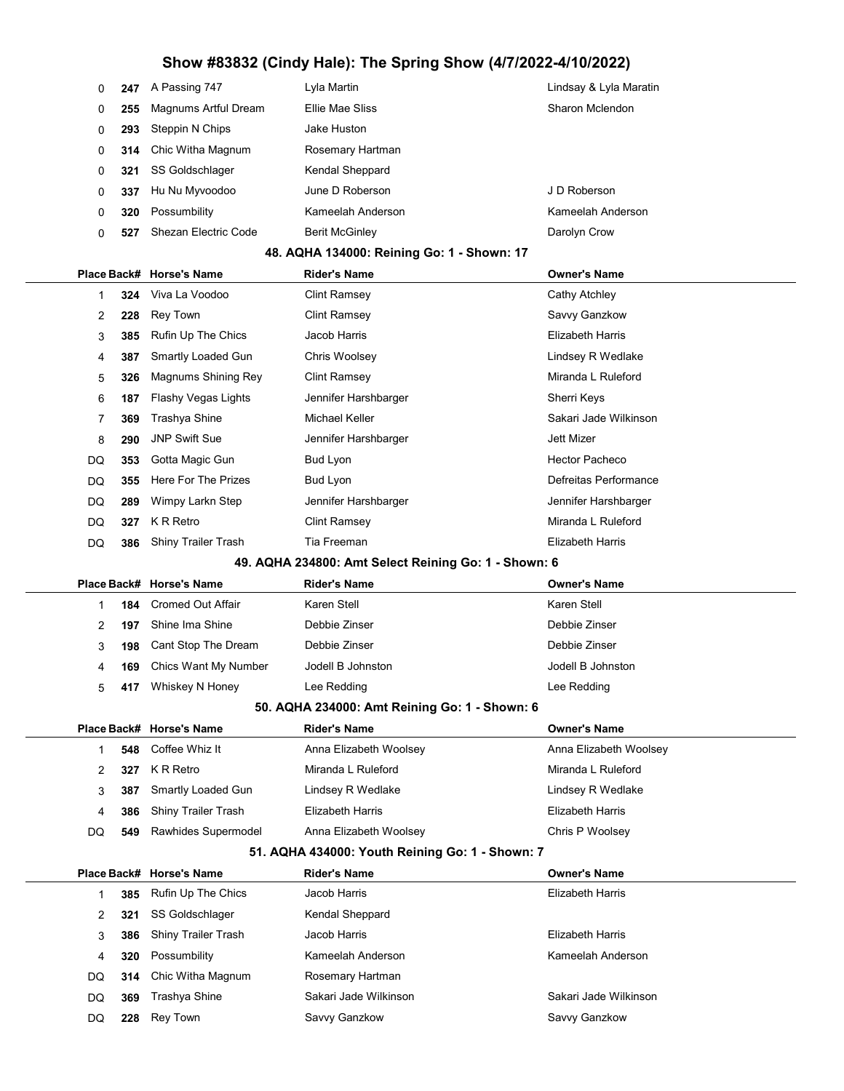| 0            | 247 | A Passing 747              | Lyla Martin                                          | Lindsay & Lyla Maratin  |
|--------------|-----|----------------------------|------------------------------------------------------|-------------------------|
| 0            | 255 | Magnums Artful Dream       | Ellie Mae Sliss                                      | Sharon Mclendon         |
| 0            | 293 | Steppin N Chips            | Jake Huston                                          |                         |
| 0            | 314 | Chic Witha Magnum          | Rosemary Hartman                                     |                         |
| 0            | 321 | SS Goldschlager            | Kendal Sheppard                                      |                         |
| 0            | 337 | Hu Nu Myvoodoo             | June D Roberson                                      | J D Roberson            |
| 0            | 320 | Possumbility               | Kameelah Anderson                                    | Kameelah Anderson       |
| 0            | 527 | Shezan Electric Code       | <b>Berit McGinley</b>                                | Darolyn Crow            |
|              |     |                            | 48. AQHA 134000: Reining Go: 1 - Shown: 17           |                         |
| Place Back#  |     | <b>Horse's Name</b>        | <b>Rider's Name</b>                                  | <b>Owner's Name</b>     |
| $\mathbf 1$  | 324 | Viva La Voodoo             | <b>Clint Ramsey</b>                                  | Cathy Atchley           |
| 2            | 228 | <b>Rey Town</b>            | <b>Clint Ramsey</b>                                  | Savvy Ganzkow           |
| 3            | 385 | Rufin Up The Chics         | Jacob Harris                                         | <b>Elizabeth Harris</b> |
| 4            | 387 | Smartly Loaded Gun         | Chris Woolsey                                        | Lindsey R Wedlake       |
| 5            | 326 | Magnums Shining Rey        | <b>Clint Ramsey</b>                                  | Miranda L Ruleford      |
| 6            | 187 | <b>Flashy Vegas Lights</b> | Jennifer Harshbarger                                 | Sherri Keys             |
| 7            | 369 | Trashya Shine              | Michael Keller                                       | Sakari Jade Wilkinson   |
| 8            | 290 | <b>JNP Swift Sue</b>       | Jennifer Harshbarger                                 | <b>Jett Mizer</b>       |
| DQ           | 353 | Gotta Magic Gun            | <b>Bud Lyon</b>                                      | <b>Hector Pacheco</b>   |
| DQ           | 355 | Here For The Prizes        | Bud Lyon                                             | Defreitas Performance   |
| DQ           | 289 | Wimpy Larkn Step           | Jennifer Harshbarger                                 | Jennifer Harshbarger    |
| DQ           | 327 | K R Retro                  | <b>Clint Ramsey</b>                                  | Miranda L Ruleford      |
| DQ           | 386 | Shiny Trailer Trash        | Tia Freeman                                          | <b>Elizabeth Harris</b> |
|              |     |                            |                                                      |                         |
|              |     |                            | 49. AQHA 234800: Amt Select Reining Go: 1 - Shown: 6 |                         |
| Place Back#  |     | <b>Horse's Name</b>        | <b>Rider's Name</b>                                  | <b>Owner's Name</b>     |
| 1            | 184 | <b>Cromed Out Affair</b>   | Karen Stell                                          | Karen Stell             |
| 2            | 197 | Shine Ima Shine            | Debbie Zinser                                        | Debbie Zinser           |
| 3            | 198 | Cant Stop The Dream        | Debbie Zinser                                        | Debbie Zinser           |
| 4            | 169 | Chics Want My Number       | Jodell B Johnston                                    | Jodell B Johnston       |
| 5            | 417 | Whiskey N Honey            | Lee Redding                                          | Lee Redding             |
|              |     |                            | 50. AQHA 234000: Amt Reining Go: 1 - Shown: 6        |                         |
|              |     | Place Back# Horse's Name   | <b>Rider's Name</b>                                  | <b>Owner's Name</b>     |
| $\mathbf{1}$ | 548 | Coffee Whiz It             | Anna Elizabeth Woolsey                               | Anna Elizabeth Woolsey  |
| 2            | 327 | K R Retro                  | Miranda L Ruleford                                   | Miranda L Ruleford      |
| 3            | 387 | Smartly Loaded Gun         | Lindsey R Wedlake                                    | Lindsey R Wedlake       |
| 4            | 386 | Shiny Trailer Trash        | <b>Elizabeth Harris</b>                              | <b>Elizabeth Harris</b> |
| DQ           | 549 | Rawhides Supermodel        | Anna Elizabeth Woolsey                               | Chris P Woolsey         |
|              |     |                            | 51. AQHA 434000: Youth Reining Go: 1 - Shown: 7      |                         |
| Place Back#  |     | <b>Horse's Name</b>        | <b>Rider's Name</b>                                  | <b>Owner's Name</b>     |
| 1            | 385 | Rufin Up The Chics         | Jacob Harris                                         | <b>Elizabeth Harris</b> |
| 2            | 321 | SS Goldschlager            | Kendal Sheppard                                      |                         |
| 3            | 386 | Shiny Trailer Trash        | Jacob Harris                                         | <b>Elizabeth Harris</b> |
| 4            | 320 | Possumbility               | Kameelah Anderson                                    | Kameelah Anderson       |
| DQ           | 314 | Chic Witha Magnum          | Rosemary Hartman                                     |                         |
| DQ           | 369 | Trashya Shine              | Sakari Jade Wilkinson                                | Sakari Jade Wilkinson   |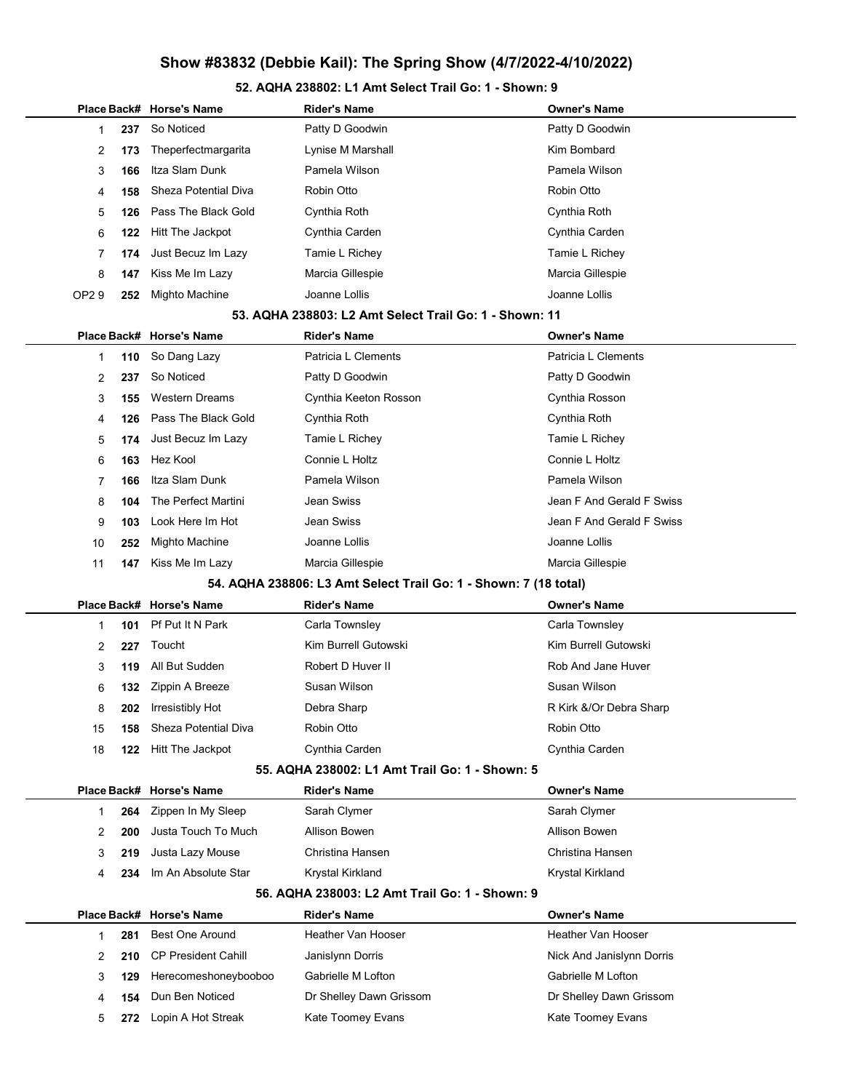#### 52. AQHA 238802: L1 Amt Select Trail Go: 1 - Shown: 9

|              |     | Place Back# Horse's Name    | <b>Rider's Name</b>                                              | <b>Owner's Name</b>       |
|--------------|-----|-----------------------------|------------------------------------------------------------------|---------------------------|
| 1            | 237 | So Noticed                  | Patty D Goodwin                                                  | Patty D Goodwin           |
| 2            | 173 | Theperfectmargarita         | Lynise M Marshall                                                | Kim Bombard               |
| 3            | 166 | Itza Slam Dunk              | Pamela Wilson                                                    | Pamela Wilson             |
| 4            | 158 | <b>Sheza Potential Diva</b> | Robin Otto                                                       | Robin Otto                |
| 5            | 126 | Pass The Black Gold         | Cynthia Roth                                                     | Cynthia Roth              |
| 6            | 122 | Hitt The Jackpot            | Cynthia Carden                                                   | Cynthia Carden            |
| 7            | 174 | Just Becuz Im Lazy          | Tamie L Richey                                                   | Tamie L Richey            |
| 8            | 147 | Kiss Me Im Lazy             | Marcia Gillespie                                                 | Marcia Gillespie          |
| OP29         | 252 | Mighto Machine              | Joanne Lollis                                                    | Joanne Lollis             |
|              |     |                             | 53. AQHA 238803: L2 Amt Select Trail Go: 1 - Shown: 11           |                           |
|              |     | Place Back# Horse's Name    | Rider's Name                                                     | <b>Owner's Name</b>       |
| 1            | 110 | So Dang Lazy                | Patricia L Clements                                              | Patricia L Clements       |
| 2            | 237 | So Noticed                  | Patty D Goodwin                                                  | Patty D Goodwin           |
| 3            | 155 | <b>Western Dreams</b>       | Cynthia Keeton Rosson                                            | Cynthia Rosson            |
| 4            | 126 | Pass The Black Gold         | Cynthia Roth                                                     | Cynthia Roth              |
| 5            | 174 | Just Becuz Im Lazy          | Tamie L Richey                                                   | Tamie L Richey            |
| 6            | 163 | Hez Kool                    | Connie L Holtz                                                   | Connie L Holtz            |
| 7            | 166 | Itza Slam Dunk              | Pamela Wilson                                                    | Pamela Wilson             |
| 8            | 104 | The Perfect Martini         | Jean Swiss                                                       | Jean F And Gerald F Swiss |
| 9            | 103 | Look Here Im Hot            | Jean Swiss                                                       | Jean F And Gerald F Swiss |
| 10           | 252 | Mighto Machine              | Joanne Lollis                                                    | Joanne Lollis             |
| 11           | 147 | Kiss Me Im Lazy             | Marcia Gillespie                                                 | Marcia Gillespie          |
|              |     |                             | 54. AQHA 238806: L3 Amt Select Trail Go: 1 - Shown: 7 (18 total) |                           |
|              |     | Place Back# Horse's Name    | <b>Rider's Name</b>                                              | <b>Owner's Name</b>       |
| 1            | 101 | Pf Put It N Park            | Carla Townsley                                                   | Carla Townsley            |
| 2            | 227 | Toucht                      | Kim Burrell Gutowski                                             | Kim Burrell Gutowski      |
| 3            | 119 | All But Sudden              | Robert D Huver II                                                | Rob And Jane Huver        |
| 6            | 132 | Zippin A Breeze             | Susan Wilson                                                     | Susan Wilson              |
| 8            | 202 | Irresistibly Hot            | Debra Sharp                                                      | R Kirk &/Or Debra Sharp   |
| 15           | 158 | Sheza Potential Diva        | Robin Otto                                                       | Robin Otto                |
| 18           | 122 | Hitt The Jackpot            | Cynthia Carden                                                   | Cynthia Carden            |
|              |     |                             | 55. AQHA 238002: L1 Amt Trail Go: 1 - Shown: 5                   |                           |
|              |     | Place Back# Horse's Name    | <b>Rider's Name</b>                                              | <b>Owner's Name</b>       |
| $\mathbf{1}$ | 264 | Zippen In My Sleep          | Sarah Clymer                                                     | Sarah Clymer              |
| 2            | 200 | Justa Touch To Much         | Allison Bowen                                                    | Allison Bowen             |
| 3            | 219 | Justa Lazy Mouse            | Christina Hansen                                                 | Christina Hansen          |
| 4            | 234 | Im An Absolute Star         | Krystal Kirkland                                                 | Krystal Kirkland          |
|              |     |                             | 56. AQHA 238003: L2 Amt Trail Go: 1 - Shown: 9                   |                           |
|              |     | Place Back# Horse's Name    | <b>Rider's Name</b>                                              | <b>Owner's Name</b>       |
| 1            | 281 | <b>Best One Around</b>      | <b>Heather Van Hooser</b>                                        | <b>Heather Van Hooser</b> |
| 2            | 210 | <b>CP President Cahill</b>  | Janislynn Dorris                                                 | Nick And Janislynn Dorris |
| 3            | 129 | Herecomeshoneybooboo        | Gabrielle M Lofton                                               | Gabrielle M Lofton        |
| 4            | 154 | Dun Ben Noticed             | Dr Shelley Dawn Grissom                                          | Dr Shelley Dawn Grissom   |
| 5            | 272 | Lopin A Hot Streak          | Kate Toomey Evans                                                | Kate Toomey Evans         |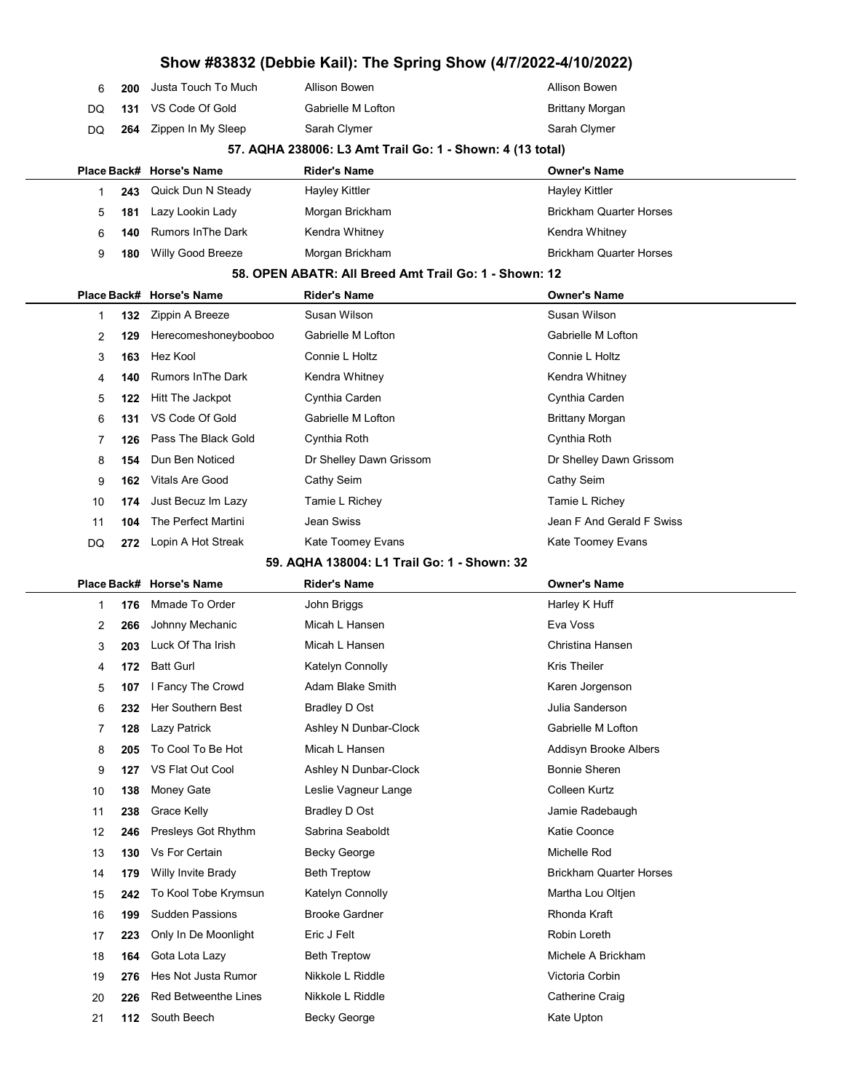|          |      |                                                |                                                           | Show #83832 (Debbie Kail): The Spring Show (4/7/2022-4/10/2022) |  |
|----------|------|------------------------------------------------|-----------------------------------------------------------|-----------------------------------------------------------------|--|
| 6        | 200  | Justa Touch To Much                            | Allison Bowen                                             | Allison Bowen                                                   |  |
| DQ       | 131  | VS Code Of Gold                                | Gabrielle M Lofton                                        | <b>Brittany Morgan</b>                                          |  |
| DQ       | 264  | Zippen In My Sleep                             | Sarah Clymer                                              | Sarah Clymer                                                    |  |
|          |      |                                                | 57. AQHA 238006: L3 Amt Trail Go: 1 - Shown: 4 (13 total) |                                                                 |  |
|          |      | Place Back# Horse's Name                       | <b>Rider's Name</b>                                       | <b>Owner's Name</b>                                             |  |
| 1        | 243  | Quick Dun N Steady                             | <b>Hayley Kittler</b>                                     | <b>Hayley Kittler</b>                                           |  |
| 5        | 181  | Lazy Lookin Lady                               | Morgan Brickham                                           | <b>Brickham Quarter Horses</b>                                  |  |
| 6        | 140  | <b>Rumors In The Dark</b>                      | Kendra Whitney                                            | Kendra Whitney                                                  |  |
| 9        | 180  | Willy Good Breeze                              | Morgan Brickham                                           | <b>Brickham Quarter Horses</b>                                  |  |
|          |      |                                                | 58. OPEN ABATR: All Breed Amt Trail Go: 1 - Shown: 12     |                                                                 |  |
|          |      | Place Back# Horse's Name                       | <b>Rider's Name</b>                                       | <b>Owner's Name</b>                                             |  |
| 1        | 132  | Zippin A Breeze                                | Susan Wilson                                              | Susan Wilson                                                    |  |
| 2        | 129  | Herecomeshoneybooboo                           | Gabrielle M Lofton                                        | Gabrielle M Lofton                                              |  |
| 3        | 163  | Hez Kool                                       | Connie L Holtz                                            | Connie L Holtz                                                  |  |
| 4        | 140  | <b>Rumors In The Dark</b>                      | Kendra Whitney                                            | Kendra Whitney                                                  |  |
| 5        | 122  | Hitt The Jackpot                               | Cynthia Carden                                            | Cynthia Carden                                                  |  |
| 6        | 131  | VS Code Of Gold                                | Gabrielle M Lofton                                        | <b>Brittany Morgan</b>                                          |  |
| 7        | 126  | Pass The Black Gold                            | Cynthia Roth                                              | Cynthia Roth                                                    |  |
| 8        | 154  | Dun Ben Noticed                                | Dr Shelley Dawn Grissom                                   | Dr Shelley Dawn Grissom                                         |  |
| 9        | 162. | <b>Vitals Are Good</b>                         | Cathy Seim                                                | Cathy Seim                                                      |  |
| 10       | 174  | Just Becuz Im Lazy                             | Tamie L Richey                                            | Tamie L Richey                                                  |  |
| 11       | 104  | The Perfect Martini                            | Jean Swiss                                                | Jean F And Gerald F Swiss                                       |  |
| DQ       | 272. | Lopin A Hot Streak                             | Kate Toomey Evans                                         | Kate Toomey Evans                                               |  |
|          |      |                                                | 59. AQHA 138004: L1 Trail Go: 1 - Shown: 32               |                                                                 |  |
|          |      | Place Back# Horse's Name                       | <b>Rider's Name</b>                                       | <b>Owner's Name</b>                                             |  |
| 1        | 176  | Mmade To Order                                 | John Briggs                                               | Harley K Huff                                                   |  |
| 2        | 266  | Johnny Mechanic                                | Micah L Hansen                                            | Eva Voss                                                        |  |
| 3        | 203  | Luck Of Tha Irish                              | Micah L Hansen                                            | Christina Hansen                                                |  |
| 4        | 172  | <b>Batt Gurl</b>                               | Katelyn Connolly                                          | <b>Kris Theiler</b>                                             |  |
| 5        | 107  |                                                |                                                           |                                                                 |  |
|          |      | I Fancy The Crowd                              | <b>Adam Blake Smith</b>                                   | Karen Jorgenson                                                 |  |
| 6        | 232  | Her Southern Best                              | <b>Bradley D Ost</b>                                      | Julia Sanderson                                                 |  |
| 7        | 128  | Lazy Patrick                                   | Ashley N Dunbar-Clock                                     | Gabrielle M Lofton                                              |  |
| 8        | 205  | To Cool To Be Hot                              | Micah L Hansen                                            | Addisyn Brooke Albers                                           |  |
| 9        | 127  | VS Flat Out Cool                               | Ashley N Dunbar-Clock                                     | <b>Bonnie Sheren</b>                                            |  |
| 10       | 138  | Money Gate                                     | Leslie Vagneur Lange                                      | Colleen Kurtz                                                   |  |
| 11       | 238  | Grace Kelly                                    | <b>Bradley D Ost</b>                                      | Jamie Radebaugh                                                 |  |
| 12       | 246  | Presleys Got Rhythm                            | Sabrina Seaboldt                                          | Katie Coonce                                                    |  |
| 13       | 130  | Vs For Certain                                 | <b>Becky George</b>                                       | Michelle Rod                                                    |  |
| 14       | 179  | Willy Invite Brady                             | <b>Beth Treptow</b>                                       | <b>Brickham Quarter Horses</b>                                  |  |
| 15       | 242  | To Kool Tobe Krymsun                           | Katelyn Connolly                                          | Martha Lou Oltjen                                               |  |
| 16       | 199  | <b>Sudden Passions</b>                         | <b>Brooke Gardner</b>                                     | Rhonda Kraft                                                    |  |
| 17       | 223  | Only In De Moonlight                           | Eric J Felt                                               | Robin Loreth                                                    |  |
| 18       | 164  | Gota Lota Lazy                                 | <b>Beth Treptow</b>                                       | Michele A Brickham                                              |  |
| 19       | 276  | Hes Not Justa Rumor                            | Nikkole L Riddle                                          | Victoria Corbin                                                 |  |
| 20<br>21 | 226  | <b>Red Betweenthe Lines</b><br>112 South Beech | Nikkole L Riddle<br><b>Becky George</b>                   | Catherine Craig<br>Kate Upton                                   |  |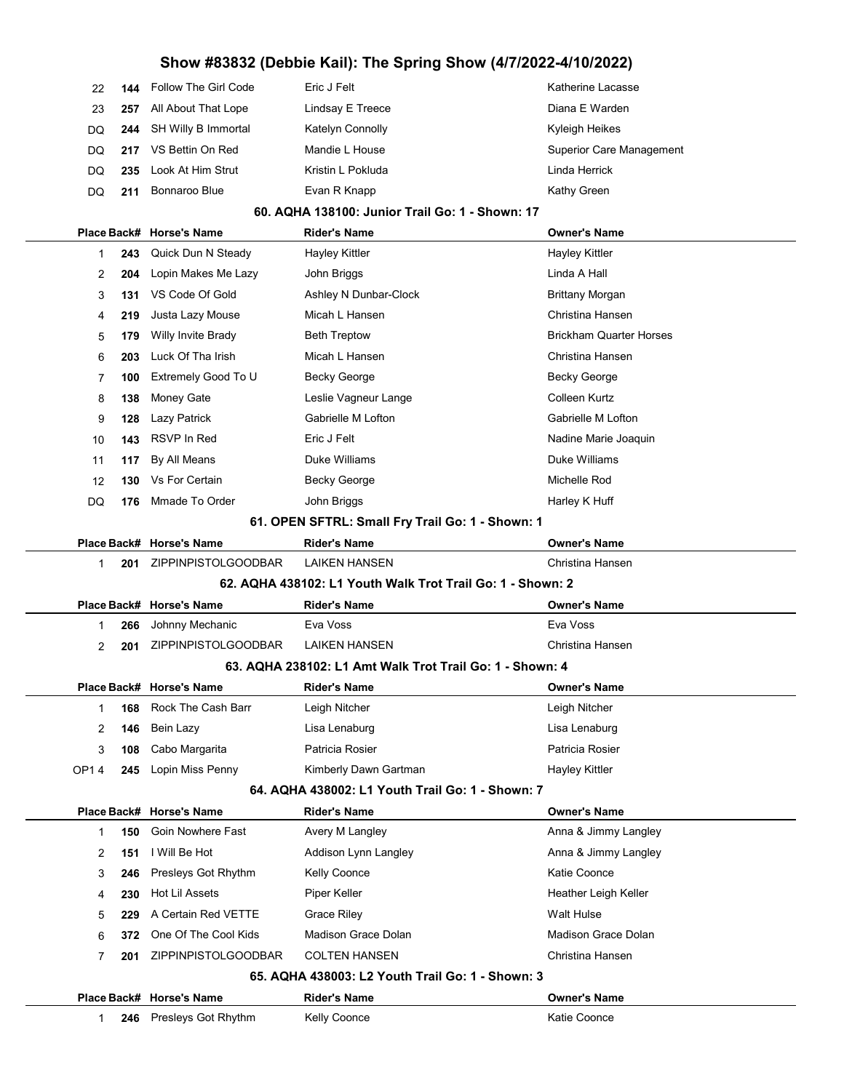| 22  |     | <b>144</b> Follow The Girl Code | Eric J Felt       | Katherine Lacasse        |
|-----|-----|---------------------------------|-------------------|--------------------------|
| 23  | 257 | All About That Lope             | Lindsay E Treece  | Diana E Warden           |
| DQ. |     | 244 SH Willy B Immortal         | Katelyn Connolly  | Kyleigh Heikes           |
| DQ. | 217 | VS Bettin On Red                | Mandie L House    | Superior Care Management |
| DQ. | 235 | Look At Him Strut               | Kristin L Pokluda | Linda Herrick            |
| DQ. |     | Bonnaroo Blue                   | Evan R Knapp      | Kathy Green              |

#### 60. AQHA 138100: Junior Trail Go: 1 - Shown: 17

|                |     | Place Back# Horse's Name                                   | <b>Rider's Name</b>                                      | <b>Owner's Name</b>            |  |  |
|----------------|-----|------------------------------------------------------------|----------------------------------------------------------|--------------------------------|--|--|
| 1              | 243 | Quick Dun N Steady                                         | <b>Hayley Kittler</b>                                    | <b>Hayley Kittler</b>          |  |  |
| 2              | 204 | Lopin Makes Me Lazy                                        | John Briggs                                              | Linda A Hall                   |  |  |
| 3              | 131 | VS Code Of Gold                                            | Ashley N Dunbar-Clock                                    | Brittany Morgan                |  |  |
| 4              | 219 | Justa Lazy Mouse                                           | Micah L Hansen                                           | Christina Hansen               |  |  |
| 5              | 179 | Willy Invite Brady                                         | <b>Beth Treptow</b>                                      | <b>Brickham Quarter Horses</b> |  |  |
| 6              | 203 | Luck Of Tha Irish                                          | Micah L Hansen                                           | Christina Hansen               |  |  |
| 7              | 100 | Extremely Good To U                                        | Becky George                                             | Becky George                   |  |  |
| 8              | 138 | Money Gate                                                 | Leslie Vagneur Lange                                     | Colleen Kurtz                  |  |  |
| 9              | 128 | Lazy Patrick                                               | Gabrielle M Lofton                                       | Gabrielle M Lofton             |  |  |
| 10             | 143 | <b>RSVP In Red</b>                                         | Eric J Felt                                              | Nadine Marie Joaquin           |  |  |
| 11             | 117 | By All Means                                               | Duke Williams                                            | Duke Williams                  |  |  |
| 12             | 130 | <b>Vs For Certain</b>                                      | <b>Becky George</b>                                      | Michelle Rod                   |  |  |
| DQ             | 176 | Mmade To Order                                             | John Briggs                                              | Harley K Huff                  |  |  |
|                |     | 61. OPEN SFTRL: Small Fry Trail Go: 1 - Shown: 1           |                                                          |                                |  |  |
|                |     | Place Back# Horse's Name                                   | <b>Rider's Name</b>                                      | <b>Owner's Name</b>            |  |  |
| $\mathbf{1}$   | 201 | ZIPPINPISTOLGOODBAR                                        | <b>LAIKEN HANSEN</b>                                     | Christina Hansen               |  |  |
|                |     | 62. AQHA 438102: L1 Youth Walk Trot Trail Go: 1 - Shown: 2 |                                                          |                                |  |  |
|                |     | Place Back# Horse's Name                                   | <b>Rider's Name</b>                                      | <b>Owner's Name</b>            |  |  |
| 1              | 266 | Johnny Mechanic                                            | Eva Voss                                                 | Eva Voss                       |  |  |
| $\overline{2}$ | 201 | ZIPPINPISTOLGOODBAR                                        | <b>LAIKEN HANSEN</b>                                     | Christina Hansen               |  |  |
|                |     |                                                            | 63. AQHA 238102: L1 Amt Walk Trot Trail Go: 1 - Shown: 4 |                                |  |  |
|                |     | Place Back# Horse's Name                                   | <b>Rider's Name</b>                                      | <b>Owner's Name</b>            |  |  |
| 1              | 168 | Rock The Cash Barr                                         | Leigh Nitcher                                            | Leigh Nitcher                  |  |  |
| 2              | 146 | Bein Lazy                                                  | Lisa Lenaburg                                            | Lisa Lenaburg                  |  |  |
| 3              | 108 | Cabo Margarita                                             | Patricia Rosier                                          | Patricia Rosier                |  |  |
| OP14           | 245 | Lopin Miss Penny                                           | Kimberly Dawn Gartman                                    | <b>Hayley Kittler</b>          |  |  |
|                |     |                                                            | 64. AQHA 438002: L1 Youth Trail Go: 1 - Shown: 7         |                                |  |  |
|                |     | Place Back# Horse's Name                                   | <b>Rider's Name</b>                                      | <b>Owner's Name</b>            |  |  |
| 1              | 150 | Goin Nowhere Fast                                          | Avery M Langley                                          | Anna & Jimmy Langley           |  |  |
| 2              | 151 | I Will Be Hot                                              | Addison Lynn Langley                                     | Anna & Jimmy Langley           |  |  |
| 3              | 246 | Presleys Got Rhythm                                        | Kelly Coonce                                             | Katie Coonce                   |  |  |
| 4              | 230 | Hot Lil Assets                                             | Piper Keller                                             | Heather Leigh Keller           |  |  |
| 5              | 229 | A Certain Red VETTE                                        | <b>Grace Riley</b>                                       | Walt Hulse                     |  |  |
| 6              | 372 | One Of The Cool Kids                                       | Madison Grace Dolan                                      | <b>Madison Grace Dolan</b>     |  |  |
| 7              | 201 | ZIPPINPISTOLGOODBAR                                        | <b>COLTEN HANSEN</b>                                     | Christina Hansen               |  |  |
|                |     |                                                            | 65. AQHA 438003: L2 Youth Trail Go: 1 - Shown: 3         |                                |  |  |
|                |     | Place Back# Horse's Name                                   | <b>Rider's Name</b>                                      | <b>Owner's Name</b>            |  |  |
| 1              | 246 | Presleys Got Rhythm                                        | <b>Kelly Coonce</b>                                      | Katie Coonce                   |  |  |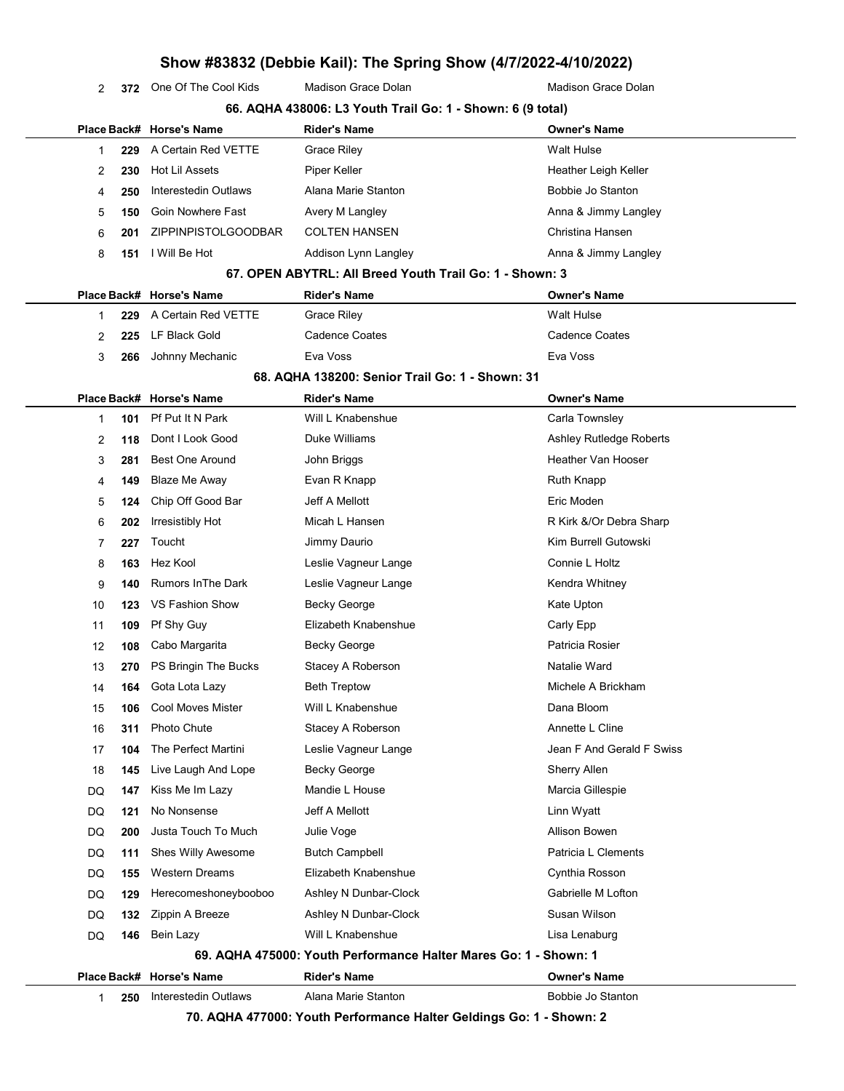2 372 One Of The Cool Kids Madison Grace Dolan Madison Grace Dolan Madison Grace Dolan

|    |             | 66. AQHA 438006: L3 Youth Trail Go: 1 - Shown: 6 (9 total) |                                                                  |                           |
|----|-------------|------------------------------------------------------------|------------------------------------------------------------------|---------------------------|
|    |             | Place Back# Horse's Name                                   | <b>Rider's Name</b>                                              | <b>Owner's Name</b>       |
| 1  | 229         | A Certain Red VETTE                                        | <b>Grace Riley</b>                                               | <b>Walt Hulse</b>         |
|    | 2<br>230    | <b>Hot Lil Assets</b>                                      | Piper Keller                                                     | Heather Leigh Keller      |
| 4  | 250         | Interestedin Outlaws                                       | Alana Marie Stanton                                              | Bobbie Jo Stanton         |
|    | 5<br>150    | Goin Nowhere Fast                                          | Avery M Langley                                                  | Anna & Jimmy Langley      |
| 6  | 201         | ZIPPINPISTOLGOODBAR                                        | <b>COLTEN HANSEN</b>                                             | Christina Hansen          |
|    | 8<br>151    | I Will Be Hot                                              | Addison Lynn Langley                                             | Anna & Jimmy Langley      |
|    |             |                                                            | 67. OPEN ABYTRL: All Breed Youth Trail Go: 1 - Shown: 3          |                           |
|    |             | Place Back# Horse's Name                                   | <b>Rider's Name</b>                                              | <b>Owner's Name</b>       |
| 1  | 229         | A Certain Red VETTE                                        | Grace Riley                                                      | <b>Walt Hulse</b>         |
|    | 2<br>225    | LF Black Gold                                              | <b>Cadence Coates</b>                                            | <b>Cadence Coates</b>     |
|    | 3<br>266    | Johnny Mechanic                                            | Eva Voss                                                         | Eva Voss                  |
|    |             |                                                            | 68. AQHA 138200: Senior Trail Go: 1 - Shown: 31                  |                           |
|    | Place Back# | <b>Horse's Name</b>                                        | <b>Rider's Name</b>                                              | <b>Owner's Name</b>       |
|    | 101<br>1    | Pf Put It N Park                                           | Will L Knabenshue                                                | Carla Townsley            |
|    | 2<br>118    | Dont I Look Good                                           | Duke Williams                                                    | Ashley Rutledge Roberts   |
|    | 3<br>281    | <b>Best One Around</b>                                     | John Briggs                                                      | Heather Van Hooser        |
| 4  | 149         | <b>Blaze Me Away</b>                                       | Evan R Knapp                                                     | Ruth Knapp                |
|    | 5<br>124    | Chip Off Good Bar                                          | Jeff A Mellott                                                   | Eric Moden                |
|    | 6<br>202    | Irresistibly Hot                                           | Micah L Hansen                                                   | R Kirk &/Or Debra Sharp   |
|    | 7<br>227    | Toucht                                                     | Jimmy Daurio                                                     | Kim Burrell Gutowski      |
|    | 8<br>163    | Hez Kool                                                   | Leslie Vagneur Lange                                             | Connie L Holtz            |
| 9  | 140         | <b>Rumors In The Dark</b>                                  | Leslie Vagneur Lange                                             | Kendra Whitney            |
| 10 | 123         | VS Fashion Show                                            | Becky George                                                     | Kate Upton                |
| 11 | 109         | Pf Shy Guy                                                 | Elizabeth Knabenshue                                             | Carly Epp                 |
| 12 | 108         | Cabo Margarita                                             | Becky George                                                     | Patricia Rosier           |
| 13 | 270         | PS Bringin The Bucks                                       | Stacey A Roberson                                                | Natalie Ward              |
| 14 | 164         | Gota Lota Lazy                                             | <b>Beth Treptow</b>                                              | Michele A Brickham        |
| 15 | 106         | <b>Cool Moves Mister</b>                                   | Will L Knabenshue                                                | Dana Bloom                |
| 16 | 311         | Photo Chute                                                | Stacey A Roberson                                                | Annette L Cline           |
| 17 | 104         | The Perfect Martini                                        | Leslie Vagneur Lange                                             | Jean F And Gerald F Swiss |
| 18 | 145         | Live Laugh And Lope                                        | Becky George                                                     | <b>Sherry Allen</b>       |
| DQ | 147         | Kiss Me Im Lazy                                            | Mandie L House                                                   | Marcia Gillespie          |
| DQ | 121         | No Nonsense                                                | Jeff A Mellott                                                   | Linn Wyatt                |
| DQ | 200         | Justa Touch To Much                                        | Julie Voge                                                       | <b>Allison Bowen</b>      |
| DQ | 111         | Shes Willy Awesome                                         | <b>Butch Campbell</b>                                            | Patricia L Clements       |
| DQ | 155         | <b>Western Dreams</b>                                      | Elizabeth Knabenshue                                             | Cynthia Rosson            |
| DQ | 129         | Herecomeshoneybooboo                                       | Ashley N Dunbar-Clock                                            | Gabrielle M Lofton        |
| DQ | 132         | Zippin A Breeze                                            | Ashley N Dunbar-Clock                                            | Susan Wilson              |
| DQ | 146         | Bein Lazy                                                  | Will L Knabenshue                                                | Lisa Lenaburg             |
|    |             |                                                            | 69. AQHA 475000: Youth Performance Halter Mares Go: 1 - Shown: 1 |                           |
|    |             | Place Back# Horse's Name                                   | <b>Rider's Name</b>                                              | <b>Owner's Name</b>       |
|    | 250<br>1    | Interestedin Outlaws                                       | Alana Marie Stanton                                              | Bobbie Jo Stanton         |

70. AQHA 477000: Youth Performance Halter Geldings Go: 1 - Shown: 2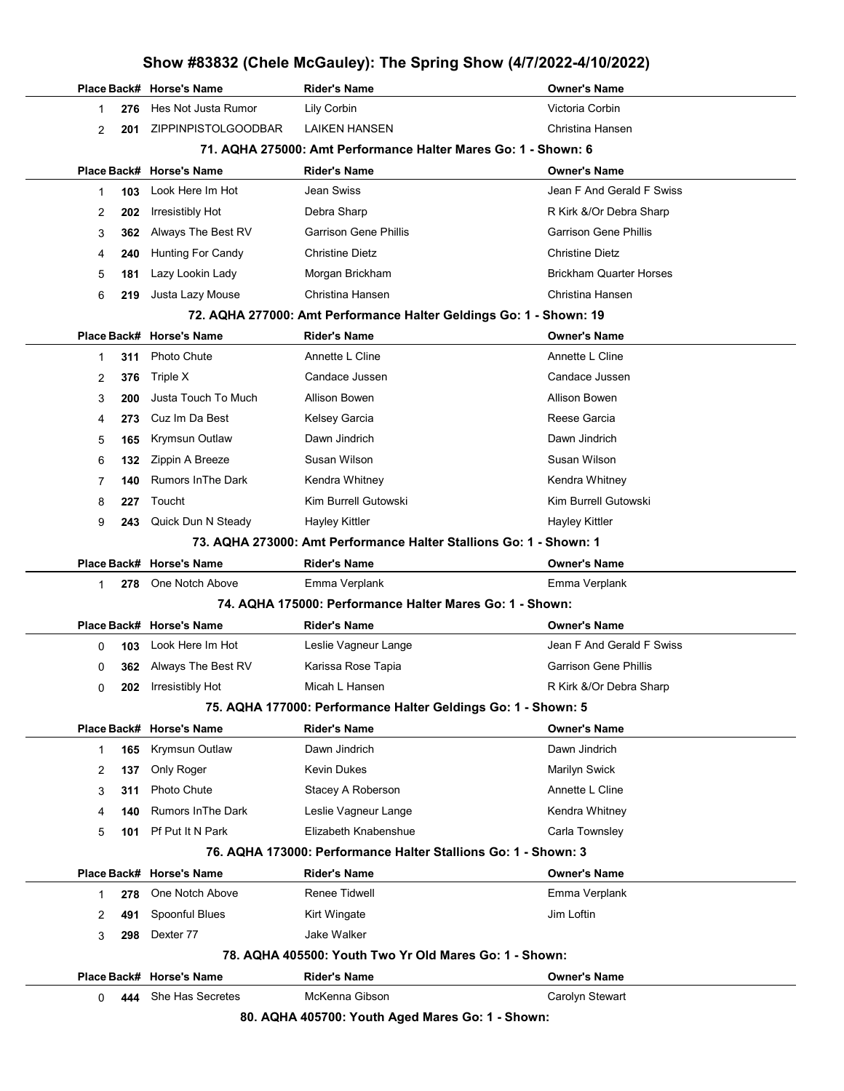|   |     |                            | Show #83832 (Chele McGauley): The Spring Show (4/7/2022-4/10/2022) |                                |
|---|-----|----------------------------|--------------------------------------------------------------------|--------------------------------|
|   |     | Place Back# Horse's Name   | <b>Rider's Name</b>                                                | Owner's Name                   |
| 1 | 276 | Hes Not Justa Rumor        | Lily Corbin                                                        | Victoria Corbin                |
| 2 | 201 | <b>ZIPPINPISTOLGOODBAR</b> | <b>LAIKEN HANSEN</b>                                               | Christina Hansen               |
|   |     |                            | 71. AQHA 275000: Amt Performance Halter Mares Go: 1 - Shown: 6     |                                |
|   |     | Place Back# Horse's Name   | <b>Rider's Name</b>                                                | Owner's Name                   |
| 1 | 103 | Look Here Im Hot           | Jean Swiss                                                         | Jean F And Gerald F Swiss      |
| 2 | 202 | Irresistibly Hot           | Debra Sharp                                                        | R Kirk &/Or Debra Sharp        |
| 3 | 362 | Always The Best RV         | <b>Garrison Gene Phillis</b>                                       | <b>Garrison Gene Phillis</b>   |
| 4 | 240 | <b>Hunting For Candy</b>   | <b>Christine Dietz</b>                                             | Christine Dietz                |
| 5 | 181 | Lazy Lookin Lady           | Morgan Brickham                                                    | <b>Brickham Quarter Horses</b> |
| 6 | 219 | Justa Lazy Mouse           | Christina Hansen                                                   | Christina Hansen               |
|   |     |                            | 72. AQHA 277000: Amt Performance Halter Geldings Go: 1 - Shown: 19 |                                |
|   |     | Place Back# Horse's Name   | <b>Rider's Name</b>                                                | Owner's Name                   |
| 1 | 311 | Photo Chute                | Annette L Cline                                                    | Annette L Cline                |
| 2 | 376 | Triple X                   | Candace Jussen                                                     | Candace Jussen                 |
| 3 | 200 | Justa Touch To Much        | Allison Bowen                                                      | Allison Bowen                  |
| 4 | 273 | Cuz Im Da Best             | Kelsey Garcia                                                      | Reese Garcia                   |
| 5 | 165 | <b>Krymsun Outlaw</b>      | Dawn Jindrich                                                      | Dawn Jindrich                  |
| 6 | 132 | Zippin A Breeze            | Susan Wilson                                                       | Susan Wilson                   |
| 7 | 140 | <b>Rumors In The Dark</b>  | Kendra Whitney                                                     | Kendra Whitney                 |
| 8 | 227 | Toucht                     | Kim Burrell Gutowski                                               | Kim Burrell Gutowski           |
| 9 | 243 | Quick Dun N Steady         | <b>Hayley Kittler</b>                                              | Hayley Kittler                 |
|   |     |                            | 73. AQHA 273000: Amt Performance Halter Stallions Go: 1 - Shown: 1 |                                |
|   |     | Place Back# Horse's Name   | <b>Rider's Name</b>                                                | Owner's Name                   |
| 1 | 278 | One Notch Above            | Emma Verplank                                                      | Emma Verplank                  |
|   |     |                            | 74. AQHA 175000: Performance Halter Mares Go: 1 - Shown:           |                                |
|   |     | Place Back# Horse's Name   | <b>Rider's Name</b>                                                | Owner's Name                   |
| 0 | 103 | Look Here Im Hot           | Leslie Vagneur Lange                                               | Jean F And Gerald F Swiss      |
| 0 |     | 362 Always The Best RV     | Karissa Rose Tapia                                                 | Garrison Gene Phillis          |
| 0 |     | 202 Irresistibly Hot       | Micah L Hansen                                                     | R Kirk &/Or Debra Sharp        |
|   |     |                            | 75. AQHA 177000: Performance Halter Geldings Go: 1 - Shown: 5      |                                |
|   |     | Place Back# Horse's Name   | <b>Rider's Name</b>                                                | Owner's Name                   |
| 1 | 165 | Krymsun Outlaw             | Dawn Jindrich                                                      | Dawn Jindrich                  |
| 2 | 137 | Only Roger                 | Kevin Dukes                                                        | <b>Marilyn Swick</b>           |
| 3 | 311 | Photo Chute                | Stacey A Roberson                                                  | Annette L Cline                |
| 4 | 140 | <b>Rumors In The Dark</b>  | Leslie Vagneur Lange                                               | Kendra Whitney                 |
| 5 | 101 | Pf Put It N Park           | Elizabeth Knabenshue                                               | Carla Townsley                 |
|   |     |                            | 76. AQHA 173000: Performance Halter Stallions Go: 1 - Shown: 3     |                                |
|   |     | Place Back# Horse's Name   | <b>Rider's Name</b>                                                | Owner's Name                   |
|   |     | One Notch Above            | Renee Tidwell                                                      | Emma Verplank                  |
| 1 | 278 |                            |                                                                    |                                |
| 2 | 491 | Spoonful Blues             | Kirt Wingate                                                       | Jim Loftin                     |
| 3 | 298 | Dexter 77                  | Jake Walker                                                        |                                |
|   |     |                            | 78. AQHA 405500: Youth Two Yr Old Mares Go: 1 - Shown:             |                                |
|   |     | Place Back# Horse's Name   | <b>Rider's Name</b>                                                | Owner's Name                   |
| 0 | 444 | She Has Secretes           | McKenna Gibson                                                     | Carolyn Stewart                |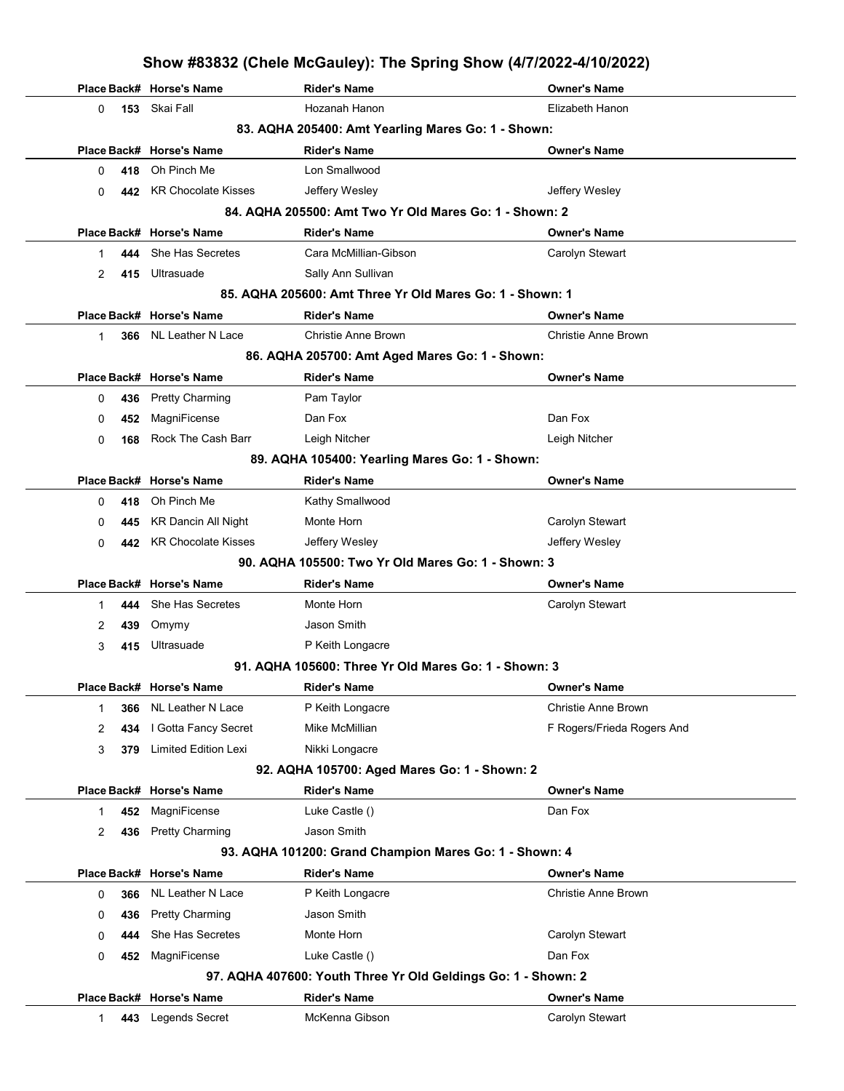|             |     |                             | Show #83832 (Chele McGauley): The Spring Show (4/7/2022-4/10/2022) |                            |
|-------------|-----|-----------------------------|--------------------------------------------------------------------|----------------------------|
|             |     | Place Back# Horse's Name    | <b>Rider's Name</b>                                                | <b>Owner's Name</b>        |
| 0           | 153 | Skai Fall                   | Hozanah Hanon                                                      | Elizabeth Hanon            |
|             |     |                             | 83. AQHA 205400: Amt Yearling Mares Go: 1 - Shown:                 |                            |
|             |     | Place Back# Horse's Name    | <b>Rider's Name</b>                                                | <b>Owner's Name</b>        |
| 0           | 418 | Oh Pinch Me                 | Lon Smallwood                                                      |                            |
| 0           | 442 | <b>KR Chocolate Kisses</b>  | Jeffery Wesley                                                     | Jeffery Wesley             |
|             |     |                             | 84. AQHA 205500: Amt Two Yr Old Mares Go: 1 - Shown: 2             |                            |
|             |     | Place Back# Horse's Name    | <b>Rider's Name</b>                                                | <b>Owner's Name</b>        |
| 1           | 444 | She Has Secretes            | Cara McMillian-Gibson                                              | Carolyn Stewart            |
| 2           | 415 | Ultrasuade                  | Sally Ann Sullivan                                                 |                            |
|             |     |                             | 85. AQHA 205600: Amt Three Yr Old Mares Go: 1 - Shown: 1           |                            |
|             |     | Place Back# Horse's Name    | <b>Rider's Name</b>                                                | <b>Owner's Name</b>        |
| 1           | 366 | NL Leather N Lace           | <b>Christie Anne Brown</b>                                         | <b>Christie Anne Brown</b> |
|             |     |                             | 86. AQHA 205700: Amt Aged Mares Go: 1 - Shown:                     |                            |
|             |     | Place Back# Horse's Name    | <b>Rider's Name</b>                                                | <b>Owner's Name</b>        |
| 0           | 436 | <b>Pretty Charming</b>      | Pam Taylor                                                         |                            |
| 0           | 452 | MagniFicense                | Dan Fox                                                            | Dan Fox                    |
| 0           | 168 | Rock The Cash Barr          | Leigh Nitcher                                                      | Leigh Nitcher              |
|             |     |                             | 89. AQHA 105400: Yearling Mares Go: 1 - Shown:                     |                            |
|             |     | Place Back# Horse's Name    | <b>Rider's Name</b>                                                | <b>Owner's Name</b>        |
| 0           | 418 | Oh Pinch Me                 | Kathy Smallwood                                                    |                            |
| 0           | 445 | <b>KR Dancin All Night</b>  | Monte Horn                                                         | Carolyn Stewart            |
| 0           | 442 | <b>KR Chocolate Kisses</b>  | Jeffery Wesley                                                     | Jeffery Wesley             |
|             |     |                             | 90. AQHA 105500: Two Yr Old Mares Go: 1 - Shown: 3                 |                            |
|             |     | Place Back# Horse's Name    | <b>Rider's Name</b>                                                | <b>Owner's Name</b>        |
| 1           | 444 | She Has Secretes            | Monte Horn                                                         | Carolyn Stewart            |
| 2           | 439 | Omymy                       | Jason Smith                                                        |                            |
| 3           | 415 | Ultrasuade                  | P Keith Longacre                                                   |                            |
|             |     |                             | 91. AQHA 105600: Three Yr Old Mares Go: 1 - Shown: 3               |                            |
|             |     | Place Back# Horse's Name    | <b>Rider's Name</b>                                                | <b>Owner's Name</b>        |
| 1           | 366 | NL Leather N Lace           | P Keith Longacre                                                   | Christie Anne Brown        |
| 2           | 434 | I Gotta Fancy Secret        | Mike McMillian                                                     | F Rogers/Frieda Rogers And |
| 3           | 379 | <b>Limited Edition Lexi</b> | Nikki Longacre                                                     |                            |
|             |     |                             | 92. AQHA 105700: Aged Mares Go: 1 - Shown: 2                       |                            |
|             |     | Place Back# Horse's Name    | <b>Rider's Name</b>                                                | <b>Owner's Name</b>        |
| 1           | 452 | MagniFicense                | Luke Castle ()                                                     | Dan Fox                    |
| 2           | 436 | <b>Pretty Charming</b>      | Jason Smith                                                        |                            |
|             |     |                             | 93. AQHA 101200: Grand Champion Mares Go: 1 - Shown: 4             |                            |
|             |     | Place Back# Horse's Name    | <b>Rider's Name</b>                                                | <b>Owner's Name</b>        |
| 0           | 366 | NL Leather N Lace           | P Keith Longacre                                                   | Christie Anne Brown        |
| 0           | 436 | <b>Pretty Charming</b>      | Jason Smith                                                        |                            |
| 0           | 444 | She Has Secretes            | Monte Horn                                                         | Carolyn Stewart            |
| 0           | 452 | MagniFicense                | Luke Castle ()                                                     | Dan Fox                    |
|             |     |                             | 97. AQHA 407600: Youth Three Yr Old Geldings Go: 1 - Shown: 2      |                            |
|             |     | Place Back# Horse's Name    | <b>Rider's Name</b>                                                | <b>Owner's Name</b>        |
| $\mathbf 1$ | 443 | Legends Secret              | McKenna Gibson                                                     | Carolyn Stewart            |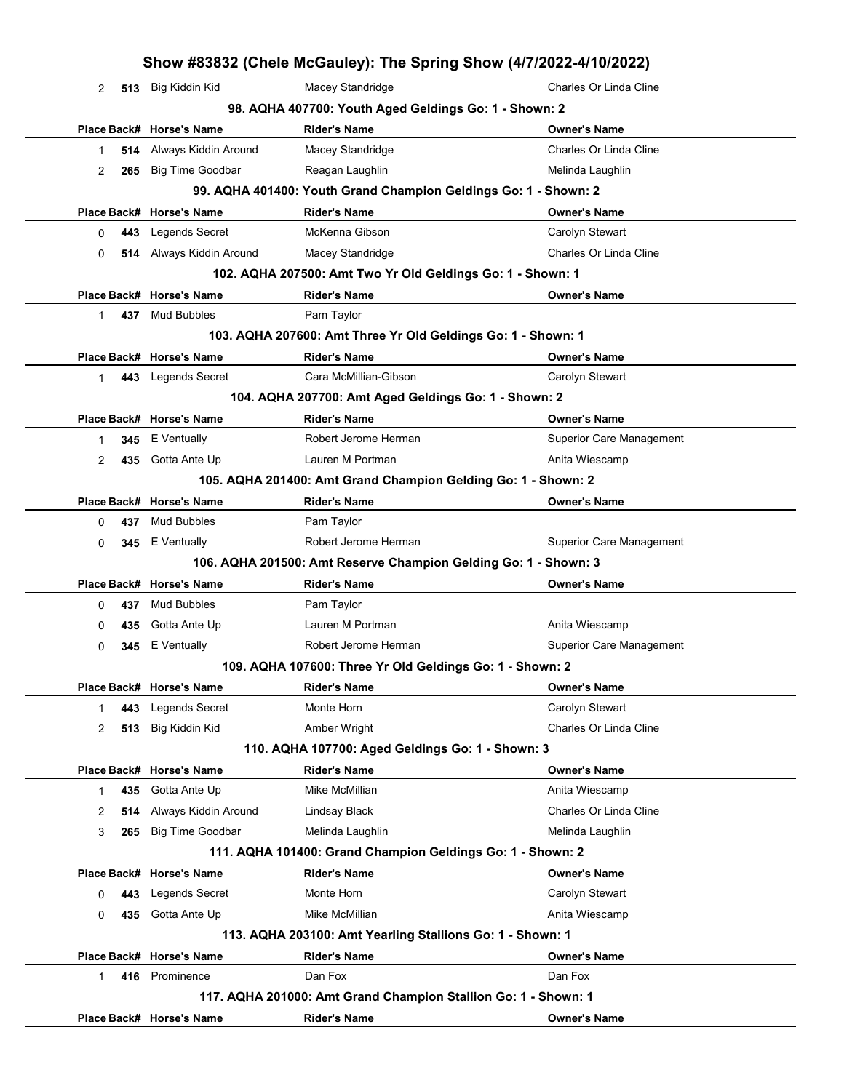|             |     |                                            |                                                                 | Show #83832 (Chele McGauley): The Spring Show (4/7/2022-4/10/2022) |
|-------------|-----|--------------------------------------------|-----------------------------------------------------------------|--------------------------------------------------------------------|
| 2           |     | 513 Big Kiddin Kid                         | Macey Standridge                                                | Charles Or Linda Cline                                             |
|             |     |                                            | 98. AQHA 407700: Youth Aged Geldings Go: 1 - Shown: 2           |                                                                    |
|             |     | Place Back# Horse's Name                   | <b>Rider's Name</b>                                             | <b>Owner's Name</b>                                                |
| 1           | 514 | Always Kiddin Around                       | Macey Standridge                                                | Charles Or Linda Cline                                             |
| 2           | 265 | <b>Big Time Goodbar</b>                    | Reagan Laughlin                                                 | Melinda Laughlin                                                   |
|             |     |                                            | 99. AQHA 401400: Youth Grand Champion Geldings Go: 1 - Shown: 2 |                                                                    |
|             |     | Place Back# Horse's Name                   | <b>Rider's Name</b>                                             | <b>Owner's Name</b>                                                |
| 0           | 443 | <b>Legends Secret</b>                      | McKenna Gibson                                                  | Carolyn Stewart                                                    |
| 0           | 514 | Always Kiddin Around                       | Macey Standridge                                                | Charles Or Linda Cline                                             |
|             |     |                                            | 102. AQHA 207500: Amt Two Yr Old Geldings Go: 1 - Shown: 1      |                                                                    |
|             |     | Place Back# Horse's Name                   | <b>Rider's Name</b>                                             | <b>Owner's Name</b>                                                |
| $\mathbf 1$ | 437 | Mud Bubbles                                | Pam Taylor                                                      |                                                                    |
|             |     |                                            | 103. AQHA 207600: Amt Three Yr Old Geldings Go: 1 - Shown: 1    |                                                                    |
|             |     | Place Back# Horse's Name                   | <b>Rider's Name</b>                                             | <b>Owner's Name</b>                                                |
| 1           | 443 | <b>Legends Secret</b>                      | Cara McMillian-Gibson                                           | Carolyn Stewart                                                    |
|             |     |                                            | 104. AQHA 207700: Amt Aged Geldings Go: 1 - Shown: 2            |                                                                    |
|             |     | Place Back# Horse's Name                   | <b>Rider's Name</b>                                             | <b>Owner's Name</b>                                                |
| -1          | 345 | E Ventually                                | Robert Jerome Herman                                            | <b>Superior Care Management</b>                                    |
| 2           | 435 | Gotta Ante Up                              | Lauren M Portman                                                | Anita Wiescamp                                                     |
|             |     |                                            | 105. AQHA 201400: Amt Grand Champion Gelding Go: 1 - Shown: 2   |                                                                    |
|             |     | Place Back# Horse's Name                   | <b>Rider's Name</b>                                             | <b>Owner's Name</b>                                                |
| 0           | 437 | Mud Bubbles                                | Pam Taylor                                                      |                                                                    |
| 0           | 345 | E Ventually                                | Robert Jerome Herman                                            | <b>Superior Care Management</b>                                    |
|             |     |                                            | 106. AQHA 201500: Amt Reserve Champion Gelding Go: 1 - Shown: 3 |                                                                    |
|             |     | Place Back# Horse's Name                   | <b>Rider's Name</b>                                             | <b>Owner's Name</b>                                                |
| 0           | 437 | Mud Bubbles                                | Pam Taylor                                                      |                                                                    |
| 0           | 435 | Gotta Ante Up                              | Lauren M Portman                                                | Anita Wiescamp                                                     |
| 0           | 345 | E Ventually                                | Robert Jerome Herman                                            | Superior Care Management                                           |
|             |     |                                            | 109. AQHA 107600: Three Yr Old Geldings Go: 1 - Shown: 2        |                                                                    |
| $\mathbf 1$ | 443 | Place Back# Horse's Name<br>Legends Secret | <b>Rider's Name</b><br>Monte Horn                               | <b>Owner's Name</b><br>Carolyn Stewart                             |
| 2           | 513 | Big Kiddin Kid                             | Amber Wright                                                    | Charles Or Linda Cline                                             |
|             |     |                                            | 110. AQHA 107700: Aged Geldings Go: 1 - Shown: 3                |                                                                    |
|             |     | Place Back# Horse's Name                   | <b>Rider's Name</b>                                             | <b>Owner's Name</b>                                                |
| $\mathbf 1$ | 435 | Gotta Ante Up                              | Mike McMillian                                                  | Anita Wiescamp                                                     |
| 2           | 514 | Always Kiddin Around                       | Lindsay Black                                                   | Charles Or Linda Cline                                             |
| 3           | 265 | <b>Big Time Goodbar</b>                    | Melinda Laughlin                                                | Melinda Laughlin                                                   |
|             |     |                                            | 111. AQHA 101400: Grand Champion Geldings Go: 1 - Shown: 2      |                                                                    |
|             |     | Place Back# Horse's Name                   | <b>Rider's Name</b>                                             | <b>Owner's Name</b>                                                |
| 0           | 443 | Legends Secret                             | Monte Horn                                                      | Carolyn Stewart                                                    |
| 0           | 435 | Gotta Ante Up                              | Mike McMillian                                                  | Anita Wiescamp                                                     |
|             |     |                                            | 113. AQHA 203100: Amt Yearling Stallions Go: 1 - Shown: 1       |                                                                    |
|             |     | Place Back# Horse's Name                   | <b>Rider's Name</b>                                             | <b>Owner's Name</b>                                                |
| $\mathbf 1$ |     | 416 Prominence                             | Dan Fox                                                         | Dan Fox                                                            |
|             |     |                                            | 117. AQHA 201000: Amt Grand Champion Stallion Go: 1 - Shown: 1  |                                                                    |
|             |     | Place Back# Horse's Name                   | <b>Rider's Name</b>                                             | <b>Owner's Name</b>                                                |
|             |     |                                            |                                                                 |                                                                    |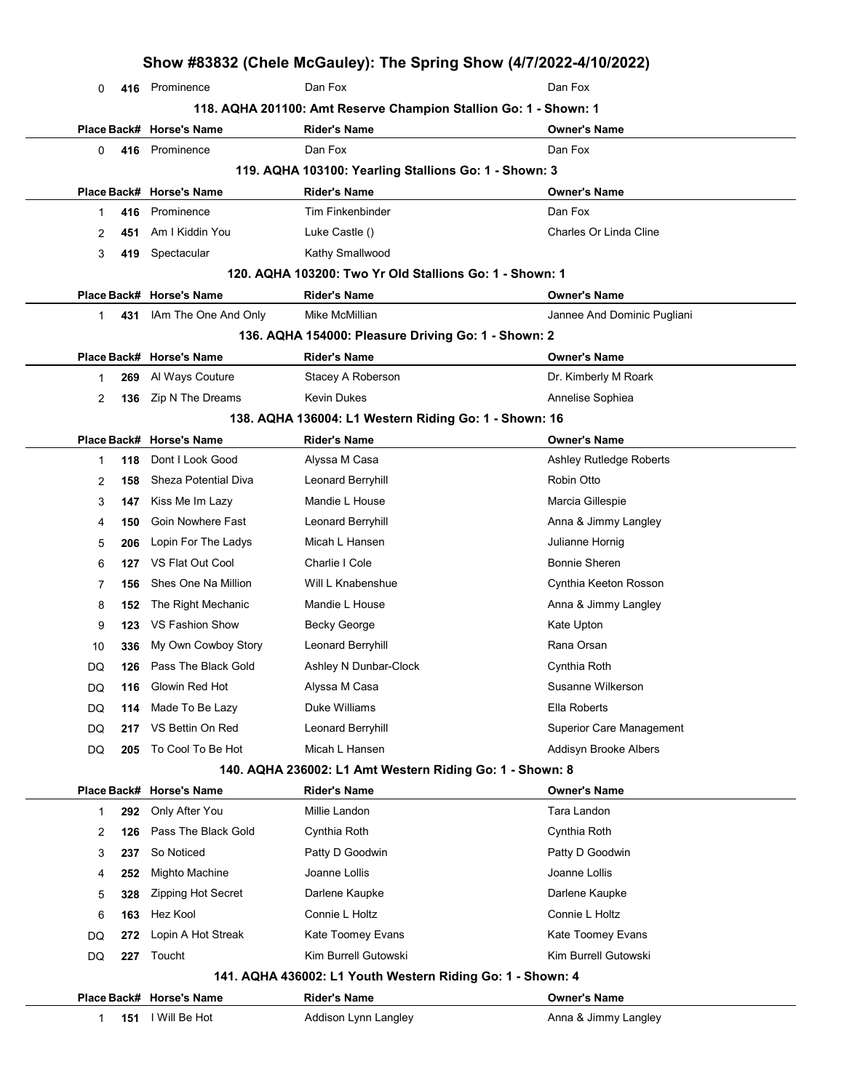|    |     |                             |                                                                  | Show #83832 (Chele McGauley): The Spring Show (4/7/2022-4/10/2022) |
|----|-----|-----------------------------|------------------------------------------------------------------|--------------------------------------------------------------------|
| 0  |     | 416 Prominence              | Dan Fox                                                          | Dan Fox                                                            |
|    |     |                             | 118. AQHA 201100: Amt Reserve Champion Stallion Go: 1 - Shown: 1 |                                                                    |
|    |     | Place Back# Horse's Name    | <b>Rider's Name</b>                                              | <b>Owner's Name</b>                                                |
| 0  |     | 416 Prominence              | Dan Fox                                                          | Dan Fox                                                            |
|    |     |                             | 119. AQHA 103100: Yearling Stallions Go: 1 - Shown: 3            |                                                                    |
|    |     | Place Back# Horse's Name    | <b>Rider's Name</b>                                              | <b>Owner's Name</b>                                                |
| 1. | 416 | Prominence                  | <b>Tim Finkenbinder</b>                                          | Dan Fox                                                            |
| 2  | 451 | Am I Kiddin You             | Luke Castle ()                                                   | Charles Or Linda Cline                                             |
| 3  | 419 | Spectacular                 | Kathy Smallwood                                                  |                                                                    |
|    |     |                             | 120. AQHA 103200: Two Yr Old Stallions Go: 1 - Shown: 1          |                                                                    |
|    |     | Place Back# Horse's Name    | <b>Rider's Name</b>                                              | <b>Owner's Name</b>                                                |
| 1. | 431 | IAm The One And Only        | Mike McMillian                                                   | Jannee And Dominic Pugliani                                        |
|    |     |                             | 136. AQHA 154000: Pleasure Driving Go: 1 - Shown: 2              |                                                                    |
|    |     | Place Back# Horse's Name    | <b>Rider's Name</b>                                              | <b>Owner's Name</b>                                                |
| 1. | 269 | Al Ways Couture             | Stacey A Roberson                                                | Dr. Kimberly M Roark                                               |
| 2  | 136 | Zip N The Dreams            | Kevin Dukes                                                      | Annelise Sophiea                                                   |
|    |     |                             | 138. AQHA 136004: L1 Western Riding Go: 1 - Shown: 16            |                                                                    |
|    |     | Place Back# Horse's Name    | <b>Rider's Name</b>                                              | <b>Owner's Name</b>                                                |
| 1  | 118 | Dont I Look Good            | Alyssa M Casa                                                    | Ashley Rutledge Roberts                                            |
| 2  | 158 | <b>Sheza Potential Diva</b> | Leonard Berryhill                                                | Robin Otto                                                         |
| 3  | 147 | Kiss Me Im Lazy             | Mandie L House                                                   | Marcia Gillespie                                                   |
| 4  | 150 | <b>Goin Nowhere Fast</b>    | Leonard Berryhill                                                | Anna & Jimmy Langley                                               |
| 5  | 206 | Lopin For The Ladys         | Micah L Hansen                                                   | Julianne Hornig                                                    |
| 6  | 127 | VS Flat Out Cool            | Charlie I Cole                                                   | <b>Bonnie Sheren</b>                                               |
| 7  | 156 | Shes One Na Million         | Will L Knabenshue                                                | Cynthia Keeton Rosson                                              |
| 8  | 152 | The Right Mechanic          | Mandie L House                                                   | Anna & Jimmy Langley                                               |
| 9  | 123 | VS Fashion Show             | Becky George                                                     | Kate Upton                                                         |
| 10 | 336 | My Own Cowboy Story         | Leonard Berryhill                                                | Rana Orsan                                                         |
| DQ | 126 | Pass The Black Gold         | Ashley N Dunbar-Clock                                            | Cynthia Roth                                                       |
| DQ | 116 | Glowin Red Hot              | Alyssa M Casa                                                    | Susanne Wilkerson                                                  |
| DQ | 114 | Made To Be Lazy             | Duke Williams                                                    | Ella Roberts                                                       |
| DQ | 217 | VS Bettin On Red            | Leonard Berryhill                                                | Superior Care Management                                           |
| DQ | 205 | To Cool To Be Hot           | Micah L Hansen                                                   | Addisyn Brooke Albers                                              |
|    |     |                             | 140. AQHA 236002: L1 Amt Western Riding Go: 1 - Shown: 8         |                                                                    |
|    |     | Place Back# Horse's Name    | <b>Rider's Name</b>                                              | <b>Owner's Name</b>                                                |
| 1  | 292 | Only After You              | Millie Landon                                                    | Tara Landon                                                        |
| 2  | 126 | Pass The Black Gold         | Cynthia Roth                                                     | Cynthia Roth                                                       |
| 3  | 237 | So Noticed                  | Patty D Goodwin                                                  | Patty D Goodwin                                                    |
| 4  | 252 | Mighto Machine              | Joanne Lollis                                                    | Joanne Lollis                                                      |
| 5  | 328 | Zipping Hot Secret          | Darlene Kaupke                                                   | Darlene Kaupke                                                     |
| 6  | 163 | Hez Kool                    | Connie L Holtz                                                   | Connie L Holtz                                                     |
| DQ | 272 | Lopin A Hot Streak          | Kate Toomey Evans                                                | Kate Toomey Evans                                                  |
| DQ | 227 | Toucht                      | Kim Burrell Gutowski                                             | Kim Burrell Gutowski                                               |
|    |     |                             | 141. AQHA 436002: L1 Youth Western Riding Go: 1 - Shown: 4       |                                                                    |
|    |     | Place Back# Horse's Name    | <b>Rider's Name</b>                                              | <b>Owner's Name</b>                                                |
| 1  | 151 | I Will Be Hot               | Addison Lynn Langley                                             | Anna & Jimmy Langley                                               |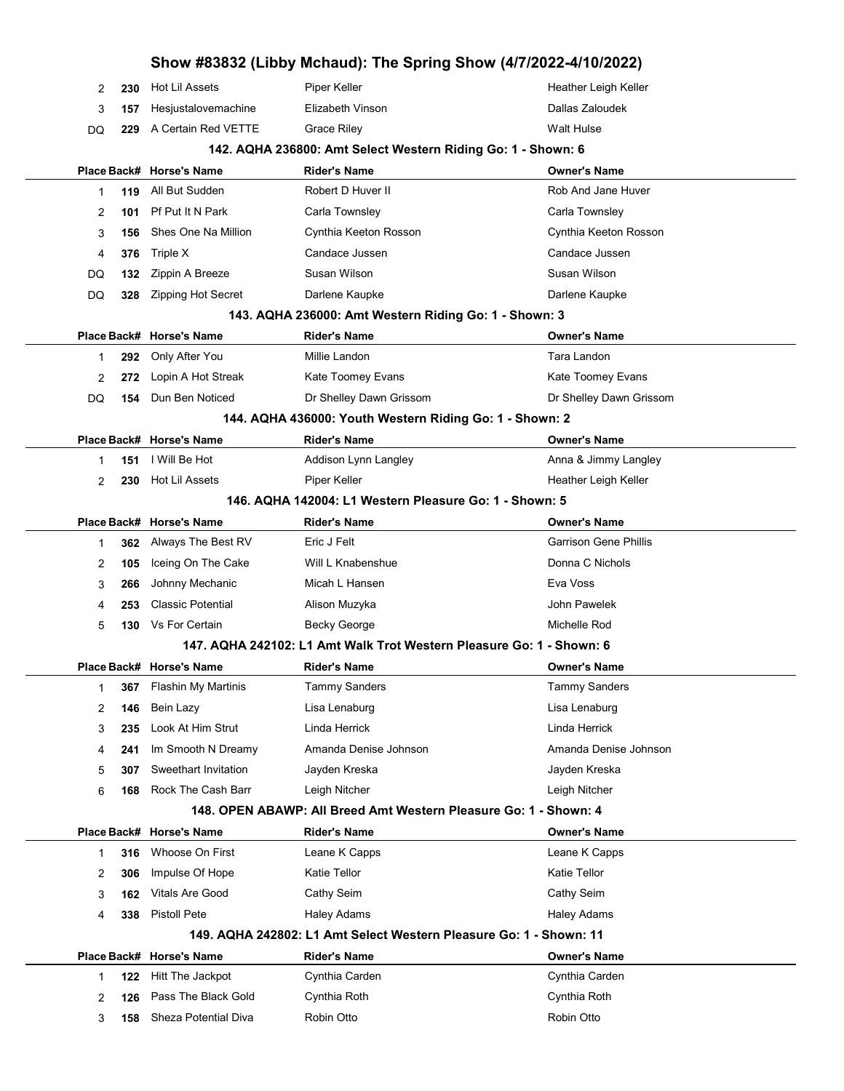|             |     |                            |                                                                      | Show #83832 (Libby Mchaud): The Spring Show (4/7/2022-4/10/2022) |
|-------------|-----|----------------------------|----------------------------------------------------------------------|------------------------------------------------------------------|
| 2           | 230 | Hot Lil Assets             | Piper Keller                                                         | Heather Leigh Keller                                             |
| 3           | 157 | Hesjustalovemachine        | Elizabeth Vinson                                                     | Dallas Zaloudek                                                  |
| DQ          | 229 | A Certain Red VETTE        | Grace Riley                                                          | <b>Walt Hulse</b>                                                |
|             |     |                            | 142. AQHA 236800: Amt Select Western Riding Go: 1 - Shown: 6         |                                                                  |
|             |     | Place Back# Horse's Name   | <b>Rider's Name</b>                                                  | <b>Owner's Name</b>                                              |
| 1           | 119 | All But Sudden             | Robert D Huver II                                                    | Rob And Jane Huver                                               |
| 2           | 101 | Pf Put It N Park           | Carla Townsley                                                       | Carla Townsley                                                   |
| 3           | 156 | Shes One Na Million        | Cynthia Keeton Rosson                                                | Cynthia Keeton Rosson                                            |
| 4           | 376 | Triple X                   | Candace Jussen                                                       | Candace Jussen                                                   |
| DQ          | 132 | Zippin A Breeze            | Susan Wilson                                                         | Susan Wilson                                                     |
| DQ          | 328 | <b>Zipping Hot Secret</b>  | Darlene Kaupke                                                       | Darlene Kaupke                                                   |
|             |     |                            | 143. AQHA 236000: Amt Western Riding Go: 1 - Shown: 3                |                                                                  |
| Place Back# |     | <b>Horse's Name</b>        | <b>Rider's Name</b>                                                  | <b>Owner's Name</b>                                              |
| 1           | 292 | Only After You             | Millie Landon                                                        | Tara Landon                                                      |
| 2           | 272 | Lopin A Hot Streak         | Kate Toomey Evans                                                    | Kate Toomey Evans                                                |
| DQ          | 154 | Dun Ben Noticed            | Dr Shelley Dawn Grissom                                              | Dr Shelley Dawn Grissom                                          |
|             |     |                            | 144. AQHA 436000: Youth Western Riding Go: 1 - Shown: 2              |                                                                  |
|             |     | Place Back# Horse's Name   | <b>Rider's Name</b>                                                  | <b>Owner's Name</b>                                              |
| 1           | 151 | I Will Be Hot              | Addison Lynn Langley                                                 | Anna & Jimmy Langley                                             |
| 2           | 230 | <b>Hot Lil Assets</b>      | Piper Keller                                                         | Heather Leigh Keller                                             |
|             |     |                            | 146. AQHA 142004: L1 Western Pleasure Go: 1 - Shown: 5               |                                                                  |
|             |     | Place Back# Horse's Name   | <b>Rider's Name</b>                                                  | <b>Owner's Name</b>                                              |
| 1           | 362 | Always The Best RV         | Eric J Felt                                                          | <b>Garrison Gene Phillis</b>                                     |
| 2           | 105 | Iceing On The Cake         | Will L Knabenshue                                                    | Donna C Nichols                                                  |
| 3           | 266 | Johnny Mechanic            | Micah L Hansen                                                       | Eva Voss                                                         |
| 4           | 253 | <b>Classic Potential</b>   | Alison Muzyka                                                        | John Pawelek                                                     |
| 5           | 130 | Vs For Certain             | Becky George                                                         | Michelle Rod                                                     |
|             |     |                            | 147. AQHA 242102: L1 Amt Walk Trot Western Pleasure Go: 1 - Shown: 6 |                                                                  |
|             |     | Place Back# Horse's Name   | <b>Rider's Name</b>                                                  | <b>Owner's Name</b>                                              |
| 1           | 367 | <b>Flashin My Martinis</b> | <b>Tammy Sanders</b>                                                 | <b>Tammy Sanders</b>                                             |
| 2           | 146 | Bein Lazy                  | Lisa Lenaburg                                                        | Lisa Lenaburg                                                    |
| 3           | 235 | Look At Him Strut          | Linda Herrick                                                        | Linda Herrick                                                    |
| 4           | 241 | Im Smooth N Dreamy         | Amanda Denise Johnson                                                | Amanda Denise Johnson                                            |
| 5           | 307 | Sweethart Invitation       | Jayden Kreska                                                        | Jayden Kreska                                                    |
| 6           | 168 | Rock The Cash Barr         | Leigh Nitcher                                                        | Leigh Nitcher                                                    |
|             |     |                            | 148. OPEN ABAWP: All Breed Amt Western Pleasure Go: 1 - Shown: 4     |                                                                  |
| Place Back# |     | <b>Horse's Name</b>        | <b>Rider's Name</b>                                                  | <b>Owner's Name</b>                                              |
| 1           | 316 | Whoose On First            | Leane K Capps                                                        | Leane K Capps                                                    |
| 2           | 306 | Impulse Of Hope            | Katie Tellor                                                         | Katie Tellor                                                     |
| 3           | 162 | <b>Vitals Are Good</b>     | Cathy Seim                                                           | Cathy Seim                                                       |
| 4           | 338 | Pistoll Pete               | Haley Adams                                                          | <b>Haley Adams</b>                                               |
|             |     |                            | 149. AQHA 242802: L1 Amt Select Western Pleasure Go: 1 - Shown: 11   |                                                                  |
| Place Back# |     | <b>Horse's Name</b>        | <b>Rider's Name</b>                                                  | Owner's Name                                                     |
| 1           | 122 | Hitt The Jackpot           | Cynthia Carden                                                       | Cynthia Carden                                                   |
| 2           | 126 | Pass The Black Gold        | Cynthia Roth                                                         | Cynthia Roth                                                     |
| 3           | 158 | Sheza Potential Diva       | Robin Otto                                                           | Robin Otto                                                       |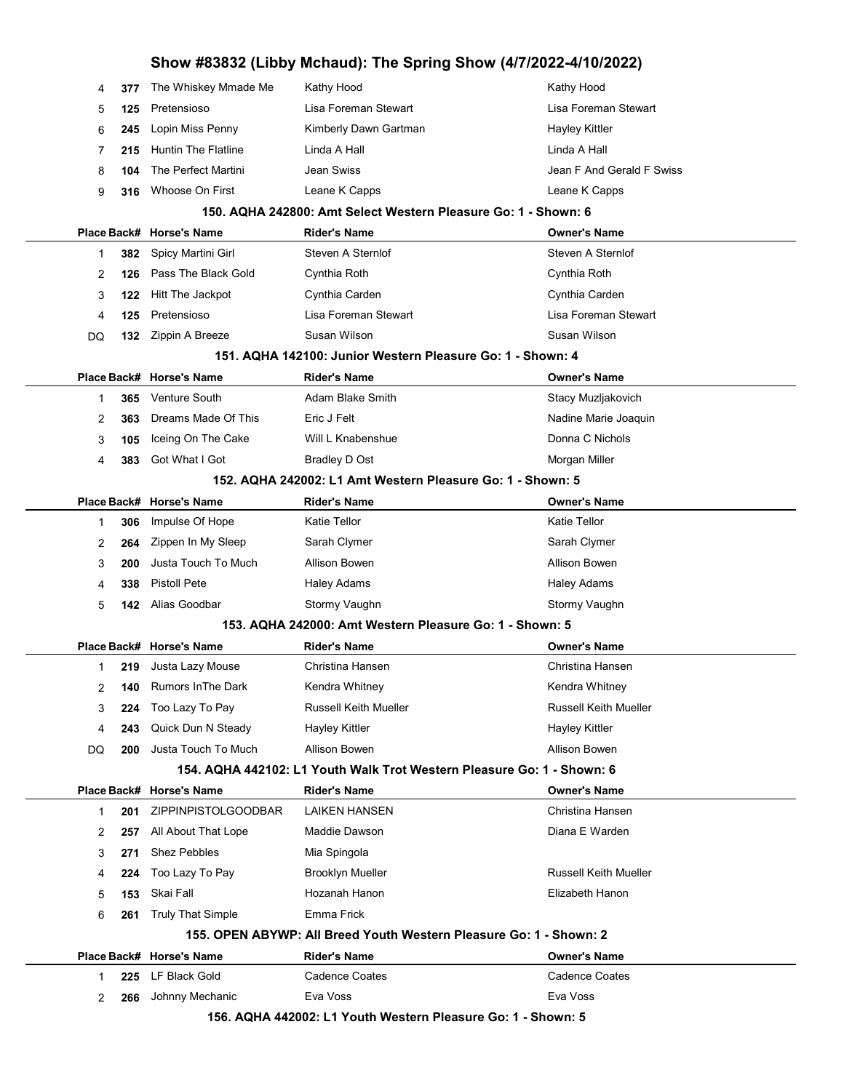|  |    |      | Show #83832 (Libby Mchaud): The Spring Show (4/7/2022-4/10/2022) |                                                                        |                              |  |  |
|--|----|------|------------------------------------------------------------------|------------------------------------------------------------------------|------------------------------|--|--|
|  | 4  | 377  | The Whiskey Mmade Me                                             | Kathy Hood                                                             | Kathy Hood                   |  |  |
|  | 5  | 125  | Pretensioso                                                      | Lisa Foreman Stewart                                                   | Lisa Foreman Stewart         |  |  |
|  | 6  | 245  | Lopin Miss Penny                                                 | Kimberly Dawn Gartman                                                  | Hayley Kittler               |  |  |
|  | 7  | 215  | <b>Huntin The Flatline</b>                                       | Linda A Hall                                                           | Linda A Hall                 |  |  |
|  | 8  | 104  | The Perfect Martini                                              | Jean Swiss                                                             | Jean F And Gerald F Swiss    |  |  |
|  | 9  | 316  | Whoose On First                                                  | Leane K Capps                                                          | Leane K Capps                |  |  |
|  |    |      |                                                                  | 150. AQHA 242800: Amt Select Western Pleasure Go: 1 - Shown: 6         |                              |  |  |
|  |    |      | Place Back# Horse's Name                                         | Rider's Name                                                           | <b>Owner's Name</b>          |  |  |
|  | 1  | 382. | Spicy Martini Girl                                               | Steven A Sternlof                                                      | Steven A Sternlof            |  |  |
|  | 2  | 126  | Pass The Black Gold                                              | Cynthia Roth                                                           | Cynthia Roth                 |  |  |
|  | 3  | 122  | Hitt The Jackpot                                                 | Cynthia Carden                                                         | Cynthia Carden               |  |  |
|  | 4  | 125  | Pretensioso                                                      | Lisa Foreman Stewart                                                   | Lisa Foreman Stewart         |  |  |
|  | DQ | 132  | Zippin A Breeze                                                  | Susan Wilson                                                           | Susan Wilson                 |  |  |
|  |    |      |                                                                  | 151. AQHA 142100: Junior Western Pleasure Go: 1 - Shown: 4             |                              |  |  |
|  |    |      | Place Back# Horse's Name                                         | Rider's Name                                                           | <b>Owner's Name</b>          |  |  |
|  | 1  | 365  | Venture South                                                    | Adam Blake Smith                                                       | Stacy Muzljakovich           |  |  |
|  | 2  | 363  | Dreams Made Of This                                              | Eric J Felt                                                            | Nadine Marie Joaquin         |  |  |
|  | 3  | 105  | Iceing On The Cake                                               | Will L Knabenshue                                                      | Donna C Nichols              |  |  |
|  | 4  | 383  | Got What I Got                                                   | <b>Bradley D Ost</b>                                                   | Morgan Miller                |  |  |
|  |    |      |                                                                  | 152. AQHA 242002: L1 Amt Western Pleasure Go: 1 - Shown: 5             |                              |  |  |
|  |    |      | Place Back# Horse's Name                                         | Rider's Name                                                           | <b>Owner's Name</b>          |  |  |
|  | 1  | 306  | Impulse Of Hope                                                  | <b>Katie Tellor</b>                                                    | Katie Tellor                 |  |  |
|  | 2  | 264  | Zippen In My Sleep                                               | Sarah Clymer                                                           | Sarah Clymer                 |  |  |
|  | 3  | 200  | Justa Touch To Much                                              | Allison Bowen                                                          | Allison Bowen                |  |  |
|  | 4  | 338  | <b>Pistoll Pete</b>                                              | <b>Haley Adams</b>                                                     | <b>Haley Adams</b>           |  |  |
|  | 5  | 142  | Alias Goodbar                                                    | Stormy Vaughn                                                          | Stormy Vaughn                |  |  |
|  |    |      |                                                                  | 153. AQHA 242000: Amt Western Pleasure Go: 1 - Shown: 5                |                              |  |  |
|  |    |      | Place Back# Horse's Name                                         | Rider's Name                                                           | <b>Owner's Name</b>          |  |  |
|  | 1  | 219  | Justa Lazy Mouse                                                 | Christina Hansen                                                       | Christina Hansen             |  |  |
|  | 2  | 140  | <b>Rumors In The Dark</b>                                        | Kendra Whitney                                                         | Kendra Whitney               |  |  |
|  | 3  | 224  | Too Lazy To Pay                                                  | <b>Russell Keith Mueller</b>                                           | <b>Russell Keith Mueller</b> |  |  |
|  | 4  | 243  | Quick Dun N Steady                                               | <b>Hayley Kittler</b>                                                  | <b>Hayley Kittler</b>        |  |  |
|  | DQ | 200  | Justa Touch To Much                                              | Allison Bowen                                                          | <b>Allison Bowen</b>         |  |  |
|  |    |      |                                                                  | 154. AQHA 442102: L1 Youth Walk Trot Western Pleasure Go: 1 - Shown: 6 |                              |  |  |
|  |    |      | Place Back# Horse's Name                                         | Rider's Name                                                           | <b>Owner's Name</b>          |  |  |
|  | 1  | 201  | <b>ZIPPINPISTOLGOODBAR</b>                                       | <b>LAIKEN HANSEN</b>                                                   | Christina Hansen             |  |  |
|  | 2  | 257  | All About That Lope                                              | Maddie Dawson                                                          | Diana E Warden               |  |  |
|  | 3  | 271  | <b>Shez Pebbles</b>                                              | Mia Spingola                                                           |                              |  |  |
|  | 4  | 224  | Too Lazy To Pay                                                  | <b>Brooklyn Mueller</b>                                                | <b>Russell Keith Mueller</b> |  |  |
|  | 5  | 153  | Skai Fall                                                        | Hozanah Hanon                                                          | Elizabeth Hanon              |  |  |
|  | 6  | 261  | <b>Truly That Simple</b>                                         | Emma Frick                                                             |                              |  |  |
|  |    |      |                                                                  | 155. OPEN ABYWP: All Breed Youth Western Pleasure Go: 1 - Shown: 2     |                              |  |  |
|  |    |      | Place Back# Horse's Name                                         | Rider's Name                                                           | <b>Owner's Name</b>          |  |  |
|  | 1  | 225  | LF Black Gold                                                    | <b>Cadence Coates</b>                                                  | <b>Cadence Coates</b>        |  |  |
|  | 2  | 266  | Johnny Mechanic                                                  | Eva Voss                                                               | Eva Voss                     |  |  |
|  |    |      |                                                                  | 156. AQHA 442002: L1 Youth Western Pleasure Go: 1 - Shown: 5           |                              |  |  |

J.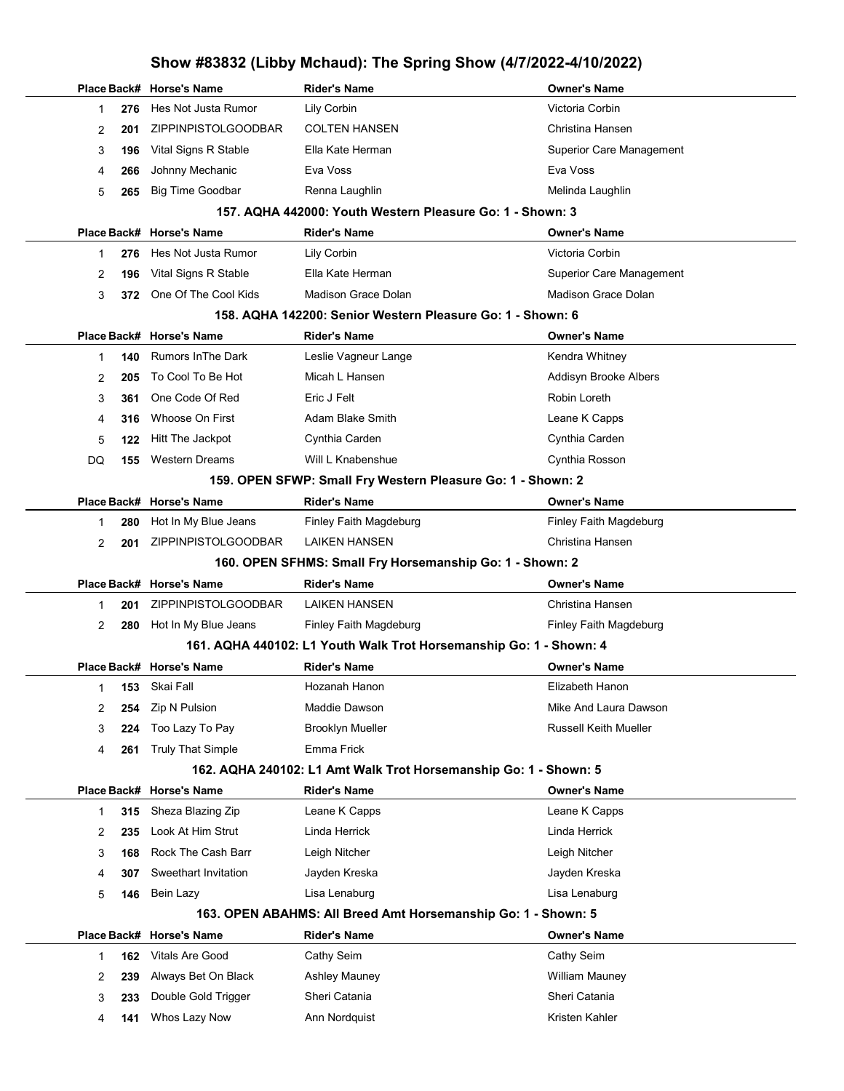# Show #83832 (Libby Mchaud): The Spring Show (4/7/2022-4/10/2022)

|    |     | Place Back# Horse's Name             | <b>Rider's Name</b>                                                | <b>Owner's Name</b>             |
|----|-----|--------------------------------------|--------------------------------------------------------------------|---------------------------------|
| 1  | 276 | Hes Not Justa Rumor                  | Lily Corbin                                                        | Victoria Corbin                 |
| 2  | 201 | <b>ZIPPINPISTOLGOODBAR</b>           | <b>COLTEN HANSEN</b>                                               | Christina Hansen                |
| 3  | 196 | Vital Signs R Stable                 | Ella Kate Herman                                                   | <b>Superior Care Management</b> |
| 4  | 266 | Johnny Mechanic                      | Eva Voss                                                           | Eva Voss                        |
| 5  | 265 | <b>Big Time Goodbar</b>              | Renna Laughlin                                                     | Melinda Laughlin                |
|    |     |                                      | 157. AQHA 442000: Youth Western Pleasure Go: 1 - Shown: 3          |                                 |
|    |     | Place Back# Horse's Name             | <b>Rider's Name</b>                                                | <b>Owner's Name</b>             |
| 1  | 276 | Hes Not Justa Rumor                  | Lily Corbin                                                        | Victoria Corbin                 |
| 2  | 196 | Vital Signs R Stable                 | Ella Kate Herman                                                   | <b>Superior Care Management</b> |
| 3  | 372 | One Of The Cool Kids                 | Madison Grace Dolan                                                | Madison Grace Dolan             |
|    |     |                                      | 158. AQHA 142200: Senior Western Pleasure Go: 1 - Shown: 6         |                                 |
|    |     | Place Back# Horse's Name             | <b>Rider's Name</b>                                                | <b>Owner's Name</b>             |
| 1  | 140 | <b>Rumors In The Dark</b>            | Leslie Vagneur Lange                                               | Kendra Whitney                  |
| 2  | 205 | To Cool To Be Hot                    | Micah L Hansen                                                     | Addisyn Brooke Albers           |
| 3  | 361 | One Code Of Red                      | Eric J Felt                                                        | Robin Loreth                    |
| 4  | 316 | Whoose On First                      | Adam Blake Smith                                                   | Leane K Capps                   |
| 5  | 122 | Hitt The Jackpot                     | Cynthia Carden                                                     | Cynthia Carden                  |
| DQ | 155 | <b>Western Dreams</b>                | Will L Knabenshue                                                  | Cynthia Rosson                  |
|    |     |                                      | 159. OPEN SFWP: Small Fry Western Pleasure Go: 1 - Shown: 2        |                                 |
|    |     | Place Back# Horse's Name             | <b>Rider's Name</b>                                                | <b>Owner's Name</b>             |
| 1  | 280 | Hot In My Blue Jeans                 | Finley Faith Magdeburg                                             | Finley Faith Magdeburg          |
| 2  | 201 | ZIPPINPISTOLGOODBAR                  | <b>LAIKEN HANSEN</b>                                               | Christina Hansen                |
|    |     |                                      | 160. OPEN SFHMS: Small Fry Horsemanship Go: 1 - Shown: 2           |                                 |
|    |     |                                      |                                                                    |                                 |
|    |     | Place Back# Horse's Name             | <b>Rider's Name</b>                                                | <b>Owner's Name</b>             |
| 1  | 201 | <b>ZIPPINPISTOLGOODBAR</b>           | LAIKEN HANSEN                                                      | Christina Hansen                |
| 2  | 280 | Hot In My Blue Jeans                 | Finley Faith Magdeburg                                             | Finley Faith Magdeburg          |
|    |     |                                      | 161. AQHA 440102: L1 Youth Walk Trot Horsemanship Go: 1 - Shown: 4 |                                 |
|    |     | Place Back# Horse's Name             | <b>Rider's Name</b>                                                | <b>Owner's Name</b>             |
| 1  |     | 153 Skai Fall                        | Hozanah Hanon                                                      | Elizabeth Hanon                 |
| 2  | 254 | Zip N Pulsion                        | Maddie Dawson                                                      | Mike And Laura Dawson           |
| 3  | 224 | Too Lazy To Pay                      | <b>Brooklyn Mueller</b>                                            | <b>Russell Keith Mueller</b>    |
| 4  | 261 | <b>Truly That Simple</b>             | Emma Frick                                                         |                                 |
|    |     |                                      | 162. AQHA 240102: L1 Amt Walk Trot Horsemanship Go: 1 - Shown: 5   |                                 |
|    |     | Place Back# Horse's Name             | <b>Rider's Name</b>                                                | <b>Owner's Name</b>             |
| 1  | 315 | Sheza Blazing Zip                    | Leane K Capps                                                      | Leane K Capps                   |
| 2  | 235 | Look At Him Strut                    | Linda Herrick                                                      | Linda Herrick                   |
| 3  | 168 | Rock The Cash Barr                   | Leigh Nitcher                                                      | Leigh Nitcher                   |
| 4  | 307 | Sweethart Invitation                 | Jayden Kreska                                                      | Jayden Kreska                   |
| 5  | 146 | Bein Lazy                            | Lisa Lenaburg                                                      | Lisa Lenaburg                   |
|    |     |                                      | 163. OPEN ABAHMS: All Breed Amt Horsemanship Go: 1 - Shown: 5      |                                 |
|    |     | Place Back# Horse's Name             | <b>Rider's Name</b>                                                | <b>Owner's Name</b>             |
| 1  | 162 | <b>Vitals Are Good</b>               | Cathy Seim                                                         | Cathy Seim                      |
| 2  | 239 | Always Bet On Black                  | <b>Ashley Mauney</b>                                               | <b>William Mauney</b>           |
| 3  | 233 | Double Gold Trigger<br>Whos Lazy Now | Sheri Catania<br>Ann Nordquist                                     | Sheri Catania                   |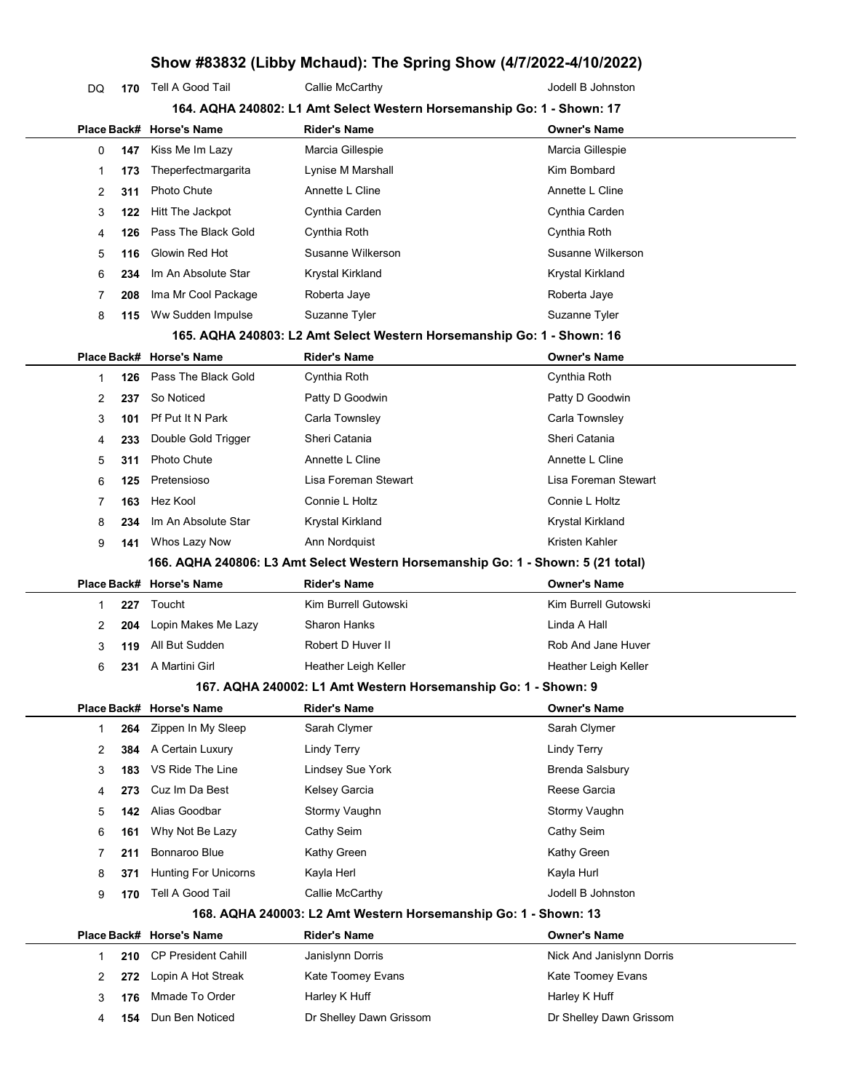## Show #83832 (Libby Mchaud): The Spring Show (4/7/2022-4/10/2022)

| DQ | 170 | Tell A Good Tail         | Callie McCarthy                                                                  | Jodell B Johnston    |
|----|-----|--------------------------|----------------------------------------------------------------------------------|----------------------|
|    |     |                          | 164. AQHA 240802: L1 Amt Select Western Horsemanship Go: 1 - Shown: 17           |                      |
|    |     | Place Back# Horse's Name | <b>Rider's Name</b>                                                              | <b>Owner's Name</b>  |
| 0  | 147 | Kiss Me Im Lazy          | Marcia Gillespie                                                                 | Marcia Gillespie     |
| 1  | 173 | Theperfectmargarita      | Lynise M Marshall                                                                | Kim Bombard          |
| 2  | 311 | Photo Chute              | Annette L Cline                                                                  | Annette L Cline      |
| 3  | 122 | Hitt The Jackpot         | Cynthia Carden                                                                   | Cynthia Carden       |
| 4  | 126 | Pass The Black Gold      | Cynthia Roth                                                                     | Cynthia Roth         |
| 5  | 116 | Glowin Red Hot           | Susanne Wilkerson                                                                | Susanne Wilkerson    |
| 6  | 234 | Im An Absolute Star      | Krystal Kirkland                                                                 | Krystal Kirkland     |
| 7  | 208 | Ima Mr Cool Package      | Roberta Jaye                                                                     | Roberta Jaye         |
| 8  | 115 | Ww Sudden Impulse        | Suzanne Tyler                                                                    | Suzanne Tyler        |
|    |     |                          | 165. AQHA 240803: L2 Amt Select Western Horsemanship Go: 1 - Shown: 16           |                      |
|    |     | Place Back# Horse's Name | <b>Rider's Name</b>                                                              | <b>Owner's Name</b>  |
| 1  | 126 | Pass The Black Gold      | Cynthia Roth                                                                     | Cynthia Roth         |
| 2  | 237 | So Noticed               | Patty D Goodwin                                                                  | Patty D Goodwin      |
| 3  | 101 | Pf Put It N Park         | Carla Townsley                                                                   | Carla Townsley       |
| 4  | 233 | Double Gold Trigger      | Sheri Catania                                                                    | Sheri Catania        |
| 5  | 311 | <b>Photo Chute</b>       | Annette L Cline                                                                  | Annette L Cline      |
| 6  | 125 | Pretensioso              | Lisa Foreman Stewart                                                             | Lisa Foreman Stewart |
| 7  | 163 | Hez Kool                 | Connie L Holtz                                                                   | Connie L Holtz       |
| 8  | 234 | Im An Absolute Star      | Krystal Kirkland                                                                 | Krystal Kirkland     |
| 9  | 141 | Whos Lazy Now            | Ann Nordquist                                                                    | Kristen Kahler       |
|    |     |                          | 166. AQHA 240806: L3 Amt Select Western Horsemanship Go: 1 - Shown: 5 (21 total) |                      |
|    |     | Place Back# Horse's Name | <b>Rider's Name</b>                                                              | <b>Owner's Name</b>  |
| 1  | 227 | Toucht                   | Kim Burrell Gutowski                                                             | Kim Burrell Gutowski |
| 2  | 204 | Lopin Makes Me Lazy      | <b>Sharon Hanks</b>                                                              | Linda A Hall         |
| 3  | 119 | All But Sudden           | Robert D Huver II                                                                | Rob And Jane Huver   |
| 6  | 231 | A Martini Girl           | Heather Leigh Keller                                                             | Heather Leigh Keller |
|    |     |                          | 167. AQHA 240002: L1 Amt Western Horsemanship Go: 1 - Shown: 9                   |                      |
|    |     | Place Back# Horse's Name | <b>Rider's Name</b>                                                              | <b>Owner's Name</b>  |

|   |     | Place Back# Horse's Name    | <b>Rider's Name</b>                                             | <b>Owner's Name</b>    |
|---|-----|-----------------------------|-----------------------------------------------------------------|------------------------|
|   |     |                             | 168. AQHA 240003: L2 Amt Western Horsemanship Go: 1 - Shown: 13 |                        |
| 9 | 170 | Tell A Good Tail            | Callie McCarthy                                                 | Jodell B Johnston      |
| 8 | 371 | <b>Hunting For Unicorns</b> | Kayla Herl                                                      | Kayla Hurl             |
|   | 211 | Bonnaroo Blue               | Kathy Green                                                     | Kathy Green            |
| 6 | 161 | Why Not Be Lazy             | Cathy Seim                                                      | Cathy Seim             |
| 5 | 142 | Alias Goodbar               | Stormy Vaughn                                                   | Stormy Vaughn          |
| 4 | 273 | Cuz Im Da Best              | Kelsey Garcia                                                   | Reese Garcia           |
| 3 | 183 | VS Ride The Line            | Lindsey Sue York                                                | <b>Brenda Salsbury</b> |
|   |     | 384 A Certain Luxury        | Lindy Terry                                                     | Lindy Terry            |
|   |     | 264 Zippen In My Sleep      | Sarah Clymer                                                    | Sarah Clymer           |

|  | 210 CP President Cahill | Janislynn Dorris        | Nick And Janislynn Dorris |
|--|-------------------------|-------------------------|---------------------------|
|  | 272 Lopin A Hot Streak  | Kate Toomey Evans       | Kate Toomey Evans         |
|  | 176 Mmade To Order      | Harley K Huff           | Harley K Huff             |
|  | 154 Dun Ben Noticed     | Dr Shelley Dawn Grissom | Dr Shelley Dawn Grissom   |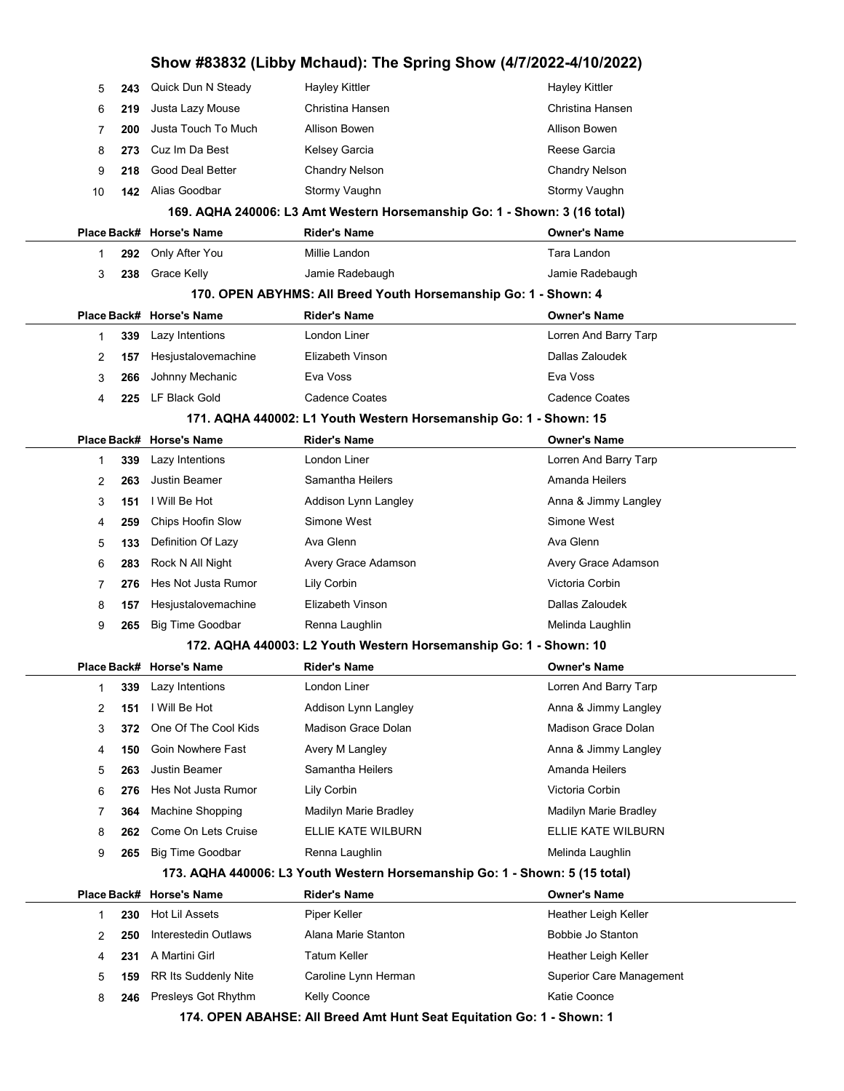|           |                          |                                                                             | Show #83832 (Libby Mchaud): The Spring Show (4/7/2022-4/10/2022) |
|-----------|--------------------------|-----------------------------------------------------------------------------|------------------------------------------------------------------|
| 5<br>243  | Quick Dun N Steady       | <b>Hayley Kittler</b>                                                       | Hayley Kittler                                                   |
| 219<br>6  | Justa Lazy Mouse         | Christina Hansen                                                            | Christina Hansen                                                 |
| 200<br>7  | Justa Touch To Much      | <b>Allison Bowen</b>                                                        | Allison Bowen                                                    |
| 8<br>273  | Cuz Im Da Best           | Kelsey Garcia                                                               | Reese Garcia                                                     |
| 9<br>218  | <b>Good Deal Better</b>  | <b>Chandry Nelson</b>                                                       | <b>Chandry Nelson</b>                                            |
| 10<br>142 | Alias Goodbar            | Stormy Vaughn                                                               | Stormy Vaughn                                                    |
|           |                          | 169. AQHA 240006: L3 Amt Western Horsemanship Go: 1 - Shown: 3 (16 total)   |                                                                  |
|           | Place Back# Horse's Name | <b>Rider's Name</b>                                                         | <b>Owner's Name</b>                                              |
| 292<br>1  | Only After You           | Millie Landon                                                               | Tara Landon                                                      |
| 238<br>3  | Grace Kelly              | Jamie Radebaugh                                                             | Jamie Radebaugh                                                  |
|           |                          | 170. OPEN ABYHMS: All Breed Youth Horsemanship Go: 1 - Shown: 4             |                                                                  |
|           | Place Back# Horse's Name | <b>Rider's Name</b>                                                         | <b>Owner's Name</b>                                              |
| 339<br>1  | Lazy Intentions          | London Liner                                                                | Lorren And Barry Tarp                                            |
| 2<br>157  | Hesjustalovemachine      | Elizabeth Vinson                                                            | Dallas Zaloudek                                                  |
| 3<br>266  | Johnny Mechanic          | Eva Voss                                                                    | Eva Voss                                                         |
| 225<br>4  | LF Black Gold            | <b>Cadence Coates</b>                                                       | <b>Cadence Coates</b>                                            |
|           |                          | 171. AQHA 440002: L1 Youth Western Horsemanship Go: 1 - Shown: 15           |                                                                  |
|           | Place Back# Horse's Name | <b>Rider's Name</b>                                                         | <b>Owner's Name</b>                                              |
| 339<br>1  | Lazy Intentions          | London Liner                                                                | Lorren And Barry Tarp                                            |
| 2<br>263  | <b>Justin Beamer</b>     | Samantha Heilers                                                            | Amanda Heilers                                                   |
| 3<br>151  | I Will Be Hot            | Addison Lynn Langley                                                        | Anna & Jimmy Langley                                             |
| 259<br>4  | Chips Hoofin Slow        | Simone West                                                                 | Simone West                                                      |
| 5<br>133  | Definition Of Lazy       | Ava Glenn                                                                   | Ava Glenn                                                        |
| 6<br>283  | Rock N All Night         | Avery Grace Adamson                                                         | Avery Grace Adamson                                              |
| 7<br>276  | Hes Not Justa Rumor      | Lily Corbin                                                                 | Victoria Corbin                                                  |
| 8<br>157  | Hesjustalovemachine      | Elizabeth Vinson                                                            | Dallas Zaloudek                                                  |
| 9<br>265  | <b>Big Time Goodbar</b>  | Renna Laughlin                                                              | Melinda Laughlin                                                 |
|           |                          | 172. AQHA 440003: L2 Youth Western Horsemanship Go: 1 - Shown: 10           |                                                                  |
|           | Place Back# Horse's Name | Rider's Name                                                                | <b>Owner's Name</b>                                              |
| 339<br>1  | Lazy Intentions          | London Liner                                                                | Lorren And Barry Tarp                                            |
| 2<br>151  | I Will Be Hot            | Addison Lynn Langley                                                        | Anna & Jimmy Langley                                             |
| 3<br>372  | One Of The Cool Kids     | Madison Grace Dolan                                                         | Madison Grace Dolan                                              |
| 4<br>150  | Goin Nowhere Fast        | Avery M Langley                                                             | Anna & Jimmy Langley                                             |
| 5<br>263  | <b>Justin Beamer</b>     | Samantha Heilers                                                            | Amanda Heilers                                                   |
| 6<br>276  | Hes Not Justa Rumor      | Lily Corbin                                                                 | Victoria Corbin                                                  |
| 364<br>7  | Machine Shopping         | Madilyn Marie Bradley                                                       | Madilyn Marie Bradley                                            |
| 8<br>262  | Come On Lets Cruise      | ELLIE KATE WILBURN                                                          | ELLIE KATE WILBURN                                               |
| 9<br>265  | <b>Big Time Goodbar</b>  | Renna Laughlin                                                              | Melinda Laughlin                                                 |
|           |                          | 173. AQHA 440006: L3 Youth Western Horsemanship Go: 1 - Shown: 5 (15 total) |                                                                  |
|           | Place Back# Horse's Name | <b>Rider's Name</b>                                                         | <b>Owner's Name</b>                                              |
| 230<br>1  | Hot Lil Assets           | Piper Keller                                                                | Heather Leigh Keller                                             |
| 250<br>2  | Interestedin Outlaws     | Alana Marie Stanton                                                         | Bobbie Jo Stanton                                                |
| 231<br>4  | A Martini Girl           | <b>Tatum Keller</b>                                                         | Heather Leigh Keller                                             |
| 5<br>159  | RR Its Suddenly Nite     | Caroline Lynn Herman                                                        | Superior Care Management                                         |
| 8<br>246  | Presleys Got Rhythm      | Kelly Coonce                                                                | Katie Coonce                                                     |

174. OPEN ABAHSE: All Breed Amt Hunt Seat Equitation Go: 1 - Shown: 1